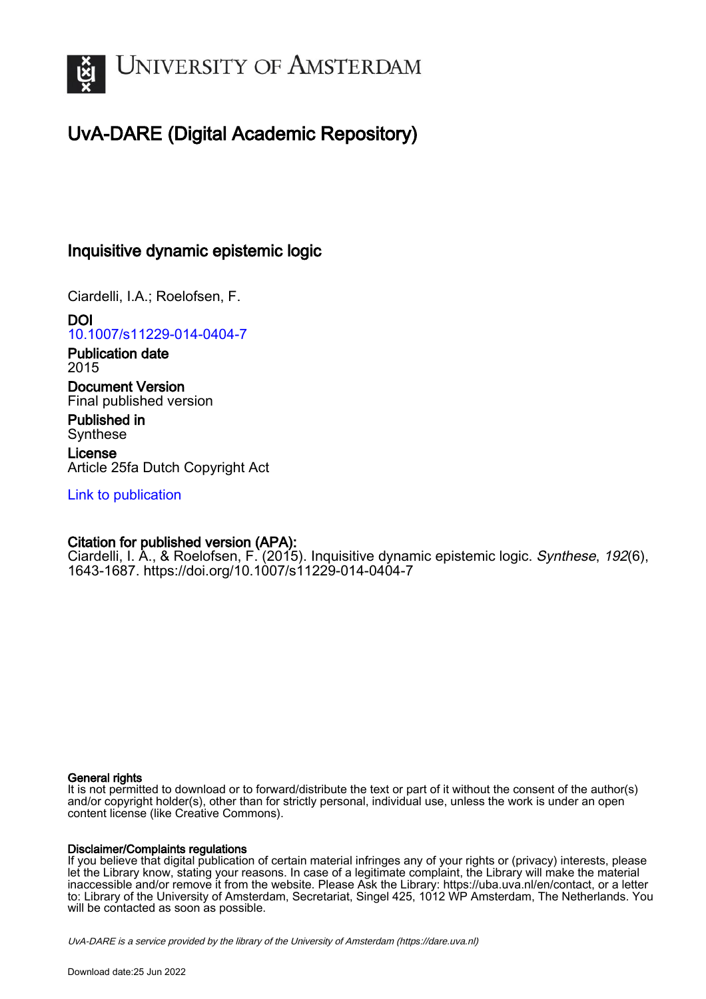

# UvA-DARE (Digital Academic Repository)

## Inquisitive dynamic epistemic logic

Ciardelli, I.A.; Roelofsen, F.

DOI [10.1007/s11229-014-0404-7](https://doi.org/10.1007/s11229-014-0404-7)

Publication date 2015 Document Version

Final published version

Published in Synthese

License Article 25fa Dutch Copyright Act

[Link to publication](https://dare.uva.nl/personal/pure/en/publications/inquisitive-dynamic-epistemic-logic(fa61aa4a-cb95-4288-b75b-1f9ed05a4e44).html)

## Citation for published version (APA):

Ciardelli, I. A., & Roelofsen, F. (2015). Inquisitive dynamic epistemic logic. Synthese, 192(6), 1643-1687.<https://doi.org/10.1007/s11229-014-0404-7>

## General rights

It is not permitted to download or to forward/distribute the text or part of it without the consent of the author(s) and/or copyright holder(s), other than for strictly personal, individual use, unless the work is under an open content license (like Creative Commons).

## Disclaimer/Complaints regulations

If you believe that digital publication of certain material infringes any of your rights or (privacy) interests, please let the Library know, stating your reasons. In case of a legitimate complaint, the Library will make the material inaccessible and/or remove it from the website. Please Ask the Library: https://uba.uva.nl/en/contact, or a letter to: Library of the University of Amsterdam, Secretariat, Singel 425, 1012 WP Amsterdam, The Netherlands. You will be contacted as soon as possible.

UvA-DARE is a service provided by the library of the University of Amsterdam (http*s*://dare.uva.nl)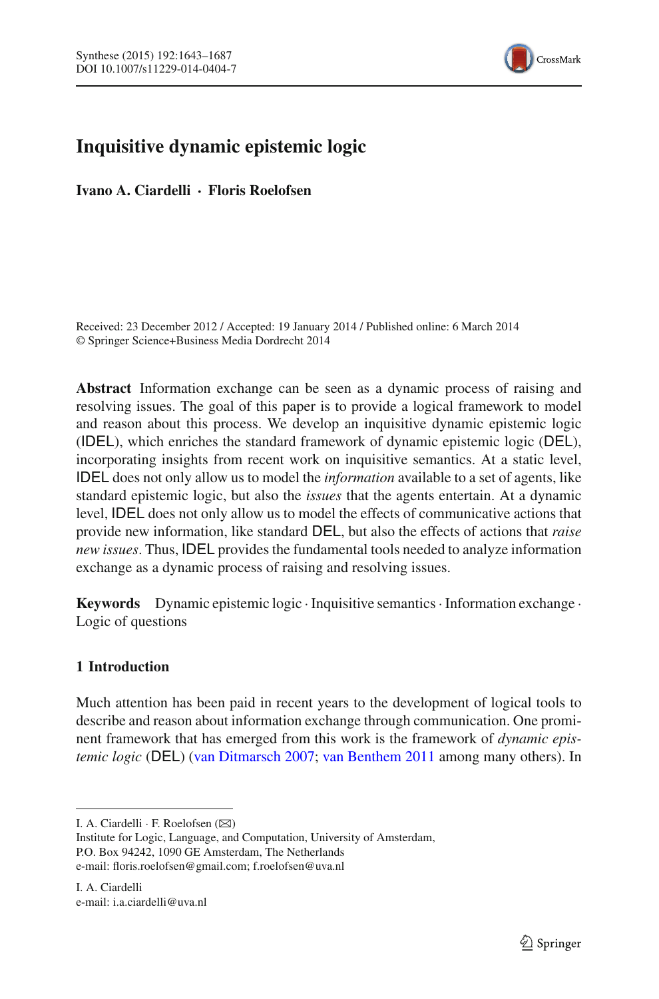

## **Inquisitive dynamic epistemic logic**

**Ivano A. Ciardelli · Floris Roelofsen**

Received: 23 December 2012 / Accepted: 19 January 2014 / Published online: 6 March 2014 © Springer Science+Business Media Dordrecht 2014

**Abstract** Information exchange can be seen as a dynamic process of raising and resolving issues. The goal of this paper is to provide a logical framework to model and reason about this process. We develop an inquisitive dynamic epistemic logic (IDEL), which enriches the standard framework of dynamic epistemic logic (DEL), incorporating insights from recent work on inquisitive semantics. At a static level, IDEL does not only allow us to model the *information* available to a set of agents, like standard epistemic logic, but also the *issues* that the agents entertain. At a dynamic level, IDEL does not only allow us to model the effects of communicative actions that provide new information, like standard DEL, but also the effects of actions that *raise new issues*. Thus, IDEL provides the fundamental tools needed to analyze information exchange as a dynamic process of raising and resolving issues.

**Keywords** Dynamic epistemic logic · Inquisitive semantics· Information exchange · Logic of questions

## **1 Introduction**

Much attention has been paid in recent years to the development of logical tools to describe and reason about information exchange through communication. One prominent framework that has emerged from this work is the framework of *dynamic epistemic logic* (DEL) [\(van Ditmarsch 2007;](#page-45-0) [van Benthem 2011](#page-45-1) among many others). In

Institute for Logic, Language, and Computation, University of Amsterdam, P.O. Box 94242, 1090 GE Amsterdam, The Netherlands e-mail: floris.roelofsen@gmail.com; f.roelofsen@uva.nl

I. A. Ciardelli e-mail: i.a.ciardelli@uva.nl

I. A. Ciardelli · F. Roelofsen (B)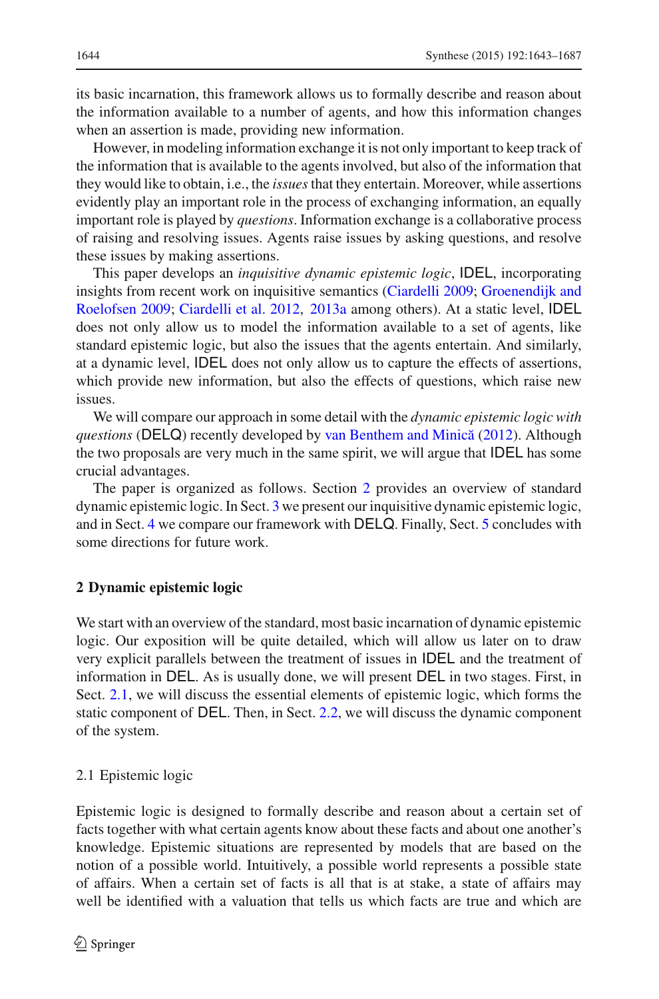its basic incarnation, this framework allows us to formally describe and reason about the information available to a number of agents, and how this information changes when an assertion is made, providing new information.

However, in modeling information exchange it is not only important to keep track of the information that is available to the agents involved, but also of the information that they would like to obtain, i.e., the *issues*that they entertain. Moreover, while assertions evidently play an important role in the process of exchanging information, an equally important role is played by *questions*. Information exchange is a collaborative process of raising and resolving issues. Agents raise issues by asking questions, and resolve these issues by making assertions.

This paper develops an *inquisitive dynamic epistemic logic*, IDEL, incorporating insights fr[om](#page-44-0) [recent](#page-44-0) [work](#page-44-0) [on](#page-44-0) [inquisitive](#page-44-0) [semantics](#page-44-0) [\(Ciardelli 2009](#page-43-0)[;](#page-44-0) Groenendijk and Roelofsen [2009;](#page-44-0) [Ciardelli et al. 2012](#page-44-1), [2013a](#page-44-2) among others). At a static level, IDEL does not only allow us to model the information available to a set of agents, like standard epistemic logic, but also the issues that the agents entertain. And similarly, at a dynamic level, IDEL does not only allow us to capture the effects of assertions, which provide new information, but also the effects of questions, which raise new issues.

We will compare our approach in some detail with the *dynamic epistemic logic with questions* (DELQ) recently developed by van Benthem and Minică [\(2012](#page-45-2)). Although the two proposals are very much in the same spirit, we will argue that IDEL has some crucial advantages.

The paper is organized as follows. Section [2](#page-2-0) provides an overview of standard dynamic epistemic logic. In Sect. [3](#page-6-0) we present our inquisitive dynamic epistemic logic, and in Sect. [4](#page-33-0) we compare our framework with DELQ. Finally, Sect. [5](#page-42-0) concludes with some directions for future work.

## <span id="page-2-0"></span>**2 Dynamic epistemic logic**

We start with an overview of the standard, most basic incarnation of dynamic epistemic logic. Our exposition will be quite detailed, which will allow us later on to draw very explicit parallels between the treatment of issues in IDEL and the treatment of information in DEL. As is usually done, we will present DEL in two stages. First, in Sect. [2.1,](#page-2-1) we will discuss the essential elements of epistemic logic, which forms the static component of DEL. Then, in Sect. [2.2,](#page-5-0) we will discuss the dynamic component of the system.

## <span id="page-2-1"></span>2.1 Epistemic logic

Epistemic logic is designed to formally describe and reason about a certain set of facts together with what certain agents know about these facts and about one another's knowledge. Epistemic situations are represented by models that are based on the notion of a possible world. Intuitively, a possible world represents a possible state of affairs. When a certain set of facts is all that is at stake, a state of affairs may well be identified with a valuation that tells us which facts are true and which are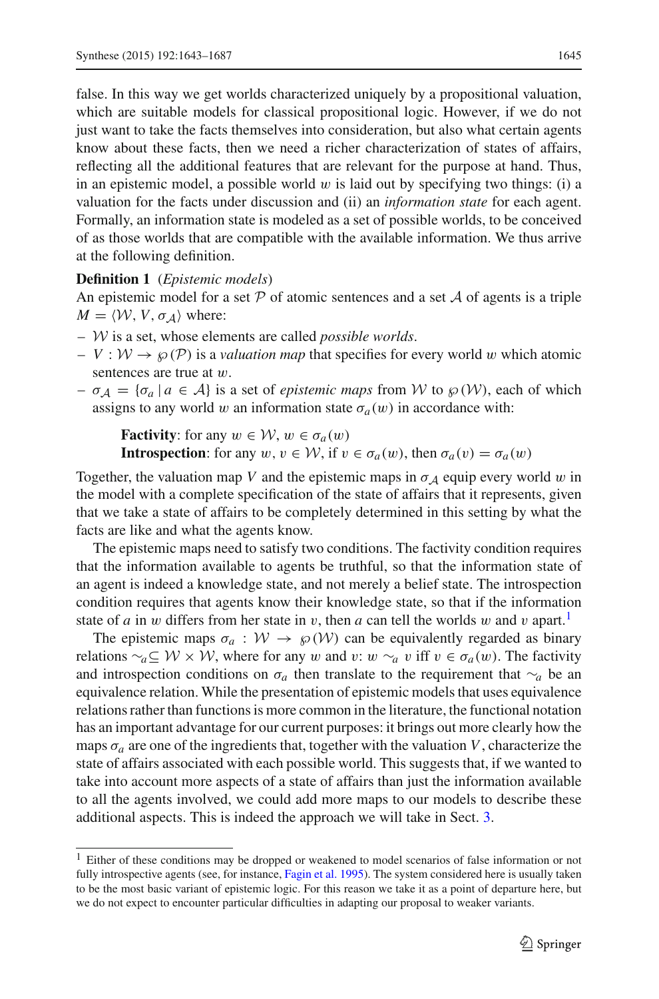false. In this way we get worlds characterized uniquely by a propositional valuation, which are suitable models for classical propositional logic. However, if we do not just want to take the facts themselves into consideration, but also what certain agents know about these facts, then we need a richer characterization of states of affairs, reflecting all the additional features that are relevant for the purpose at hand. Thus, in an epistemic model, a possible world  $w$  is laid out by specifying two things: (i) a valuation for the facts under discussion and (ii) an *information state* for each agent. Formally, an information state is modeled as a set of possible worlds, to be conceived of as those worlds that are compatible with the available information. We thus arrive at the following definition.

#### **Definition 1** (*Epistemic models*)

An epistemic model for a set *P* of atomic sentences and a set *A* of agents is a triple  $M = \langle W, V, \sigma_A \rangle$  where:

- *W* is a set, whose elements are called *possible worlds*.
- $-V: W \rightarrow \mathcal{P}(\mathcal{P})$  is a *valuation map* that specifies for every world w which atomic sentences are true at *w*.
- $-\sigma_A = \{\sigma_a | a \in \mathcal{A}\}\$ is a set of *epistemic maps* from W to  $\wp(W)$ , each of which assigns to any world w an information state  $\sigma_a(w)$  in accordance with:

**Factivity**: for any  $w \in \mathcal{W}$ ,  $w \in \sigma_a(w)$ **Introspection**: for any  $w, v \in \mathcal{W}$ , if  $v \in \sigma_a(w)$ , then  $\sigma_a(v) = \sigma_a(w)$ 

Together, the valuation map *V* and the epistemic maps in  $\sigma_A$  equip every world w in the model with a complete specification of the state of affairs that it represents, given that we take a state of affairs to be completely determined in this setting by what the facts are like and what the agents know.

The epistemic maps need to satisfy two conditions. The factivity condition requires that the information available to agents be truthful, so that the information state of an agent is indeed a knowledge state, and not merely a belief state. The introspection condition requires that agents know their knowledge state, so that if the information state of *a* in *w* differs from her state in *v*, then *a* can tell the worlds *w* and *v* apart.<sup>1</sup>

The epistemic maps  $\sigma_a : W \to \mathcal{P}(W)$  can be equivalently regarded as binary relations  $\sim_a$ ⊆ *W* × *W*, where for any w and v: w  $\sim_a$  v iff v ∈  $\sigma_a$ (w). The factivity and introspection conditions on  $\sigma_a$  then translate to the requirement that  $\sim_a$  be an equivalence relation. While the presentation of epistemic models that uses equivalence relations rather than functions is more common in the literature, the functional notation has an important advantage for our current purposes: it brings out more clearly how the maps  $\sigma_a$  are one of the ingredients that, together with the valuation *V*, characterize the state of affairs associated with each possible world. This suggests that, if we wanted to take into account more aspects of a state of affairs than just the information available to all the agents involved, we could add more maps to our models to describe these additional aspects. This is indeed the approach we will take in Sect. [3.](#page-6-0)

<span id="page-3-0"></span><sup>1</sup> Either of these conditions may be dropped or weakened to model scenarios of false information or not fully introspective agents (see, for instance, [Fagin et al. 1995\)](#page-44-3). The system considered here is usually taken to be the most basic variant of epistemic logic. For this reason we take it as a point of departure here, but we do not expect to encounter particular difficulties in adapting our proposal to weaker variants.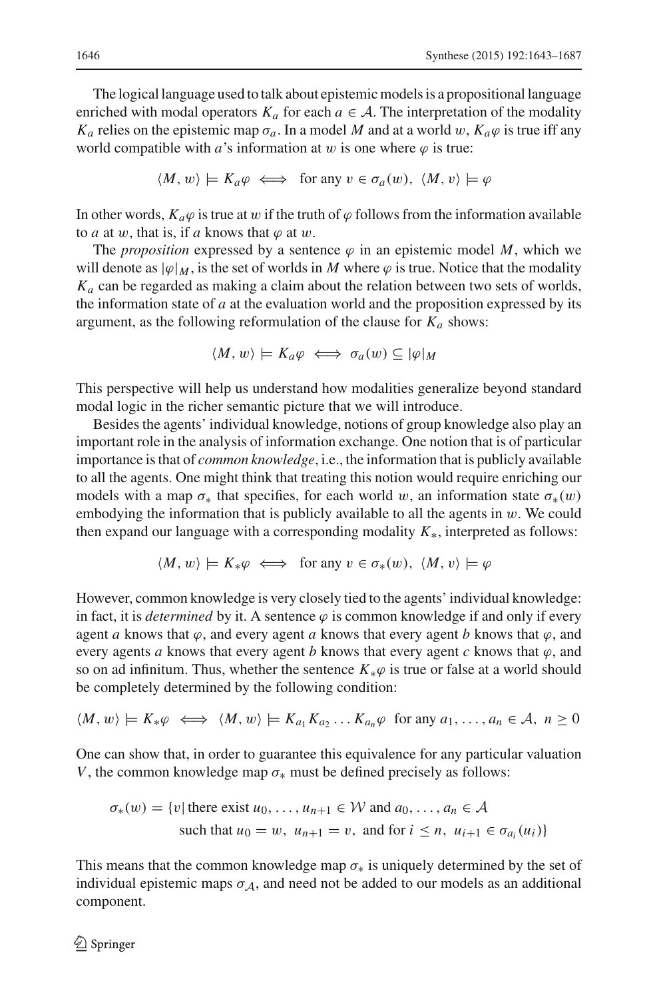The logical language used to talk about epistemic models is a propositional language enriched with modal operators  $K_a$  for each  $a \in A$ . The interpretation of the modality  $K_a$  relies on the epistemic map  $\sigma_a$ . In a model *M* and at a world w,  $K_a\varphi$  is true iff any world compatible with *a*'s information at *w* is one where  $\varphi$  is true:

$$
\langle M, w \rangle \models K_a \varphi \iff \text{for any } v \in \sigma_a(w), \ \langle M, v \rangle \models \varphi
$$

In other words,  $K_a\varphi$  is true at w if the truth of  $\varphi$  follows from the information available to *a* at *w*, that is, if *a* knows that  $\varphi$  at *w*.

The *proposition* expressed by a sentence  $\varphi$  in an epistemic model *M*, which we will denote as  $|\varphi|_M$ , is the set of worlds in *M* where  $\varphi$  is true. Notice that the modality *Ka* can be regarded as making a claim about the relation between two sets of worlds, the information state of *a* at the evaluation world and the proposition expressed by its argument, as the following reformulation of the clause for  $K_a$  shows:

$$
\langle M, w \rangle \models K_a \varphi \iff \sigma_a(w) \subseteq |\varphi|_M
$$

This perspective will help us understand how modalities generalize beyond standard modal logic in the richer semantic picture that we will introduce.

Besides the agents' individual knowledge, notions of group knowledge also play an important role in the analysis of information exchange. One notion that is of particular importance is that of *common knowledge*, i.e., the information that is publicly available to all the agents. One might think that treating this notion would require enriching our models with a map  $\sigma_*$  that specifies, for each world w, an information state  $\sigma_*(w)$ embodying the information that is publicly available to all the agents in  $w$ . We could then expand our language with a corresponding modality *K*∗, interpreted as follows:

$$
\langle M, w \rangle \models K_* \varphi \iff \text{for any } v \in \sigma_*(w), \ \langle M, v \rangle \models \varphi
$$

However, common knowledge is very closely tied to the agents' individual knowledge: in fact, it is *determined* by it. A sentence  $\varphi$  is common knowledge if and only if every agent *a* knows that  $\varphi$ , and every agent *a* knows that every agent *b* knows that  $\varphi$ , and every agents *a* knows that every agent *b* knows that every agent *c* knows that  $\varphi$ , and so on ad infinitum. Thus, whether the sentence  $K_*\varphi$  is true or false at a world should be completely determined by the following condition:

$$
\langle M, w \rangle \models K_* \varphi \iff \langle M, w \rangle \models K_{a_1} K_{a_2} \dots K_{a_n} \varphi \text{ for any } a_1, \dots, a_n \in A, n \ge 0
$$

One can show that, in order to guarantee this equivalence for any particular valuation *V*, the common knowledge map  $\sigma_*$  must be defined precisely as follows:

$$
\sigma_*(w) = \{v \mid \text{there exist } u_0, \dots, u_{n+1} \in \mathcal{W} \text{ and } a_0, \dots, a_n \in \mathcal{A}
$$
  
such that  $u_0 = w$ ,  $u_{n+1} = v$ , and for  $i \le n$ ,  $u_{i+1} \in \sigma_{a_i}(u_i)\}$ 

This means that the common knowledge map  $\sigma_*$  is uniquely determined by the set of individual epistemic maps  $\sigma_A$ , and need not be added to our models as an additional component.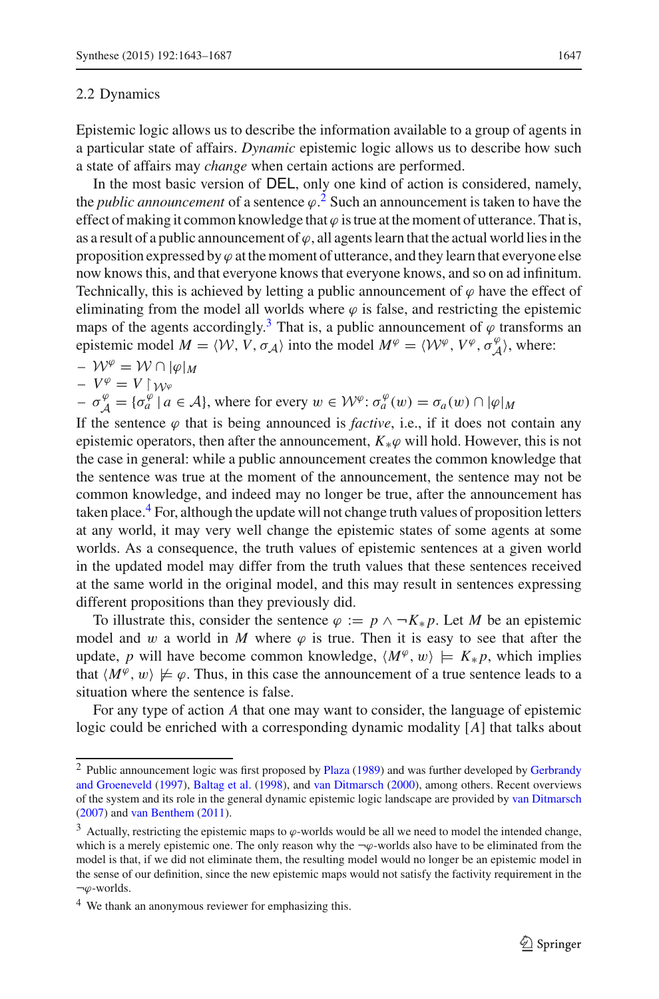#### <span id="page-5-0"></span>2.2 Dynamics

Epistemic logic allows us to describe the information available to a group of agents in a particular state of affairs. *Dynamic* epistemic logic allows us to describe how such a state of affairs may *change* when certain actions are performed.

In the most basic version of DEL, only one kind of action is considered, namely, the *public announcement* of a sentence  $\varphi$ .<sup>[2](#page-5-1)</sup> Such an announcement is taken to have the effect of making it common knowledge that  $\varphi$  is true at the moment of utterance. That is, as a result of a public announcement of  $\varphi$ , all agents learn that the actual world lies in the proposition expressed by  $\varphi$  at the moment of utterance, and they learn that everyone else now knows this, and that everyone knows that everyone knows, and so on ad infinitum. Technically, this is achieved by letting a public announcement of  $\varphi$  have the effect of eliminating from the model all worlds where  $\varphi$  is false, and restricting the epistemic maps of the agents accordingly.<sup>[3](#page-5-2)</sup> That is, a public announcement of  $\varphi$  transforms an epistemic model  $M = \langle W, V, \sigma_A \rangle$  into the model  $M^{\varphi} = \langle W^{\varphi}, V^{\varphi}, \sigma_A^{\varphi} \rangle$ , where:

$$
- \mathcal{W}^{\varphi} = \mathcal{W} \cap |\varphi|_{M}
$$

$$
-V^{\varphi}=V\restriction_{\mathcal{W}^{\varphi}}
$$

 $V^{\varphi} = V \upharpoonright_{\mathcal{W}^{\varphi}} V^{\varphi}$ <br>  $V^{\varphi} = \{\sigma_a^{\varphi} \mid a \in \mathcal{A}\}\$ , where for every  $w \in \mathcal{W}^{\varphi}$ :  $\sigma_a^{\varphi}(w) = \sigma_a(w) \cap |\varphi|_M$ 

If the sentence  $\varphi$  that is being announced is *factive*, i.e., if it does not contain any epistemic operators, then after the announcement,  $K_*\varphi$  will hold. However, this is not the case in general: while a public announcement creates the common knowledge that the sentence was true at the moment of the announcement, the sentence may not be common knowledge, and indeed may no longer be true, after the announcement has taken place[.4](#page-5-3) For, although the update will not change truth values of proposition letters at any world, it may very well change the epistemic states of some agents at some worlds. As a consequence, the truth values of epistemic sentences at a given world in the updated model may differ from the truth values that these sentences received at the same world in the original model, and this may result in sentences expressing different propositions than they previously did.

To illustrate this, consider the sentence  $\varphi := p \wedge \neg K_* p$ . Let *M* be an epistemic model and w a world in *M* where  $\varphi$  is true. Then it is easy to see that after the update, *p* will have become common knowledge,  $\langle M^{\varphi}, w \rangle \models K_* p$ , which implies that  $\langle M^{\varphi}, w \rangle \not\models \varphi$ . Thus, in this case the announcement of a true sentence leads to a situation where the sentence is false.

For any type of action *A* that one may want to consider, the language of epistemic logic could be enriched with a corresponding dynamic modality [*A*] that talks about

<span id="page-5-1"></span><sup>&</sup>lt;sup>2</sup> Public announcement logic was first proposed by [Plaza](#page-44-4) [\(1989](#page-44-4)[\)](#page-44-5) [and](#page-44-5) [was](#page-44-5) [further](#page-44-5) [developed](#page-44-5) [by](#page-44-5) Gerbrandy and Groeneveld [\(1997](#page-44-5)), [Baltag et al.](#page-43-1) [\(1998\)](#page-43-1), and [van Ditmarsch](#page-45-3) [\(2000\)](#page-45-3), among others. Recent overviews of the system and its role in the general dynamic epistemic logic landscape are provided by [van Ditmarsch](#page-45-0) [\(2007](#page-45-0)) and [van Benthem](#page-45-1) [\(2011](#page-45-1)).

<span id="page-5-2"></span> $3$  Actually, restricting the epistemic maps to  $\varphi$ -worlds would be all we need to model the intended change, which is a merely epistemic one. The only reason why the  $\neg \varphi$ -worlds also have to be eliminated from the model is that, if we did not eliminate them, the resulting model would no longer be an epistemic model in the sense of our definition, since the new epistemic maps would not satisfy the factivity requirement in the  $\neg \varphi$ -worlds.

<span id="page-5-3"></span><sup>4</sup> We thank an anonymous reviewer for emphasizing this.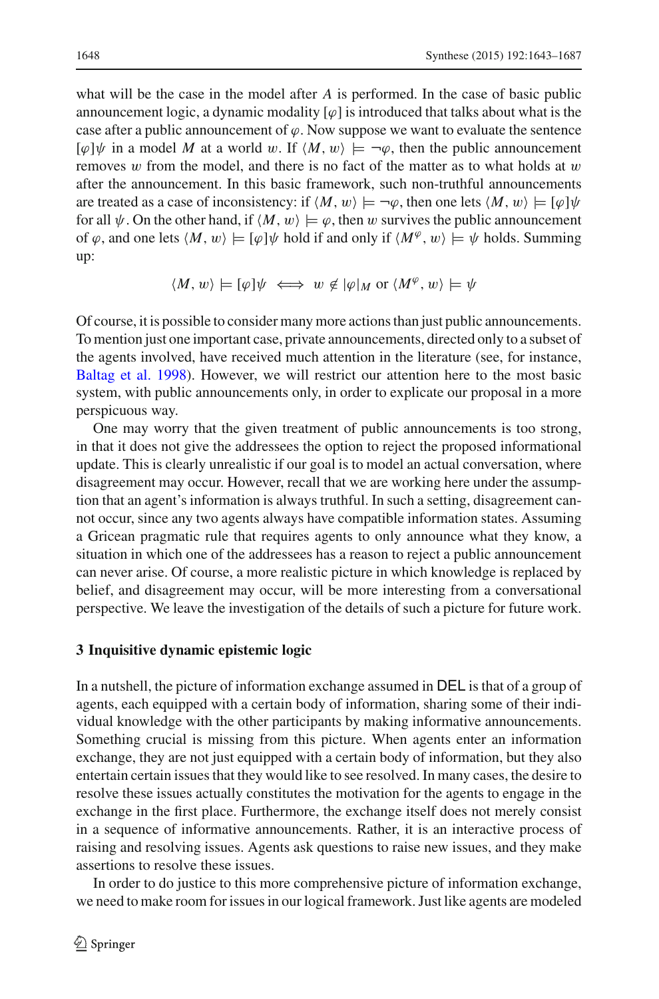what will be the case in the model after *A* is performed. In the case of basic public announcement logic, a dynamic modality  $[\varphi]$  is introduced that talks about what is the case after a public announcement of  $\varphi$ . Now suppose we want to evaluate the sentence  $[\varphi]\psi$  in a model *M* at a world w. If  $\langle M, w \rangle \models \neg \varphi$ , then the public announcement removes w from the model, and there is no fact of the matter as to what holds at  $w$ after the announcement. In this basic framework, such non-truthful announcements are treated as a case of inconsistency: if  $\langle M, w \rangle \models \neg \varphi$ , then one lets  $\langle M, w \rangle \models [\varphi] \psi$ for all  $\psi$ . On the other hand, if  $\langle M, w \rangle \models \varphi$ , then w survives the public announcement of  $\varphi$ , and one lets  $\langle M, w \rangle \models [\varphi] \psi$  hold if and only if  $\langle M^{\varphi}, w \rangle \models \psi$  holds. Summing up:

$$
\langle M, w \rangle \models [\varphi] \psi \iff w \notin |\varphi|_M \text{ or } \langle M^{\varphi}, w \rangle \models \psi
$$

Of course, it is possible to consider many more actions than just public announcements. To mention just one important case, private announcements, directed only to a subset of the agents involved, have received much attention in the literature (see, for instance, [Baltag et al. 1998](#page-43-1)). However, we will restrict our attention here to the most basic system, with public announcements only, in order to explicate our proposal in a more perspicuous way.

One may worry that the given treatment of public announcements is too strong, in that it does not give the addressees the option to reject the proposed informational update. This is clearly unrealistic if our goal is to model an actual conversation, where disagreement may occur. However, recall that we are working here under the assumption that an agent's information is always truthful. In such a setting, disagreement cannot occur, since any two agents always have compatible information states. Assuming a Gricean pragmatic rule that requires agents to only announce what they know, a situation in which one of the addressees has a reason to reject a public announcement can never arise. Of course, a more realistic picture in which knowledge is replaced by belief, and disagreement may occur, will be more interesting from a conversational perspective. We leave the investigation of the details of such a picture for future work.

## <span id="page-6-0"></span>**3 Inquisitive dynamic epistemic logic**

In a nutshell, the picture of information exchange assumed in DEL is that of a group of agents, each equipped with a certain body of information, sharing some of their individual knowledge with the other participants by making informative announcements. Something crucial is missing from this picture. When agents enter an information exchange, they are not just equipped with a certain body of information, but they also entertain certain issues that they would like to see resolved. In many cases, the desire to resolve these issues actually constitutes the motivation for the agents to engage in the exchange in the first place. Furthermore, the exchange itself does not merely consist in a sequence of informative announcements. Rather, it is an interactive process of raising and resolving issues. Agents ask questions to raise new issues, and they make assertions to resolve these issues.

In order to do justice to this more comprehensive picture of information exchange, we need to make room for issues in our logical framework. Just like agents are modeled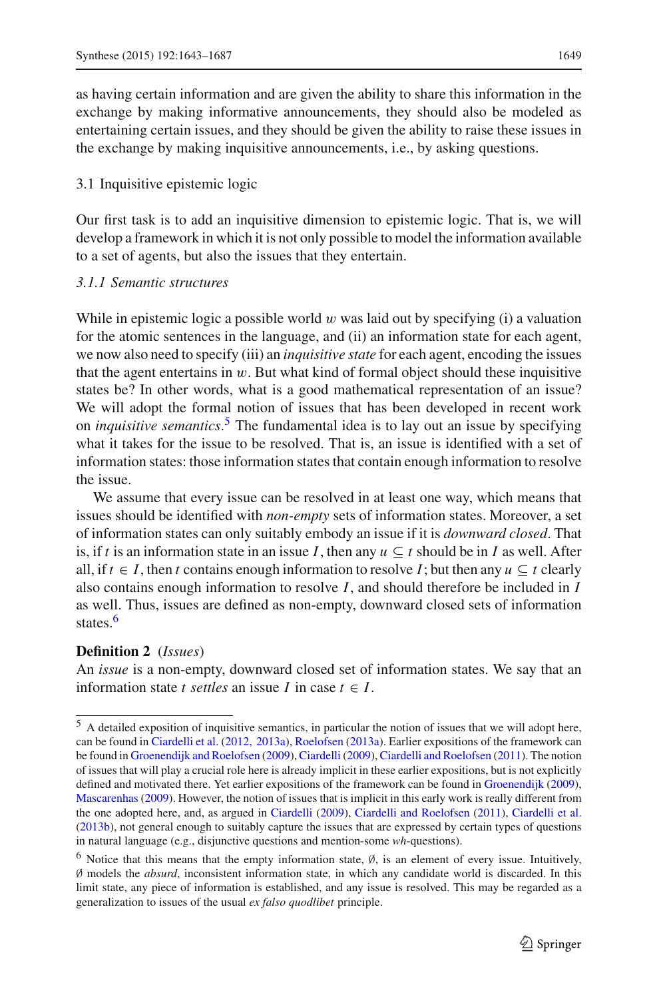as having certain information and are given the ability to share this information in the exchange by making informative announcements, they should also be modeled as entertaining certain issues, and they should be given the ability to raise these issues in the exchange by making inquisitive announcements, i.e., by asking questions.

## 3.1 Inquisitive epistemic logic

Our first task is to add an inquisitive dimension to epistemic logic. That is, we will develop a framework in which it is not only possible to model the information available to a set of agents, but also the issues that they entertain.

## *3.1.1 Semantic structures*

While in epistemic logic a possible world  $w$  was laid out by specifying (i) a valuation for the atomic sentences in the language, and (ii) an information state for each agent, we now also need to specify (iii) an *inquisitive state* for each agent, encoding the issues that the agent entertains in  $w$ . But what kind of formal object should these inquisitive states be? In other words, what is a good mathematical representation of an issue? We will adopt the formal notion of issues that has been developed in recent work on *inquisitive semantics*. [5](#page-7-0) The fundamental idea is to lay out an issue by specifying what it takes for the issue to be resolved. That is, an issue is identified with a set of information states: those information states that contain enough information to resolve the issue.

We assume that every issue can be resolved in at least one way, which means that issues should be identified with *non-empty* sets of information states. Moreover, a set of information states can only suitably embody an issue if it is *downward closed*. That is, if *t* is an information state in an issue *I*, then any  $u \subseteq t$  should be in *I* as well. After all, if  $t \in I$ , then *t* contains enough information to resolve *I*; but then any  $u \subseteq t$  clearly also contains enough information to resolve *I*, and should therefore be included in *I* as well. Thus, issues are defined as non-empty, downward closed sets of information states.<sup>6</sup>

## <span id="page-7-2"></span>**Definition 2** (*Issues*)

An *issue* is a non-empty, downward closed set of information states. We say that an information state *t settles* an issue *I* in case  $t \in I$ .

<span id="page-7-0"></span><sup>5</sup> A detailed exposition of inquisitive semantics, in particular the notion of issues that we will adopt here, can be found in [Ciardelli et al.](#page-44-1) [\(2012](#page-44-1), [2013a](#page-44-2)), [Roelofsen](#page-44-6) [\(2013a](#page-44-6)). Earlier expositions of the framework can be found in [Groenendijk and Roelofsen](#page-44-0) [\(2009\)](#page-44-0), [Ciardelli](#page-43-0) [\(2009](#page-43-0)), [Ciardelli and Roelofsen](#page-43-2) [\(2011\)](#page-43-2). The notion of issues that will play a crucial role here is already implicit in these earlier expositions, but is not explicitly defined and motivated there. Yet earlier expositions of the framework can be found in [Groenendijk](#page-44-7) [\(2009](#page-44-7)), [Mascarenhas](#page-44-8) [\(2009\)](#page-44-8). However, the notion of issues that is implicit in this early work is really different from the one adopted here, and, as argued in [Ciardelli](#page-43-0) [\(2009\)](#page-43-0), [Ciardelli and Roelofsen](#page-43-2) [\(2011\)](#page-43-2), [Ciardelli et al.](#page-44-9) [\(2013b](#page-44-9)), not general enough to suitably capture the issues that are expressed by certain types of questions in natural language (e.g., disjunctive questions and mention-some *wh*-questions).

<span id="page-7-1"></span> $6$  Notice that this means that the empty information state,  $\varnothing$ , is an element of every issue. Intuitively, ∅ models the *absurd*, inconsistent information state, in which any candidate world is discarded. In this limit state, any piece of information is established, and any issue is resolved. This may be regarded as a generalization to issues of the usual *ex falso quodlibet* principle.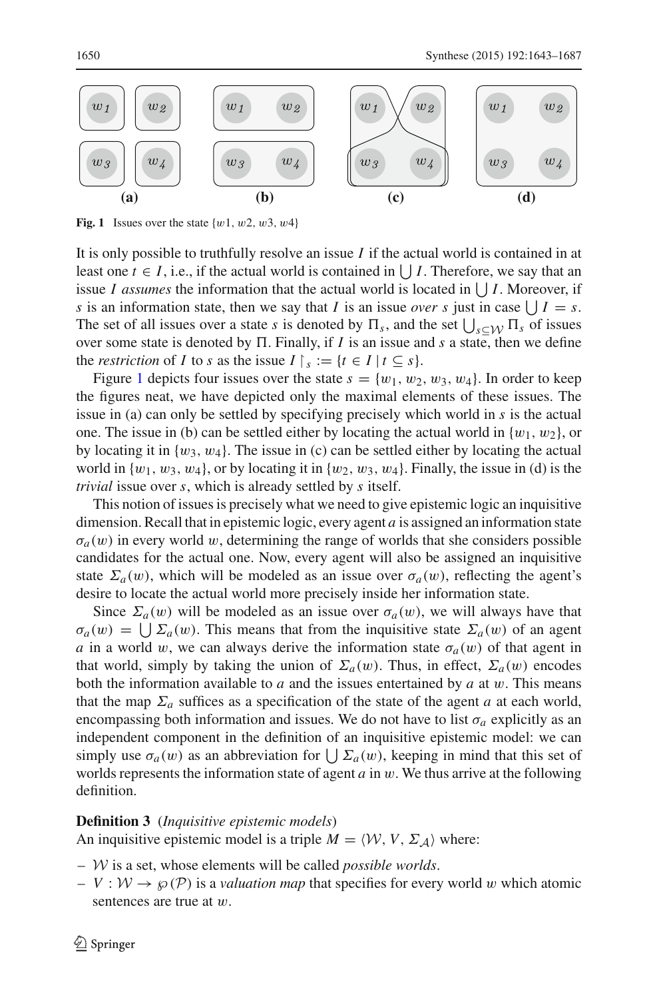

<span id="page-8-0"></span>**Fig. 1** Issues over the state  $\{w_1, w_2, w_3, w_4\}$ 

It is only possible to truthfully resolve an issue *I* if the actual world is contained in at least one  $t \in I$ , i.e., if the actual world is contained in  $\bigcup I$ . Therefore, we say that an issue *I* assumes the information that the actual world is located in  $\bigcup I$ . Moreover, if *s* is an information state, then we say that *I* is an issue *over s* just in case  $\bigcup I = s$ . The set of all issues over a state *s* is denoted by  $\Pi_s$ , and the set  $\bigcup_{s \subseteq W} \Pi_s$  of issues over some state is denoted by  $\Pi$ . Finally, if *I* is an issue and *s* a state, then we define the *restriction* of *I* to *s* as the issue  $I \mid s := \{t \in I \mid t \subseteq s\}.$ 

Figure [1](#page-8-0) depicts four issues over the state  $s = \{w_1, w_2, w_3, w_4\}$ . In order to keep the figures neat, we have depicted only the maximal elements of these issues. The issue in (a) can only be settled by specifying precisely which world in *s* is the actual one. The issue in (b) can be settled either by locating the actual world in  $\{w_1, w_2\}$ , or by locating it in  $\{w_3, w_4\}$ . The issue in (c) can be settled either by locating the actual world in  $\{w_1, w_3, w_4\}$ , or by locating it in  $\{w_2, w_3, w_4\}$ . Finally, the issue in (d) is the *trivial* issue over *s*, which is already settled by *s* itself.

This notion of issues is precisely what we need to give epistemic logic an inquisitive dimension. Recall that in epistemic logic, every agent *a* is assigned an information state  $\sigma_a(w)$  in every world w, determining the range of worlds that she considers possible candidates for the actual one. Now, every agent will also be assigned an inquisitive state  $\Sigma_a(w)$ , which will be modeled as an issue over  $\sigma_a(w)$ , reflecting the agent's desire to locate the actual world more precisely inside her information state.

Since  $\Sigma_a(w)$  will be modeled as an issue over  $\sigma_a(w)$ , we will always have that  $\sigma_a(w) = \bigcup \Sigma_a(w)$ . This means that from the inquisitive state  $\Sigma_a(w)$  of an agent *a* in a world w, we can always derive the information state  $\sigma_a(w)$  of that agent in that world, simply by taking the union of  $\Sigma_a(w)$ . Thus, in effect,  $\Sigma_a(w)$  encodes both the information available to *a* and the issues entertained by *a* at w. This means that the map  $\Sigma_a$  suffices as a specification of the state of the agent *a* at each world, encompassing both information and issues. We do not have to list  $\sigma_a$  explicitly as an independent component in the definition of an inquisitive epistemic model: we can simply use  $\sigma_a(w)$  as an abbreviation for  $\bigcup \Sigma_a(w)$ , keeping in mind that this set of worlds represents the information state of agent *a* in w. We thus arrive at the following definition.

#### **Definition 3** (*Inquisitive epistemic models*)

An inquisitive epistemic model is a triple  $M = \langle W, V, \Sigma_A \rangle$  where:

- *W* is a set, whose elements will be called *possible worlds*.
- $-V : W \rightarrow \wp(\mathcal{P})$  is a *valuation map* that specifies for every world w which atomic sentences are true at w.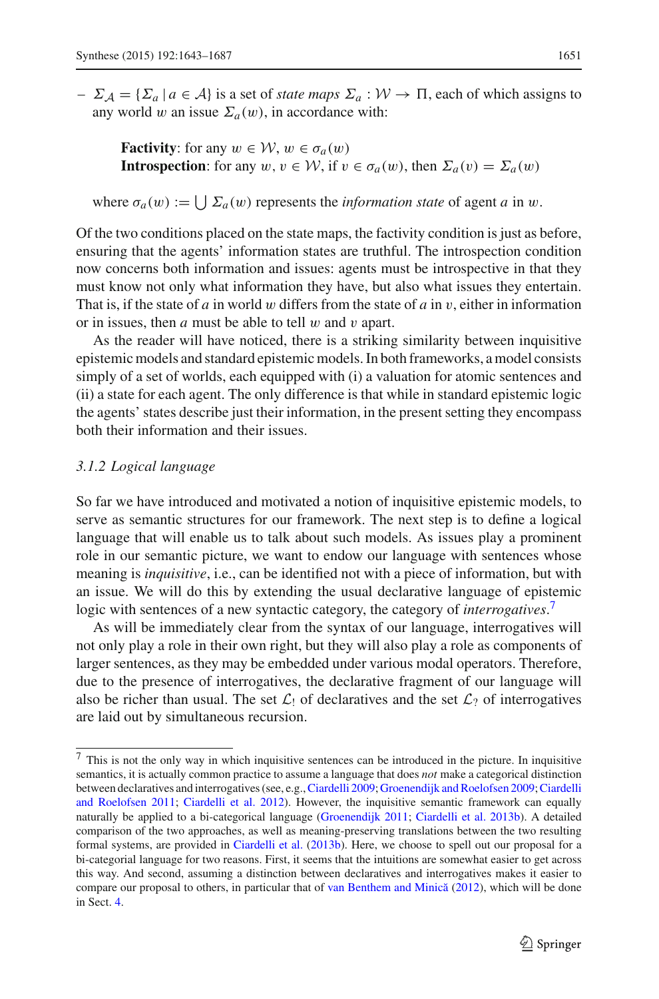$-\Sigma_A = \{\Sigma_a | a \in \mathcal{A}\}\$ is a set of *state maps*  $\Sigma_a : \mathcal{W} \to \Pi$ , each of which assigns to any world w an issue  $\Sigma_a(w)$ , in accordance with:

**Factivity**: for any  $w \in \mathcal{W}$ ,  $w \in \sigma_a(w)$ **Introspection**: for any  $w, v \in \mathcal{W}$ , if  $v \in \sigma_a(w)$ , then  $\Sigma_a(v) = \Sigma_a(w)$ 

where  $\sigma_a(w) := \bigcup \Sigma_a(w)$  represents the *information state* of agent *a* in *w*.

Of the two conditions placed on the state maps, the factivity condition is just as before, ensuring that the agents' information states are truthful. The introspection condition now concerns both information and issues: agents must be introspective in that they must know not only what information they have, but also what issues they entertain. That is, if the state of *a* in world w differs from the state of *a* in v, either in information or in issues, then *a* must be able to tell w and v apart.

As the reader will have noticed, there is a striking similarity between inquisitive epistemic models and standard epistemic models. In both frameworks, a model consists simply of a set of worlds, each equipped with (i) a valuation for atomic sentences and (ii) a state for each agent. The only difference is that while in standard epistemic logic the agents' states describe just their information, in the present setting they encompass both their information and their issues.

#### *3.1.2 Logical language*

So far we have introduced and motivated a notion of inquisitive epistemic models, to serve as semantic structures for our framework. The next step is to define a logical language that will enable us to talk about such models. As issues play a prominent role in our semantic picture, we want to endow our language with sentences whose meaning is *inquisitive*, i.e., can be identified not with a piece of information, but with an issue. We will do this by extending the usual declarative language of epistemic logic with sentences of a new syntactic category, the category of *interrogatives*. [7](#page-9-0)

As will be immediately clear from the syntax of our language, interrogatives will not only play a role in their own right, but they will also play a role as components of larger sentences, as they may be embedded under various modal operators. Therefore, due to the presence of interrogatives, the declarative fragment of our language will also be richer than usual. The set  $\mathcal{L}_1$  of declaratives and the set  $\mathcal{L}_2$  of interrogatives are laid out by simultaneous recursion.

<span id="page-9-0"></span> $7$  This is not the only way in which inquisitive sentences can be introduced in the picture. In inquisitive semantics, it is actually common practice to assume a language that does *not* make a categorical distinction between declar[atives](#page-43-2) [and](#page-43-2) [interrogatives](#page-43-2) [\(see,](#page-43-2) [e.g.,](#page-43-2)[Ciardelli 2009](#page-43-0)[;](#page-43-2) [Groenendijk and Roelofsen 2009;](#page-44-0)Ciardelli and Roelofsen [2011](#page-43-2); [Ciardelli et al. 2012\)](#page-44-1). However, the inquisitive semantic framework can equally naturally be applied to a bi-categorical language [\(Groenendijk 2011;](#page-44-10) [Ciardelli et al. 2013b\)](#page-44-9). A detailed comparison of the two approaches, as well as meaning-preserving translations between the two resulting formal systems, are provided in [Ciardelli et al.](#page-44-9) [\(2013b](#page-44-9)). Here, we choose to spell out our proposal for a bi-categorial language for two reasons. First, it seems that the intuitions are somewhat easier to get across this way. And second, assuming a distinction between declaratives and interrogatives makes it easier to compare our proposal to others, in particular that of van Benthem and Minică [\(2012\)](#page-45-2), which will be done in Sect. [4.](#page-33-0)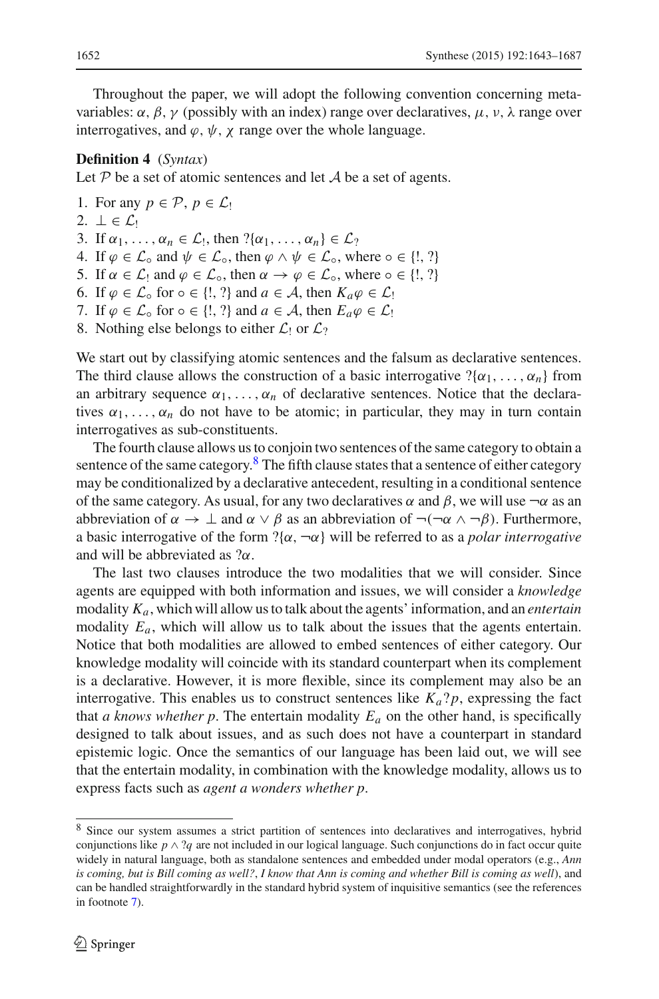Throughout the paper, we will adopt the following convention concerning metavariables:  $\alpha$ ,  $\beta$ ,  $\gamma$  (possibly with an index) range over declaratives,  $\mu$ ,  $\nu$ ,  $\lambda$  range over interrogatives, and  $\varphi$ ,  $\psi$ ,  $\chi$  range over the whole language.

#### **Definition 4** (*Syntax*)

Let P be a set of atomic sentences and let A be a set of agents.

1. For any  $p \in \mathcal{P}, p \in \mathcal{L}$ ! 2. ⊥ ∈ *L*! 3. If  $\alpha_1, \ldots, \alpha_n \in \mathcal{L}_1$ , then  $?\{\alpha_1, \ldots, \alpha_n\} \in \mathcal{L}_2$ 4. If  $\varphi \in \mathcal{L}_{\circ}$  and  $\psi \in \mathcal{L}_{\circ}$ , then  $\varphi \wedge \psi \in \mathcal{L}_{\circ}$ , where  $\circ \in \{!, \, ?\}$ 5. If  $\alpha \in \mathcal{L}_1$  and  $\varphi \in \mathcal{L}_0$ , then  $\alpha \to \varphi \in \mathcal{L}_0$ , where  $\circ \in \{!, \, \}$ 6. If  $\varphi \in \mathcal{L}_{\circ}$  for  $\circ \in \{!, ?\}$  and  $a \in \mathcal{A}$ , then  $K_a \varphi \in \mathcal{L}_{\cdot}$ 7. If  $\varphi \in \mathcal{L}_{\circ}$  for  $\circ \in \{!,\}$  and  $a \in \mathcal{A}$ , then  $E_a \varphi \in \mathcal{L}_{\cdot}$ 8. Nothing else belongs to either  $\mathcal{L}_1$  or  $\mathcal{L}_2$ 

We start out by classifying atomic sentences and the falsum as declarative sentences. The third clause allows the construction of a basic interrogative  $?\{\alpha_1, \ldots, \alpha_n\}$  from an arbitrary sequence  $\alpha_1, \ldots, \alpha_n$  of declarative sentences. Notice that the declaratives  $\alpha_1, \ldots, \alpha_n$  do not have to be atomic; in particular, they may in turn contain interrogatives as sub-constituents.

The fourth clause allows us to conjoin two sentences of the same category to obtain a sentence of the same category. $8$  The fifth clause states that a sentence of either category may be conditionalized by a declarative antecedent, resulting in a conditional sentence of the same category. As usual, for any two declaratives  $\alpha$  and  $\beta$ , we will use  $\neg \alpha$  as an abbreviation of  $\alpha \to \bot$  and  $\alpha \vee \beta$  as an abbreviation of  $\neg(\neg \alpha \wedge \neg \beta)$ . Furthermore, a basic interrogative of the form  $?\{\alpha, -\alpha\}$  will be referred to as a *polar interrogative* and will be abbreviated as  $2\alpha$ .

The last two clauses introduce the two modalities that we will consider. Since agents are equipped with both information and issues, we will consider a *knowledge* modality *Ka*, which will allow us to talk about the agents' information, and an *entertain* modality  $E_a$ , which will allow us to talk about the issues that the agents entertain. Notice that both modalities are allowed to embed sentences of either category. Our knowledge modality will coincide with its standard counterpart when its complement is a declarative. However, it is more flexible, since its complement may also be an interrogative. This enables us to construct sentences like  $K_a$ ?*p*, expressing the fact that *a knows whether p*. The entertain modality  $E_a$  on the other hand, is specifically designed to talk about issues, and as such does not have a counterpart in standard epistemic logic. Once the semantics of our language has been laid out, we will see that the entertain modality, in combination with the knowledge modality, allows us to express facts such as *agent a wonders whether p*.

<span id="page-10-0"></span><sup>8</sup> Since our system assumes a strict partition of sentences into declaratives and interrogatives, hybrid conjunctions like *p*  $\land$  ?*q* are not included in our logical language. Such conjunctions do in fact occur quite widely in natural language, both as standalone sentences and embedded under modal operators (e.g., *Ann is coming, but is Bill coming as well?*, *I know that Ann is coming and whether Bill is coming as well*), and can be handled straightforwardly in the standard hybrid system of inquisitive semantics (see the references in footnote [7\)](#page-9-0).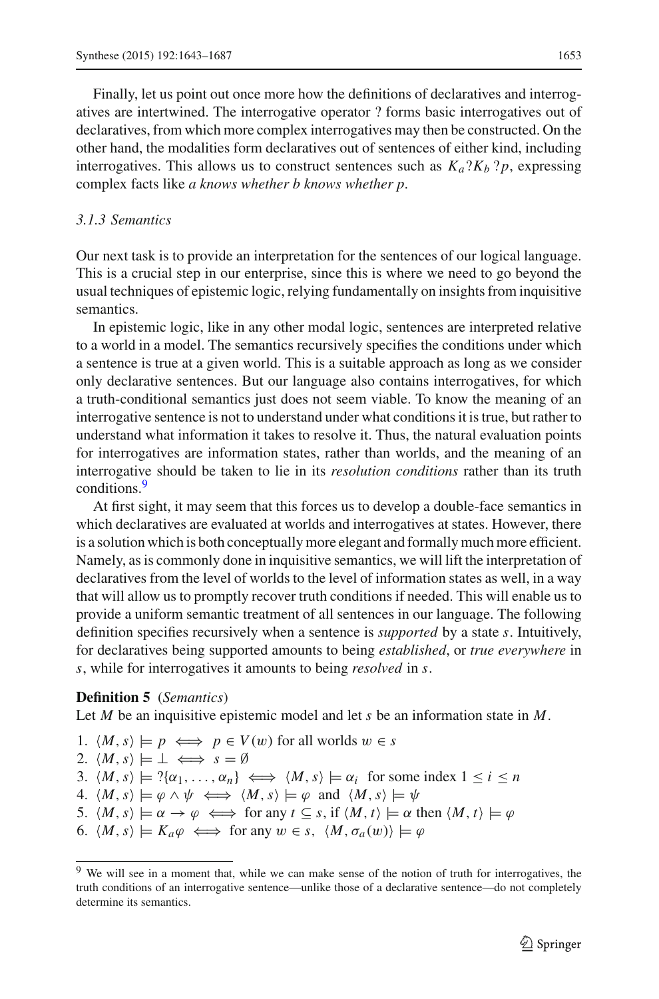Finally, let us point out once more how the definitions of declaratives and interrogatives are intertwined. The interrogative operator ? forms basic interrogatives out of declaratives, from which more complex interrogatives may then be constructed. On the other hand, the modalities form declaratives out of sentences of either kind, including interrogatives. This allows us to construct sentences such as  $K_a$ ?*K<sub>b</sub>* ?*p*, expressing complex facts like *a knows whether b knows whether p*.

#### *3.1.3 Semantics*

Our next task is to provide an interpretation for the sentences of our logical language. This is a crucial step in our enterprise, since this is where we need to go beyond the usual techniques of epistemic logic, relying fundamentally on insights from inquisitive semantics.

In epistemic logic, like in any other modal logic, sentences are interpreted relative to a world in a model. The semantics recursively specifies the conditions under which a sentence is true at a given world. This is a suitable approach as long as we consider only declarative sentences. But our language also contains interrogatives, for which a truth-conditional semantics just does not seem viable. To know the meaning of an interrogative sentence is not to understand under what conditions it is true, but rather to understand what information it takes to resolve it. Thus, the natural evaluation points for interrogatives are information states, rather than worlds, and the meaning of an interrogative should be taken to lie in its *resolution conditions* rather than its truth conditions[.9](#page-11-0)

At first sight, it may seem that this forces us to develop a double-face semantics in which declaratives are evaluated at worlds and interrogatives at states. However, there is a solution which is both conceptually more elegant and formally much more efficient. Namely, as is commonly done in inquisitive semantics, we will lift the interpretation of declaratives from the level of worlds to the level of information states as well, in a way that will allow us to promptly recover truth conditions if needed. This will enable us to provide a uniform semantic treatment of all sentences in our language. The following definition specifies recursively when a sentence is *supported* by a state *s*. Intuitively, for declaratives being supported amounts to being *established*, or *true everywhere* in *s*, while for interrogatives it amounts to being *resolved* in *s*.

#### **Definition 5** (*Semantics*)

Let *M* be an inquisitive epistemic model and let *s* be an information state in *M*.

1.  $\langle M, s \rangle \models p \iff p \in V(w) \text{ for all worlds } w \in s$ 2.  $\langle M, s \rangle \models \bot \iff s = \emptyset$ 3.  $\langle M, s \rangle \models ?\{\alpha_1, \ldots, \alpha_n\} \iff \langle M, s \rangle \models \alpha_i \text{ for some index } 1 \le i \le n$ 4.  $\langle M, s \rangle \models \varphi \land \psi \iff \langle M, s \rangle \models \varphi \text{ and } \langle M, s \rangle \models \psi$ 5.  $\langle M, s \rangle \models \alpha \rightarrow \varphi \iff \text{for any } t \subseteq s, \text{ if } \langle M, t \rangle \models \alpha \text{ then } \langle M, t \rangle \models \varphi$ 6.  $\langle M, s \rangle \models K_a \varphi \iff \text{for any } w \in s, \langle M, \sigma_a(w) \rangle \models \varphi$ 

<span id="page-11-0"></span><sup>&</sup>lt;sup>9</sup> We will see in a moment that, while we can make sense of the notion of truth for interrogatives, the truth conditions of an interrogative sentence—unlike those of a declarative sentence—do not completely determine its semantics.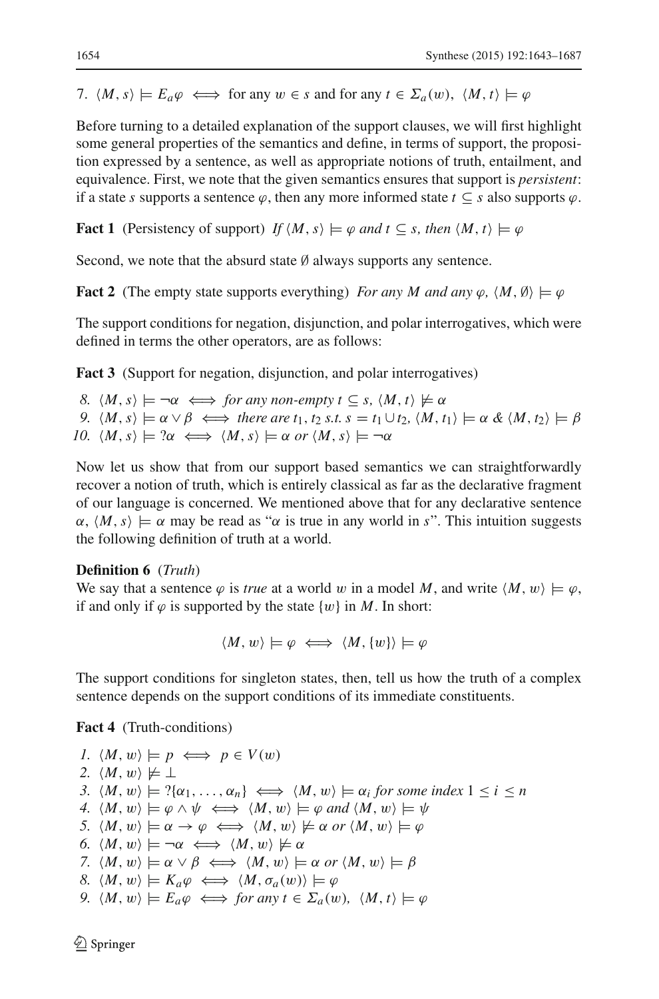7.  $\langle M, s \rangle \models E_a \varphi \iff \text{for any } w \in s \text{ and for any } t \in \Sigma_a(w), \langle M, t \rangle \models \varphi$ 

Before turning to a detailed explanation of the support clauses, we will first highlight some general properties of the semantics and define, in terms of support, the proposition expressed by a sentence, as well as appropriate notions of truth, entailment, and equivalence. First, we note that the given semantics ensures that support is *persistent*: if a state *s* supports a sentence  $\varphi$ , then any more informed state  $t \subseteq s$  also supports  $\varphi$ .

<span id="page-12-0"></span>**Fact 1** (Persistency of support) *If*  $\langle M, s \rangle \models \varphi$  *and t*  $\subseteq$  *s, then*  $\langle M, t \rangle \models \varphi$ 

<span id="page-12-1"></span>Second, we note that the absurd state  $\emptyset$  always supports any sentence.

**Fact 2** (The empty state supports everything) *For any M and any*  $\varphi$ ,  $\langle M, \emptyset \rangle \models \varphi$ 

The support conditions for negation, disjunction, and polar interrogatives, which were defined in terms the other operators, are as follows:

**Fact 3** (Support for negation, disjunction, and polar interrogatives)

*8.*  $\langle M, s \rangle \models \neg \alpha \iff \text{for any non-empty } t \subseteq s, \langle M, t \rangle \not\models \alpha$ *9.*  $\langle M, s \rangle \models \alpha \lor \beta \iff \text{there are } t_1, t_2 \text{ s.t. } s = t_1 \cup t_2, \langle M, t_1 \rangle \models \alpha \& \langle M, t_2 \rangle \models \beta$ *10.*  $\langle M, s \rangle \models ?\alpha \iff \langle M, s \rangle \models \alpha \text{ or } \langle M, s \rangle \models \neg \alpha$ 

Now let us show that from our support based semantics we can straightforwardly recover a notion of truth, which is entirely classical as far as the declarative fragment of our language is concerned. We mentioned above that for any declarative sentence  $\alpha$ ,  $\langle M, s \rangle \models \alpha$  may be read as " $\alpha$  is true in any world in *s*". This intuition suggests the following definition of truth at a world.

#### **Definition 6** (*Truth*)

We say that a sentence  $\varphi$  is *true* at a world w in a model M, and write  $\langle M, w \rangle \models \varphi$ , if and only if  $\varphi$  is supported by the state  $\{w\}$  in *M*. In short:

 $\langle M, w \rangle \models \varphi \iff \langle M, \{w\} \rangle \models \varphi$ 

<span id="page-12-2"></span>The support conditions for singleton states, then, tell us how the truth of a complex sentence depends on the support conditions of its immediate constituents.

**Fact 4** (Truth-conditions)

*1.*  $\langle M, w \rangle \models p \iff p \in V(w)$ 2.  $\langle M, w \rangle \not\models \bot$ 3.  $\langle M, w \rangle \models ?\{\alpha_1, \ldots, \alpha_n\} \iff \langle M, w \rangle \models \alpha_i \text{ for some index } 1 \leq i \leq n$ 4.  $\langle M, w \rangle \models \varphi \land \psi \iff \langle M, w \rangle \models \varphi \text{ and } \langle M, w \rangle \models \psi$ *5.*  $\langle M, w \rangle \models \alpha \rightarrow \varphi \iff \langle M, w \rangle \not\models \alpha \text{ or } \langle M, w \rangle \models \varphi$ *6.*  $\langle M, w \rangle \models \neg \alpha \iff \langle M, w \rangle \not\models \alpha$ *7.*  $\langle M, w \rangle \models \alpha \lor \beta \iff \langle M, w \rangle \models \alpha \text{ or } \langle M, w \rangle \models \beta$ 8.  $\langle M, w \rangle \models K_a \varphi \iff \langle M, \sigma_a(w) \rangle \models \varphi$ *9.*  $\langle M, w \rangle \models E_a \varphi \iff \text{for any } t \in \Sigma_a(w), \ \langle M, t \rangle \models \varphi$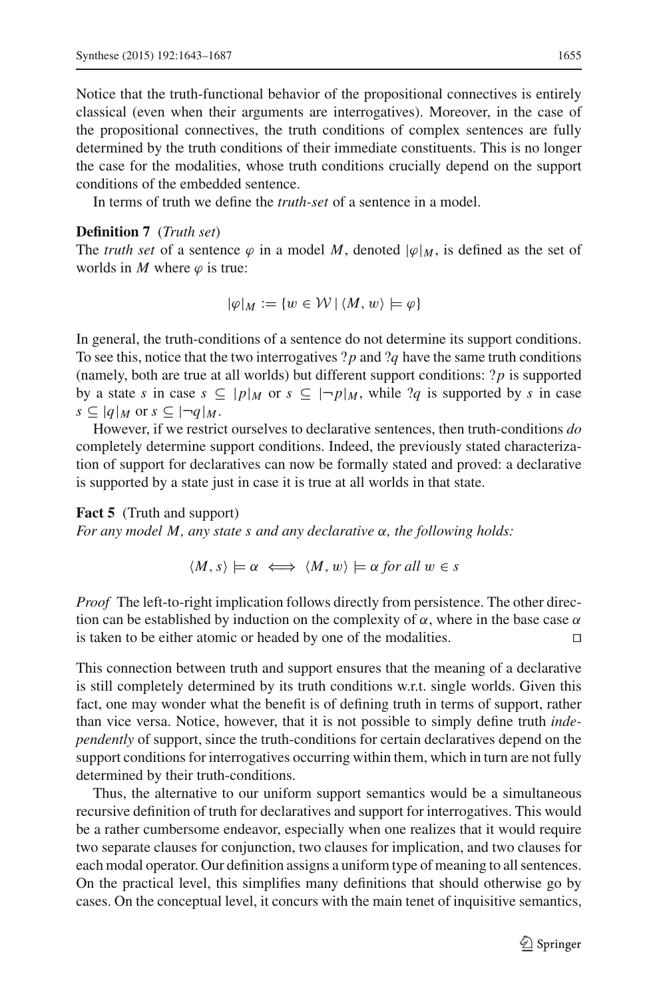Notice that the truth-functional behavior of the propositional connectives is entirely classical (even when their arguments are interrogatives). Moreover, in the case of the propositional connectives, the truth conditions of complex sentences are fully determined by the truth conditions of their immediate constituents. This is no longer the case for the modalities, whose truth conditions crucially depend on the support conditions of the embedded sentence.

In terms of truth we define the *truth-set* of a sentence in a model.

#### **Definition 7** (*Truth set*)

The *truth set* of a sentence  $\varphi$  in a model *M*, denoted  $|\varphi|_M$ , is defined as the set of worlds in  $M$  where  $\varphi$  is true:

$$
|\varphi|_M := \{ w \in \mathcal{W} \mid \langle M, w \rangle \models \varphi \}
$$

In general, the truth-conditions of a sentence do not determine its support conditions. To see this, notice that the two interrogatives ?*p* and ?*q* have the same truth conditions (namely, both are true at all worlds) but different support conditions: ?*p* is supported by a state *s* in case  $s \subseteq |p|_M$  or  $s \subseteq |\neg p|_M$ , while ?*q* is supported by *s* in case  $s \subseteq |q|_M$  or  $s \subseteq |\neg q|_M$ .

However, if we restrict ourselves to declarative sentences, then truth-conditions *do* completely determine support conditions. Indeed, the previously stated characterization of support for declaratives can now be formally stated and proved: a declarative is supported by a state just in case it is true at all worlds in that state.

<span id="page-13-0"></span>**Fact 5** (Truth and support) *For any model M, any state s and any declarative* α*, the following holds:*

$$
\langle M, s \rangle \models \alpha \iff \langle M, w \rangle \models \alpha \text{ for all } w \in s
$$

*Proof* The left-to-right implication follows directly from persistence. The other direction can be established by induction on the complexity of  $\alpha$ , where in the base case  $\alpha$ is taken to be either atomic or headed by one of the modalities.

This connection between truth and support ensures that the meaning of a declarative is still completely determined by its truth conditions w.r.t. single worlds. Given this fact, one may wonder what the benefit is of defining truth in terms of support, rather than vice versa. Notice, however, that it is not possible to simply define truth *independently* of support, since the truth-conditions for certain declaratives depend on the support conditions for interrogatives occurring within them, which in turn are not fully determined by their truth-conditions.

Thus, the alternative to our uniform support semantics would be a simultaneous recursive definition of truth for declaratives and support for interrogatives. This would be a rather cumbersome endeavor, especially when one realizes that it would require two separate clauses for conjunction, two clauses for implication, and two clauses for each modal operator. Our definition assigns a uniform type of meaning to all sentences. On the practical level, this simplifies many definitions that should otherwise go by cases. On the conceptual level, it concurs with the main tenet of inquisitive semantics,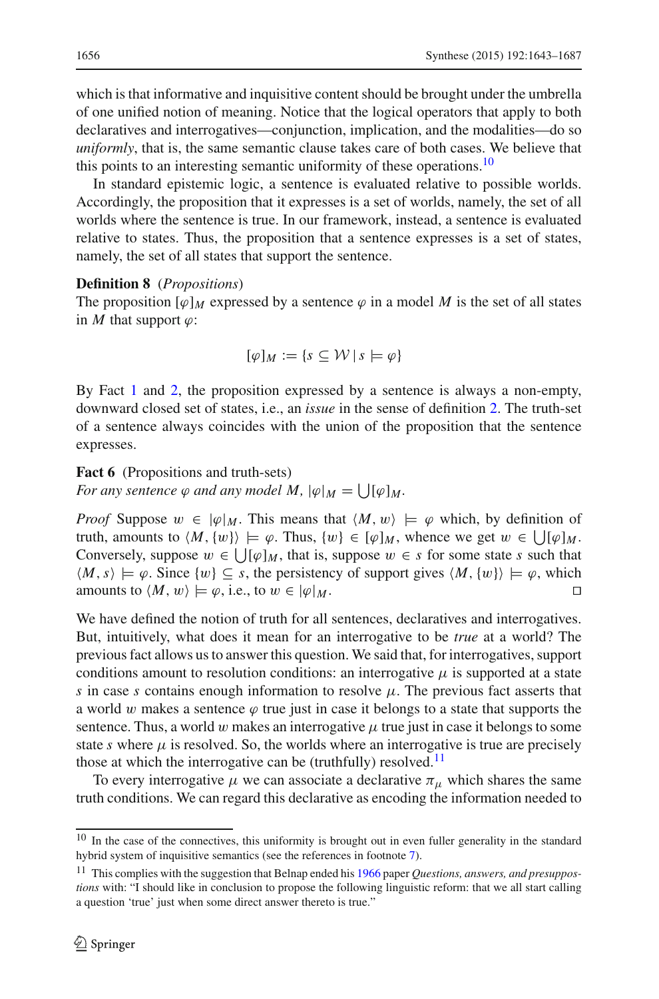which is that informative and inquisitive content should be brought under the umbrella of one unified notion of meaning. Notice that the logical operators that apply to both declaratives and interrogatives—conjunction, implication, and the modalities—do so *uniformly*, that is, the same semantic clause takes care of both cases. We believe that this points to an interesting semantic uniformity of these operations.<sup>[10](#page-14-0)</sup>

In standard epistemic logic, a sentence is evaluated relative to possible worlds. Accordingly, the proposition that it expresses is a set of worlds, namely, the set of all worlds where the sentence is true. In our framework, instead, a sentence is evaluated relative to states. Thus, the proposition that a sentence expresses is a set of states, namely, the set of all states that support the sentence.

#### **Definition 8** (*Propositions*)

The proposition  $\lbrack \varphi \rbrack_M$  expressed by a sentence  $\varphi$  in a model M is the set of all states in *M* that support  $\varphi$ :

$$
[\varphi]_M := \{ s \subseteq \mathcal{W} \mid s \models \varphi \}
$$

By Fact [1](#page-12-0) and [2,](#page-12-1) the proposition expressed by a sentence is always a non-empty, downward closed set of states, i.e., an *issue* in the sense of definition [2.](#page-7-2) The truth-set of a sentence always coincides with the union of the proposition that the sentence expresses.

## **Fact 6** (Propositions and truth-sets) *For any sentence*  $\varphi$  *and any model M,*  $|\varphi|_M = \bigcup [\varphi]_M$ .

*Proof* Suppose  $w \in |\varphi|_M$ . This means that  $\langle M, w \rangle \models \varphi$  which, by definition of truth, amounts to  $\langle M, \{w\} \rangle \models \varphi$ . Thus,  $\{w\} \in [\varphi]_M$ , whence we get  $w \in \bigcup [\varphi]_M$ . Conversely, suppose  $w \in \bigcup [\varphi]_M$ , that is, suppose  $w \in s$  for some state *s* such that  $\langle M, s \rangle \models \varphi$ . Since  $\{w\} \subseteq s$ , the persistency of support gives  $\langle M, \{w\} \rangle \models \varphi$ , which amounts to  $\langle M, w \rangle \models \varphi$ , i.e., to  $w \in |\varphi|_M$ .

We have defined the notion of truth for all sentences, declaratives and interrogatives. But, intuitively, what does it mean for an interrogative to be *true* at a world? The previous fact allows us to answer this question. We said that, for interrogatives, support conditions amount to resolution conditions: an interrogative  $\mu$  is supported at a state *s* in case *s* contains enough information to resolve  $\mu$ . The previous fact asserts that a world w makes a sentence  $\varphi$  true just in case it belongs to a state that supports the sentence. Thus, a world w makes an interrogative  $\mu$  true just in case it belongs to some state *s* where  $\mu$  is resolved. So, the worlds where an interrogative is true are precisely those at which the interrogative can be (truthfully) resolved.<sup>[11](#page-14-1)</sup>

To every interrogative  $\mu$  we can associate a declarative  $\pi_{\mu}$  which shares the same truth conditions. We can regard this declarative as encoding the information needed to

<span id="page-14-0"></span><sup>&</sup>lt;sup>10</sup> In the case of the connectives, this uniformity is brought out in even fuller generality in the standard hybrid system of inquisitive semantics (see the references in footnote [7\)](#page-9-0).

<span id="page-14-1"></span><sup>11</sup> This complies with the suggestion that Belnap ended his [1966](#page-43-3) paper *Questions, answers, and presuppostions* with: "I should like in conclusion to propose the following linguistic reform: that we all start calling a question 'true' just when some direct answer thereto is true."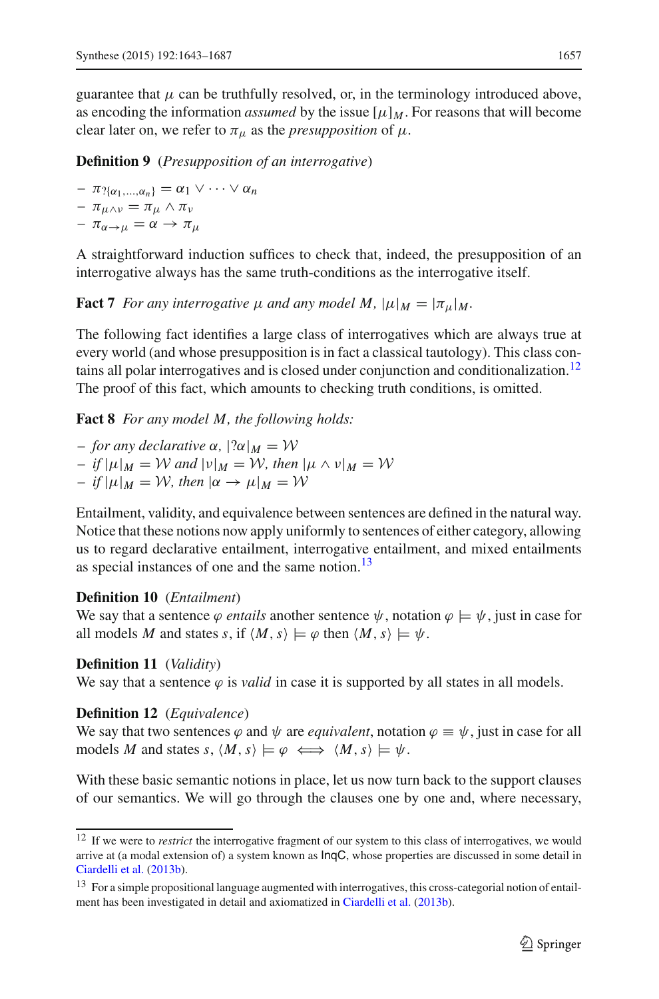guarantee that  $\mu$  can be truthfully resolved, or, in the terminology introduced above, as encoding the information *assumed* by the issue  $[\mu]_M$ . For reasons that will become clear later on, we refer to  $\pi_{\mu}$  as the *presupposition* of  $\mu$ .

**Definition 9** (*Presupposition of an interrogative*)

 $-\pi_{\{a_1,\ldots,a_n\}} = \alpha_1 \vee \cdots \vee \alpha_n$  $- \pi_{\mu \wedge \nu} = \pi_{\mu} \wedge \pi_{\nu}$  $- \pi_{\alpha \to \mu} = \alpha \to \pi_{\mu}$ 

<span id="page-15-2"></span>A straightforward induction suffices to check that, indeed, the presupposition of an interrogative always has the same truth-conditions as the interrogative itself.

**Fact 7** *For any interrogative*  $\mu$  *and any model*  $M$ ,  $|\mu|_M = |\pi_{\mu}|_M$ .

The following fact identifies a large class of interrogatives which are always true at every world (and whose presupposition is in fact a classical tautology). This class con-tains all polar interrogatives and is closed under conjunction and conditionalization.<sup>[12](#page-15-0)</sup> The proof of this fact, which amounts to checking truth conditions, is omitted.

<span id="page-15-3"></span>**Fact 8** *For any model M, the following holds:*

*– for any declarative* α*,* |?α|*<sup>M</sup>* = *W – if*  $|\mu|_M = W$  *and*  $|v|_M = W$ *, then*  $|\mu \wedge v|_M = W$ *– if*  $|\mu|_M = W$ *, then*  $|\alpha \rightarrow \mu|_M = W$ 

Entailment, validity, and equivalence between sentences are defined in the natural way. Notice that these notions now apply uniformly to sentences of either category, allowing us to regard declarative entailment, interrogative entailment, and mixed entailments as special instances of one and the same notion.<sup>[13](#page-15-1)</sup>

#### **Definition 10** (*Entailment*)

We say that a sentence  $\varphi$  *entails* another sentence  $\psi$ , notation  $\varphi \models \psi$ , just in case for all models *M* and states *s*, if  $\langle M, s \rangle \models \varphi$  then  $\langle M, s \rangle \models \psi$ .

#### **Definition 11** (*Validity*)

We say that a sentence  $\varphi$  is *valid* in case it is supported by all states in all models.

#### **Definition 12** (*Equivalence*)

We say that two sentences  $\varphi$  and  $\psi$  are *equivalent*, notation  $\varphi \equiv \psi$ , just in case for all models *M* and states *s*,  $\langle M, s \rangle \models \varphi \iff \langle M, s \rangle \models \psi$ .

With these basic semantic notions in place, let us now turn back to the support clauses of our semantics. We will go through the clauses one by one and, where necessary,

<span id="page-15-0"></span><sup>&</sup>lt;sup>12</sup> If we were to *restrict* the interrogative fragment of our system to this class of interrogatives, we would arrive at (a modal extension of) a system known as InqC, whose properties are discussed in some detail in [Ciardelli et al.](#page-44-9) [\(2013b\)](#page-44-9).

<span id="page-15-1"></span><sup>&</sup>lt;sup>13</sup> For a simple propositional language augmented with interrogatives, this cross-categorial notion of entailment has been investigated in detail and axiomatized in [Ciardelli et al.](#page-44-9) [\(2013b\)](#page-44-9).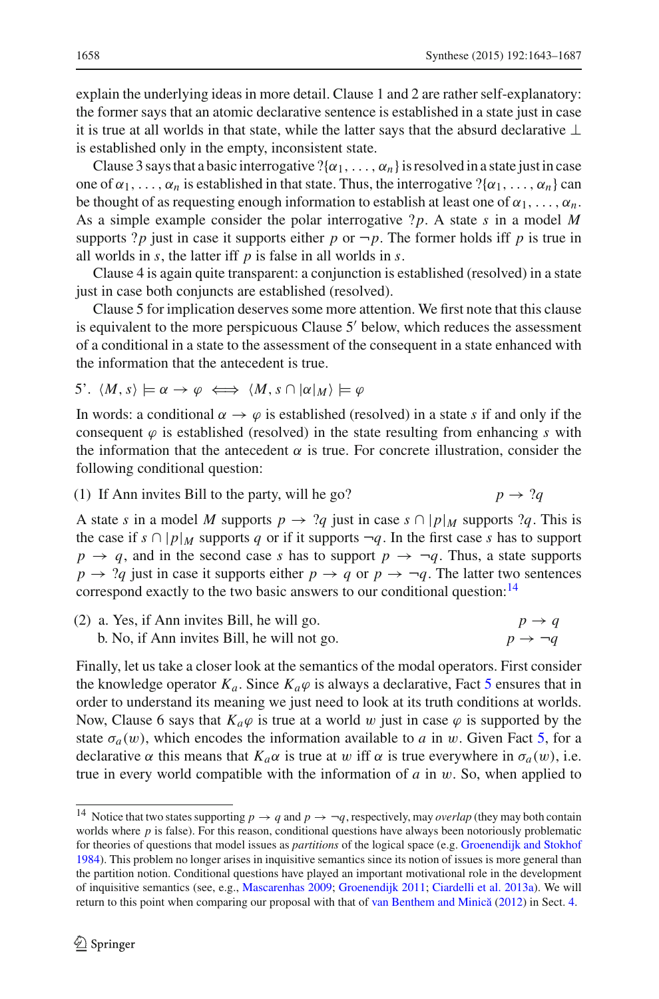explain the underlying ideas in more detail. Clause 1 and 2 are rather self-explanatory: the former says that an atomic declarative sentence is established in a state just in case it is true at all worlds in that state, while the latter says that the absurd declarative ⊥ is established only in the empty, inconsistent state.

Clause 3 says that a basic interrogative  $?\{\alpha_1, \ldots, \alpha_n\}$  is resolved in a state just in case one of  $\alpha_1,\ldots,\alpha_n$  is established in that state. Thus, the interrogative  $\alpha_1,\ldots,\alpha_n$  can be thought of as requesting enough information to establish at least one of  $\alpha_1, \ldots, \alpha_n$ . As a simple example consider the polar interrogative ?*p*. A state *s* in a model *M* supports ?*p* just in case it supports either *p* or  $\neg p$ . The former holds iff *p* is true in all worlds in *s*, the latter iff *p* is false in all worlds in *s*.

Clause 4 is again quite transparent: a conjunction is established (resolved) in a state just in case both conjuncts are established (resolved).

Clause 5 for implication deserves some more attention. We first note that this clause is equivalent to the more perspicuous Clause 5' below, which reduces the assessment of a conditional in a state to the assessment of the consequent in a state enhanced with the information that the antecedent is true.

$$
5'. \langle M, s \rangle \models \alpha \rightarrow \varphi \iff \langle M, s \cap |\alpha|_M \rangle \models \varphi
$$

In words: a conditional  $\alpha \to \varphi$  is established (resolved) in a state *s* if and only if the consequent  $\varphi$  is established (resolved) in the state resulting from enhancing *s* with the information that the antecedent  $\alpha$  is true. For concrete illustration, consider the following conditional question:

(1) If Ann invites Bill to the party, will he go?  $p \to ?q$ 

A state *s* in a model *M* supports  $p \rightarrow ?q$  just in case  $s \cap |p|_M$  supports ?*q*. This is the case if  $s \cap |p|_M$  supports q or if it supports  $\neg q$ . In the first case s has to support  $p \rightarrow q$ , and in the second case *s* has to support  $p \rightarrow \neg q$ . Thus, a state supports  $p \rightarrow ?q$  just in case it supports either  $p \rightarrow q$  or  $p \rightarrow \neg q$ . The latter two sentences correspond exactly to the two basic answers to our conditional question:<sup>14</sup>

(2) a. Yes, if Ann invites Bill, he will go.  $p \rightarrow q$ <br>b. No, if Ann invites Bill, he will not go.  $p \rightarrow \neg q$ b. No, if Ann invites Bill, he will not go.

Finally, let us take a closer look at the semantics of the modal operators. First consider the knowledge operator  $K_a$ . Since  $K_a\varphi$  is always a declarative, Fact [5](#page-13-0) ensures that in order to understand its meaning we just need to look at its truth conditions at worlds. Now, Clause 6 says that  $K_a\varphi$  is true at a world w just in case  $\varphi$  is supported by the state  $\sigma_a(w)$ , which encodes the information available to *a* in *w*. Given Fact [5,](#page-13-0) for a declarative  $\alpha$  this means that  $K_a\alpha$  is true at w iff  $\alpha$  is true everywhere in  $\sigma_a(w)$ , i.e. true in every world compatible with the information of *a* in w. So, when applied to

<span id="page-16-0"></span><sup>&</sup>lt;sup>14</sup> Notice that two states supporting  $p \to q$  and  $p \to \neg q$ , respectively, may *overlap* (they may both contain worlds where *p* is false). For this reason, conditional questions have always been notoriously problematic for theories of questions that model issues as *partitions* of the logical space (e.g. [Groenendijk and Stokhof](#page-44-11) [1984\)](#page-44-11). This problem no longer arises in inquisitive semantics since its notion of issues is more general than the partition notion. Conditional questions have played an important motivational role in the development of inquisitive semantics (see, e.g., [Mascarenhas 2009;](#page-44-8) [Groenendijk 2011](#page-44-10); [Ciardelli et al. 2013a](#page-44-2)). We will return to this point when comparing our proposal with that of van Benthem and Minică [\(2012\)](#page-45-2) in Sect. [4.](#page-33-0)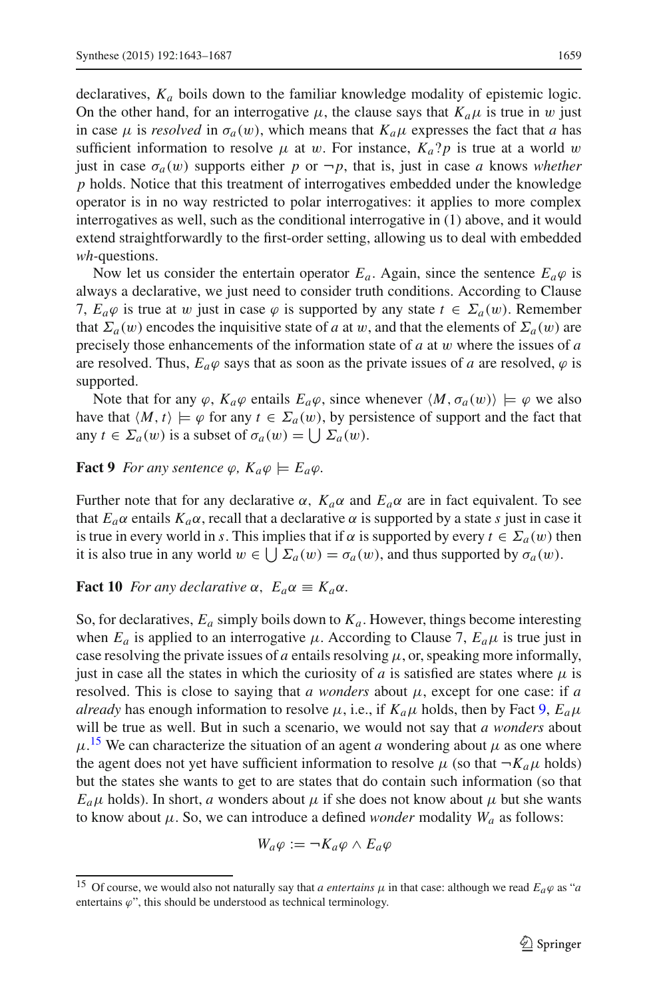declaratives, *Ka* boils down to the familiar knowledge modality of epistemic logic. On the other hand, for an interrogative  $\mu$ , the clause says that  $K_a\mu$  is true in w just in case  $\mu$  is *resolved* in  $\sigma_a(w)$ , which means that  $K_a\mu$  expresses the fact that *a* has sufficient information to resolve  $\mu$  at w. For instance,  $K_a$ ?*p* is true at a world w just in case  $\sigma_a(w)$  supports either *p* or  $\neg p$ , that is, just in case *a* knows *whether p* holds. Notice that this treatment of interrogatives embedded under the knowledge operator is in no way restricted to polar interrogatives: it applies to more complex interrogatives as well, such as the conditional interrogative in (1) above, and it would extend straightforwardly to the first-order setting, allowing us to deal with embedded *wh-*questions.

Now let us consider the entertain operator  $E_a$ . Again, since the sentence  $E_a\varphi$  is always a declarative, we just need to consider truth conditions. According to Clause 7,  $E_a\varphi$  is true at w just in case  $\varphi$  is supported by any state  $t \in \Sigma_a(w)$ . Remember that  $\Sigma_a(w)$  encodes the inquisitive state of *a* at w, and that the elements of  $\Sigma_a(w)$  are precisely those enhancements of the information state of *a* at w where the issues of *a* are resolved. Thus,  $E_a\varphi$  says that as soon as the private issues of *a* are resolved,  $\varphi$  is supported.

Note that for any  $\varphi$ ,  $K_a\varphi$  entails  $E_a\varphi$ , since whenever  $\langle M, \sigma_a(w) \rangle \models \varphi$  we also have that  $\langle M, t \rangle \models \varphi$  for any  $t \in \Sigma_a(w)$ , by persistence of support and the fact that any  $t \in \Sigma_a(w)$  is a subset of  $\sigma_a(w) = \bigcup \Sigma_a(w)$ .

<span id="page-17-0"></span>**Fact 9** *For any sentence*  $\varphi$ *,*  $K_a\varphi \models E_a\varphi$ *.* 

Further note that for any declarative  $\alpha$ ,  $K_a\alpha$  and  $E_a\alpha$  are in fact equivalent. To see that  $E_a\alpha$  entails  $K_a\alpha$ , recall that a declarative  $\alpha$  is supported by a state *s* just in case it is true in every world in *s*. This implies that if  $\alpha$  is supported by every  $t \in \Sigma_a(w)$  then it is also true in any world  $w \in \bigcup \Sigma_a(w) = \sigma_a(w)$ , and thus supported by  $\sigma_a(w)$ .

#### **Fact 10** *For any declarative*  $\alpha$ ,  $E_a \alpha \equiv K_a \alpha$ .

So, for declaratives,  $E_a$  simply boils down to  $K_a$ . However, things become interesting when  $E_a$  is applied to an interrogative  $\mu$ . According to Clause 7,  $E_a\mu$  is true just in case resolving the private issues of *a* entails resolving  $\mu$ , or, speaking more informally, just in case all the states in which the curiosity of  $a$  is satisfied are states where  $\mu$  is resolved. This is close to saying that *a wonders* about  $\mu$ , except for one case: if *a already* has enough information to resolve  $\mu$ , i.e., if  $K_a\mu$  holds, then by Fact [9,](#page-17-0)  $E_a\mu$ will be true as well. But in such a scenario, we would not say that *a wonders* about  $\mu$ .<sup>[15](#page-17-1)</sup> We can characterize the situation of an agent *a* wondering about  $\mu$  as one where the agent does not yet have sufficient information to resolve  $\mu$  (so that  $\neg K_a \mu$  holds) but the states she wants to get to are states that do contain such information (so that  $E_a\mu$  holds). In short, *a* wonders about  $\mu$  if she does not know about  $\mu$  but she wants to know about  $\mu$ . So, we can introduce a defined *wonder* modality  $W_a$  as follows:

$$
W_a\varphi := \neg K_a\varphi \wedge E_a\varphi
$$

<span id="page-17-1"></span><sup>&</sup>lt;sup>15</sup> Of course, we would also not naturally say that *a entertains*  $\mu$  in that case: although we read  $E_a\varphi$  as "*a* entertains  $\varphi$ ", this should be understood as technical terminology.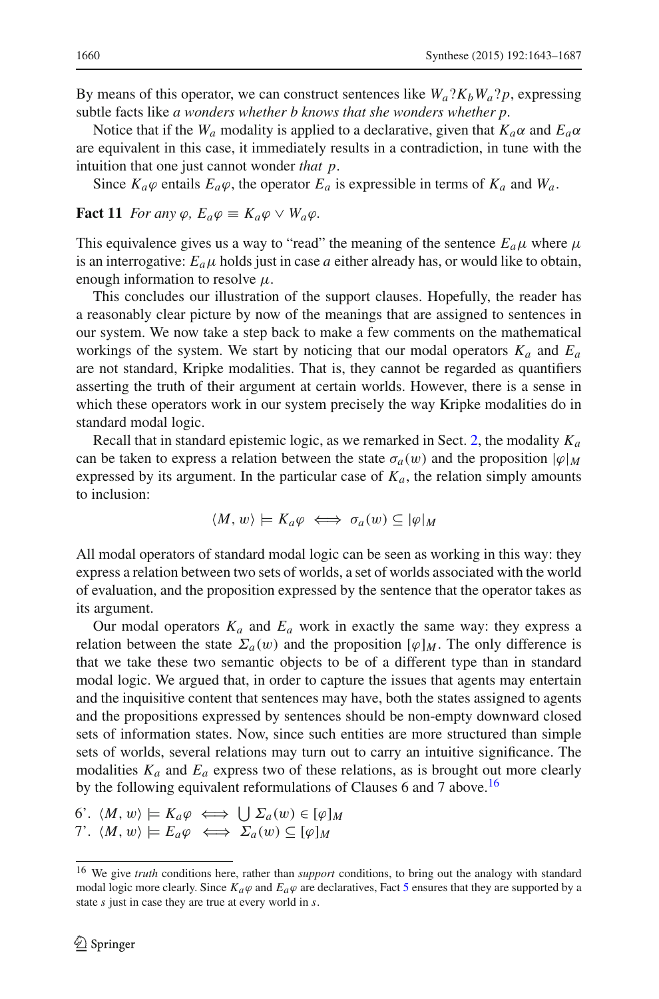By means of this operator, we can construct sentences like  $W_a?K_bW_a?p$ , expressing subtle facts like *a wonders whether b knows that she wonders whether p*.

Notice that if the *W<sub>a</sub>* modality is applied to a declarative, given that  $K_a\alpha$  and  $E_a\alpha$ are equivalent in this case, it immediately results in a contradiction, in tune with the intuition that one just cannot wonder *that p*.

Since  $K_a\varphi$  entails  $E_a\varphi$ , the operator  $E_a$  is expressible in terms of  $K_a$  and  $W_a$ .

**Fact 11** *For any*  $\varphi$ *,*  $E_a\varphi \equiv K_a\varphi \vee W_a\varphi$ *.* 

This equivalence gives us a way to "read" the meaning of the sentence  $E_a\mu$  where  $\mu$ is an interrogative:  $E_a\mu$  holds just in case  $a$  either already has, or would like to obtain, enough information to resolve  $\mu$ .

This concludes our illustration of the support clauses. Hopefully, the reader has a reasonably clear picture by now of the meanings that are assigned to sentences in our system. We now take a step back to make a few comments on the mathematical workings of the system. We start by noticing that our modal operators  $K_a$  and  $E_a$ are not standard, Kripke modalities. That is, they cannot be regarded as quantifiers asserting the truth of their argument at certain worlds. However, there is a sense in which these operators work in our system precisely the way Kripke modalities do in standard modal logic.

Recall that in standard epistemic logic, as we remarked in Sect. [2,](#page-2-0) the modality *Ka* can be taken to express a relation between the state  $\sigma_a(w)$  and the proposition  $|\varphi|_M$ expressed by its argument. In the particular case of  $K_a$ , the relation simply amounts to inclusion:

$$
\langle M, w \rangle \models K_a \varphi \iff \sigma_a(w) \subseteq |\varphi|_M
$$

All modal operators of standard modal logic can be seen as working in this way: they express a relation between two sets of worlds, a set of worlds associated with the world of evaluation, and the proposition expressed by the sentence that the operator takes as its argument.

Our modal operators  $K_a$  and  $E_a$  work in exactly the same way: they express a relation between the state  $\Sigma_a(w)$  and the proposition  $[\varphi]_M$ . The only difference is that we take these two semantic objects to be of a different type than in standard modal logic. We argued that, in order to capture the issues that agents may entertain and the inquisitive content that sentences may have, both the states assigned to agents and the propositions expressed by sentences should be non-empty downward closed sets of information states. Now, since such entities are more structured than simple sets of worlds, several relations may turn out to carry an intuitive significance. The modalities  $K_a$  and  $E_a$  express two of these relations, as is brought out more clearly by the following equivalent reformulations of Clauses 6 and 7 above.<sup>[16](#page-18-0)</sup>

6'.  $\langle M, w \rangle \models K_a \varphi \iff \bigcup \Sigma_a(w) \in [\varphi]_M$ 7'.  $\langle M, w \rangle \models E_a \varphi \iff \Sigma_a(w) \subseteq [\varphi]_M$ 

<span id="page-18-0"></span><sup>16</sup> We give *truth* conditions here, rather than *support* conditions, to bring out the analogy with standard modal logic more clearly. Since  $K_a\varphi$  and  $E_a\varphi$  are declaratives, Fact [5](#page-13-0) ensures that they are supported by a state *s* just in case they are true at every world in *s*.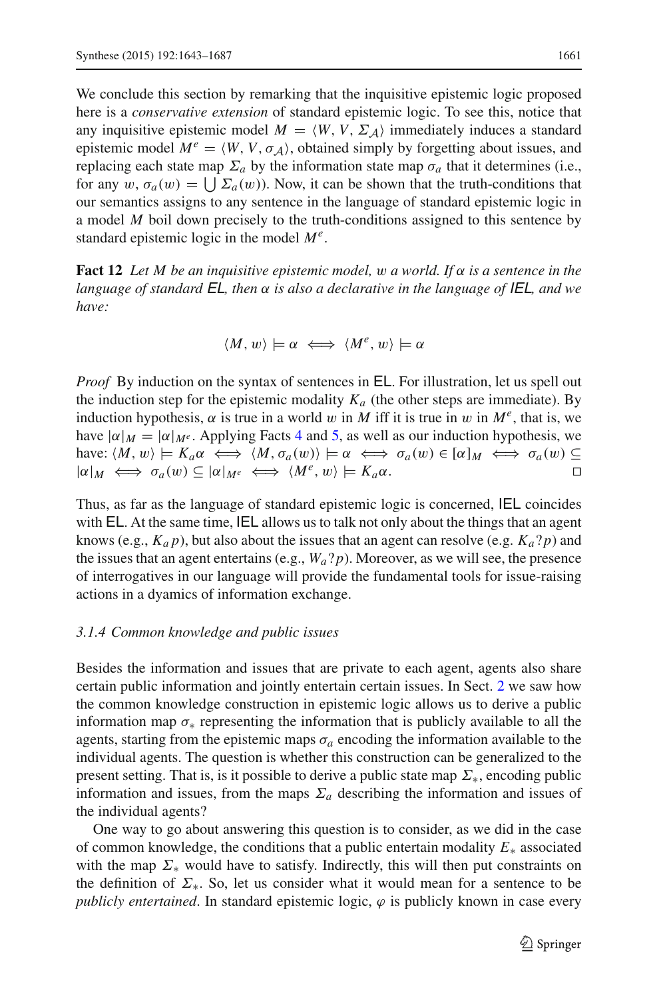We conclude this section by remarking that the inquisitive epistemic logic proposed here is a *conservative extension* of standard epistemic logic. To see this, notice that any inquisitive epistemic model  $M = \langle W, V, \Sigma_A \rangle$  immediately induces a standard epistemic model  $M^e = \langle W, V, \sigma_A \rangle$ , obtained simply by forgetting about issues, and replacing each state map  $\Sigma_a$  by the information state map  $\sigma_a$  that it determines (i.e., for any  $w, \sigma_a(w) = \bigcup \Sigma_a(w)$ ). Now, it can be shown that the truth-conditions that our semantics assigns to any sentence in the language of standard epistemic logic in a model *M* boil down precisely to the truth-conditions assigned to this sentence by standard epistemic logic in the model *Me*.

<span id="page-19-0"></span>**Fact 12** *Let M be an inquisitive epistemic model,* w *a world. If* α *is a sentence in the language of standard* EL*, then* α *is also a declarative in the language of* IEL*, and we have:*

$$
\langle M,\, w \rangle \models \alpha \iff \langle M^e,\, w \rangle \models \alpha
$$

*Proof* By induction on the syntax of sentences in **EL**. For illustration, let us spell out the induction step for the epistemic modality  $K_a$  (the other steps are immediate). By induction hypothesis,  $\alpha$  is true in a world w in M iff it is true in w in  $M<sup>e</sup>$ , that is, we have  $|\alpha|_M = |\alpha|_{M^e}$ . Applying Facts [4](#page-12-2) and [5,](#page-13-0) as well as our induction hypothesis, we have:  $\langle M, w \rangle \models K_a \alpha \iff \langle M, \sigma_a(w) \rangle \models \alpha \iff \sigma_a(w) \in [\alpha]_M \iff \sigma_a(w) \subseteq$  $|\alpha|_M \iff \sigma_a(w) \subseteq |\alpha|_{M^e} \iff \langle M^e, w \rangle \models K_a \alpha.$ 

Thus, as far as the language of standard epistemic logic is concerned, IEL coincides with EL. At the same time, IEL allows us to talk not only about the things that an agent knows (e.g.,  $K_a p$ ), but also about the issues that an agent can resolve (e.g.  $K_a?p$ ) and the issues that an agent entertains (e.g., *Wa*?*p*). Moreover, as we will see, the presence of interrogatives in our language will provide the fundamental tools for issue-raising actions in a dyamics of information exchange.

#### *3.1.4 Common knowledge and public issues*

Besides the information and issues that are private to each agent, agents also share certain public information and jointly entertain certain issues. In Sect. [2](#page-2-0) we saw how the common knowledge construction in epistemic logic allows us to derive a public information map  $\sigma_*$  representing the information that is publicly available to all the agents, starting from the epistemic maps  $\sigma_a$  encoding the information available to the individual agents. The question is whether this construction can be generalized to the present setting. That is, is it possible to derive a public state map  $\Sigma_*$ , encoding public information and issues, from the maps  $\Sigma_a$  describing the information and issues of the individual agents?

One way to go about answering this question is to consider, as we did in the case of common knowledge, the conditions that a public entertain modality *E*<sup>∗</sup> associated with the map  $\Sigma^*$  would have to satisfy. Indirectly, this will then put constraints on the definition of  $\Sigma_*$ . So, let us consider what it would mean for a sentence to be *publicly entertained*. In standard epistemic logic,  $\varphi$  is publicly known in case every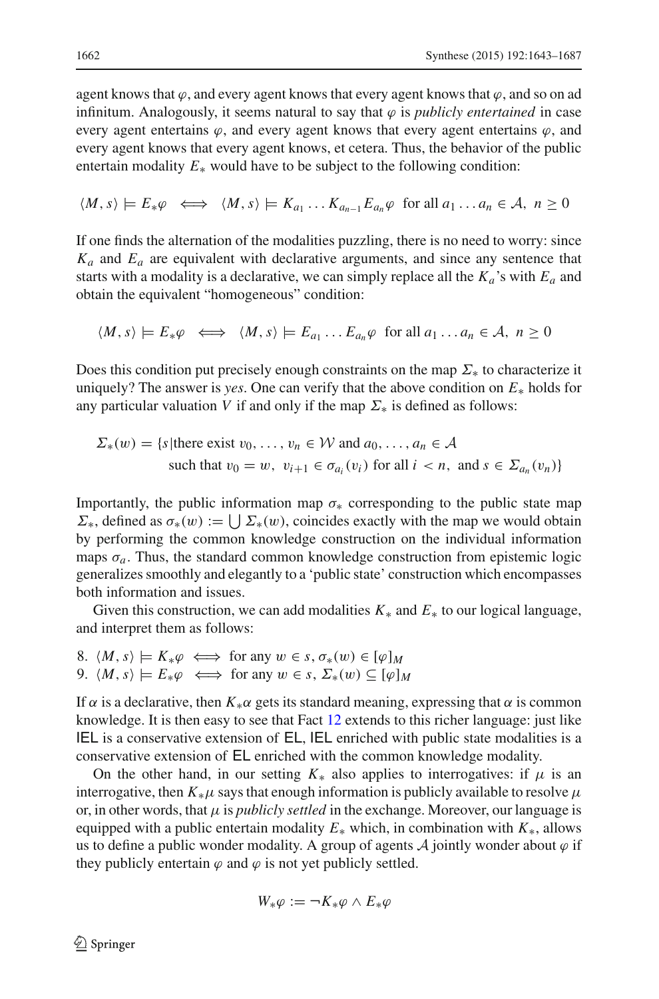agent knows that  $\varphi$ , and every agent knows that every agent knows that  $\varphi$ , and so on ad infinitum. Analogously, it seems natural to say that  $\varphi$  is *publicly entertained* in case every agent entertains  $\varphi$ , and every agent knows that every agent entertains  $\varphi$ , and every agent knows that every agent knows, et cetera. Thus, the behavior of the public entertain modality *E*<sup>∗</sup> would have to be subject to the following condition:

$$
\langle M, s \rangle \models E_* \varphi \iff \langle M, s \rangle \models K_{a_1} \dots K_{a_{n-1}} E_{a_n} \varphi \text{ for all } a_1 \dots a_n \in \mathcal{A}, n \ge 0
$$

If one finds the alternation of the modalities puzzling, there is no need to worry: since  $K_a$  and  $E_a$  are equivalent with declarative arguments, and since any sentence that starts with a modality is a declarative, we can simply replace all the  $K_a$ 's with  $E_a$  and obtain the equivalent "homogeneous" condition:

$$
\langle M, s \rangle \models E_* \varphi \iff \langle M, s \rangle \models E_{a_1} \dots E_{a_n} \varphi \text{ for all } a_1 \dots a_n \in \mathcal{A}, n \ge 0
$$

Does this condition put precisely enough constraints on the map  $\Sigma_*$  to characterize it uniquely? The answer is *yes*. One can verify that the above condition on *E*<sup>∗</sup> holds for any particular valuation *V* if and only if the map  $\Sigma_*$  is defined as follows:

$$
\Sigma_*(w) = \{s | \text{there exist } v_0, \dots, v_n \in \mathcal{W} \text{ and } a_0, \dots, a_n \in \mathcal{A} \text{ such that } v_0 = w, \ v_{i+1} \in \sigma_{a_i}(v_i) \text{ for all } i < n, \text{ and } s \in \Sigma_{a_n}(v_n) \}
$$

Importantly, the public information map  $\sigma_*$  corresponding to the public state map  $\Sigma_*$ , defined as  $\sigma_*(w) := \bigcup \Sigma_*(w)$ , coincides exactly with the map we would obtain by performing the common knowledge construction on the individual information maps  $\sigma_a$ . Thus, the standard common knowledge construction from epistemic logic generalizes smoothly and elegantly to a 'public state' construction which encompasses both information and issues.

Given this construction, we can add modalities  $K_*$  and  $E_*$  to our logical language, and interpret them as follows:

8.  $\langle M, s \rangle \models K_*\varphi \iff \text{for any } w \in s, \sigma_*(w) \in [\varphi]_M$ 9.  $\langle M, s \rangle \models E_*\varphi \iff \text{for any } w \in s, \, \Sigma_*(w) \subseteq [\varphi]_M$ 

If  $\alpha$  is a declarative, then  $K_*\alpha$  gets its standard meaning, expressing that  $\alpha$  is common knowledge. It is then easy to see that Fact [12](#page-19-0) extends to this richer language: just like IEL is a conservative extension of EL, IEL enriched with public state modalities is a conservative extension of EL enriched with the common knowledge modality.

On the other hand, in our setting  $K_*$  also applies to interrogatives: if  $\mu$  is an interrogative, then  $K_*\mu$  says that enough information is publicly available to resolve  $\mu$ or, in other words, that  $\mu$  is *publicly settled* in the exchange. Moreover, our language is equipped with a public entertain modality  $E_*$  which, in combination with  $K_*$ , allows us to define a public wonder modality. A group of agents  $\mathcal A$  jointly wonder about  $\varphi$  if they publicly entertain  $\varphi$  and  $\varphi$  is not yet publicly settled.

$$
W_*\varphi := \neg K_*\varphi \wedge E_*\varphi
$$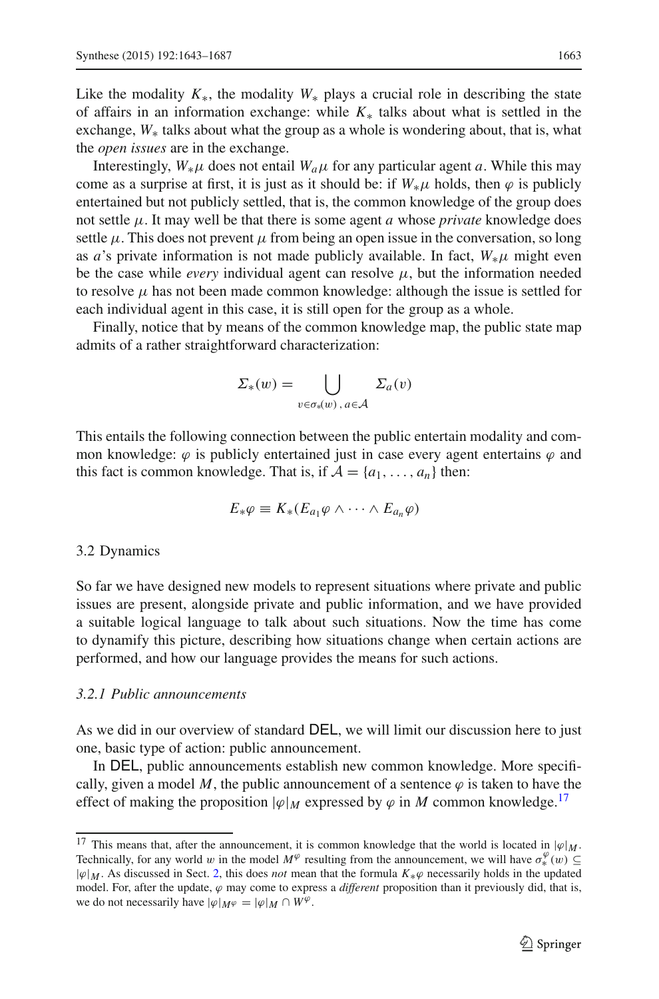Like the modality  $K_{*}$ , the modality  $W_{*}$  plays a crucial role in describing the state of affairs in an information exchange: while *K*<sup>∗</sup> talks about what is settled in the exchange, *W*<sup>∗</sup> talks about what the group as a whole is wondering about, that is, what the *open issues* are in the exchange.

Interestingly,  $W_*\mu$  does not entail  $W_a\mu$  for any particular agent *a*. While this may come as a surprise at first, it is just as it should be: if  $W_*\mu$  holds, then  $\varphi$  is publicly entertained but not publicly settled, that is, the common knowledge of the group does not settle μ. It may well be that there is some agent *a* whose *private* knowledge does settle  $\mu$ . This does not prevent  $\mu$  from being an open issue in the conversation, so long as *a*'s private information is not made publicly available. In fact,  $W_*\mu$  might even be the case while *every* individual agent can resolve  $\mu$ , but the information needed to resolve  $\mu$  has not been made common knowledge: although the issue is settled for each individual agent in this case, it is still open for the group as a whole.

Finally, notice that by means of the common knowledge map, the public state map admits of a rather straightforward characterization:

$$
\Sigma_*(w) = \bigcup_{v \in \sigma_*(w), a \in \mathcal{A}} \Sigma_a(v)
$$

This entails the following connection between the public entertain modality and common knowledge:  $\varphi$  is publicly entertained just in case every agent entertains  $\varphi$  and this fact is common knowledge. That is, if  $A = \{a_1, \ldots, a_n\}$  then:

$$
E_*\varphi\equiv K_*(E_{a_1}\varphi\wedge\cdots\wedge E_{a_n}\varphi)
$$

#### 3.2 Dynamics

So far we have designed new models to represent situations where private and public issues are present, alongside private and public information, and we have provided a suitable logical language to talk about such situations. Now the time has come to dynamify this picture, describing how situations change when certain actions are performed, and how our language provides the means for such actions.

#### *3.2.1 Public announcements*

As we did in our overview of standard DEL, we will limit our discussion here to just one, basic type of action: public announcement.

In DEL, public announcements establish new common knowledge. More specifically, given a model *M*, the public announcement of a sentence  $\varphi$  is taken to have the effect of making the proposition  $|\varphi|_M$  expressed by  $\varphi$  in M common knowledge.<sup>17</sup>

<span id="page-21-0"></span><sup>&</sup>lt;sup>17</sup> This means that, after the announcement, it is common knowledge that the world is located in  $|\varphi|_M$ . Technically, for any world w in the model  $M^{\varphi}$  resulting from the announcement, we will have  $\sigma^{\varphi}_*(w) \subseteq$ |ϕ|*<sup>M</sup>* . As discussed in Sect. [2,](#page-2-0) this does *not* mean that the formula *K*∗ϕ necessarily holds in the updated model. For, after the update,  $\varphi$  may come to express a *different* proposition than it previously did, that is, we do not necessarily have  $|\varphi|_{M\varphi} = |\varphi|_M \cap W^{\varphi}$ .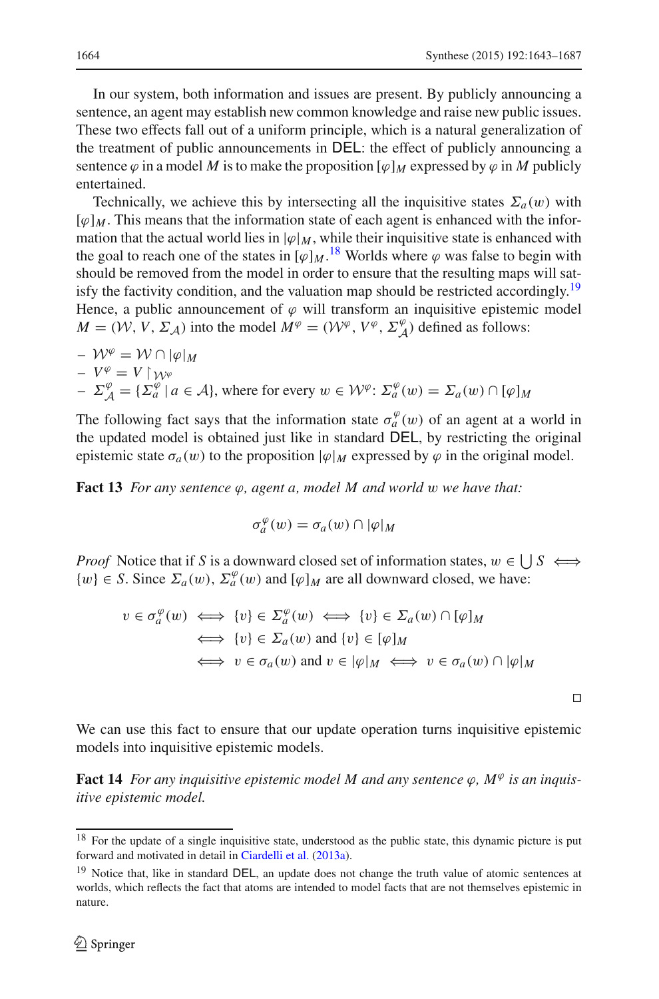In our system, both information and issues are present. By publicly announcing a sentence, an agent may establish new common knowledge and raise new public issues. These two effects fall out of a uniform principle, which is a natural generalization of the treatment of public announcements in DEL: the effect of publicly announcing a sentence  $\varphi$  in a model *M* is to make the proposition  $[\varphi]_M$  expressed by  $\varphi$  in *M* publicly entertained.

Technically, we achieve this by intersecting all the inquisitive states  $\Sigma_a(w)$  with  $[\varphi]_M$ . This means that the information state of each agent is enhanced with the information that the actual world lies in  $|\varphi|_M$ , while their inquisitive state is enhanced with the goal to reach one of the states in  $[\varphi]_M$ .<sup>[18](#page-22-0)</sup> Worlds where  $\varphi$  was false to begin with should be removed from the model in order to ensure that the resulting maps will satisfy the factivity condition, and the valuation map should be restricted accordingly.<sup>19</sup> Hence, a public announcement of  $\varphi$  will transform an inquisitive epistemic model  $M = (W, V, \Sigma_A)$  into the model  $M^{\varphi} = (W^{\varphi}, V^{\varphi}, \Sigma_A^{\varphi})$  defined as follows:

$$
- W^{\varphi} = W \cap |\varphi|_{M}
$$
  
\n
$$
- V^{\varphi} = V \upharpoonright_{\mathcal{W}^{\varphi}}
$$
  
\n
$$
- \Sigma_{\mathcal{A}}^{\varphi} = {\Sigma_{a}^{\varphi}} | a \in \mathcal{A} \text{}, \text{ where for every } w \in \mathcal{W}^{\varphi} \colon \Sigma_{a}^{\varphi}(w) = \Sigma_{a}(w) \cap [\varphi]_{M}
$$

The following fact says that the information state  $\sigma_a^{\varphi}(w)$  of an agent at a world in the updated model is obtained just like in standard DEL, by restricting the original epistemic state  $\sigma_a(w)$  to the proposition  $|\varphi|_M$  expressed by  $\varphi$  in the original model.

<span id="page-22-2"></span>**Fact 13** *For any sentence* ϕ*, agent a, model M and world* w *we have that:*

$$
\sigma_a^{\varphi}(w) = \sigma_a(w) \cap |\varphi|_M
$$

*Proof* Notice that if *S* is a downward closed set of information states,  $w \in \bigcup S \iff$ {*w*} ∈ *S*. Since  $\Sigma_a(w)$ ,  $\Sigma_a^{\varphi}(w)$  and  $[\varphi]_M$  are all downward closed, we have:

$$
v \in \sigma_a^{\varphi}(w) \iff \{v\} \in \Sigma_a^{\varphi}(w) \iff \{v\} \in \Sigma_a(w) \cap [\varphi]_M
$$
  

$$
\iff \{v\} \in \Sigma_a(w) \text{ and } \{v\} \in [\varphi]_M
$$
  

$$
\iff v \in \sigma_a(w) \text{ and } v \in [\varphi]_M \iff v \in \sigma_a(w) \cap [\varphi]_M
$$

 $\Box$ 

We can use this fact to ensure that our update operation turns inquisitive epistemic models into inquisitive epistemic models.

**Fact 14** *For any inquisitive epistemic model M and any sentence*  $\varphi$ *, M*<sup> $\varphi$ </sup> *is an inquisitive epistemic model.*

<sup>&</sup>lt;sup>18</sup> For the update of a single inquisitive state, understood as the public state, this dynamic picture is put forward and motivated in detail in [Ciardelli et al.](#page-44-2) [\(2013a](#page-44-2)).

<span id="page-22-1"></span><span id="page-22-0"></span><sup>&</sup>lt;sup>19</sup> Notice that, like in standard DEL, an update does not change the truth value of atomic sentences at worlds, which reflects the fact that atoms are intended to model facts that are not themselves epistemic in nature.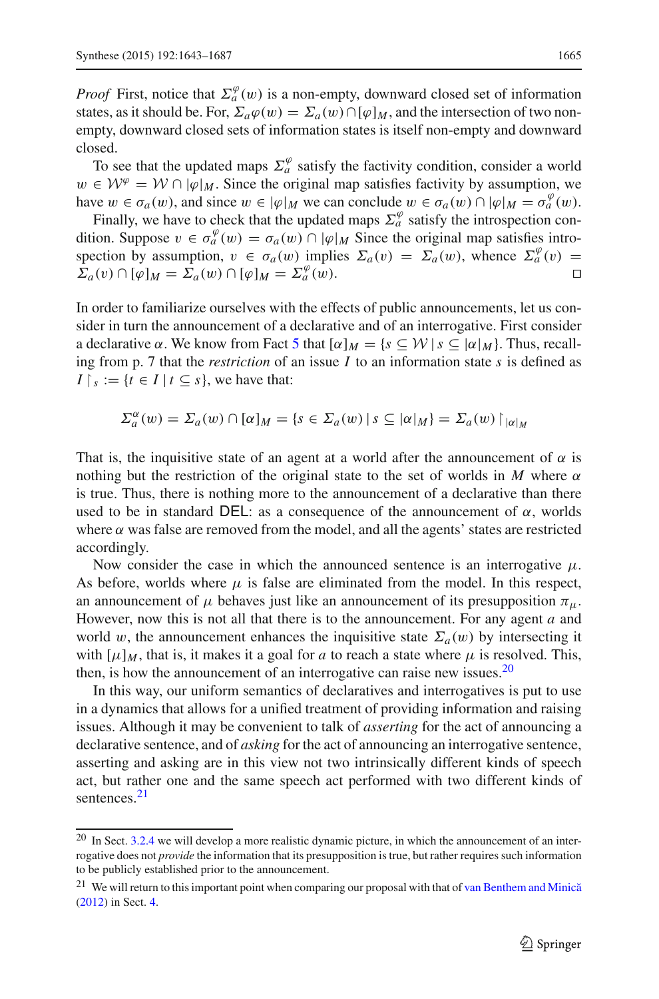*Proof* First, notice that  $\Sigma_a^{\varphi}(w)$  is a non-empty, downward closed set of information states, as it should be. For,  $\Sigma_a \varphi(w) = \Sigma_a(w) \cap [\varphi]_M$ , and the intersection of two nonempty, downward closed sets of information states is itself non-empty and downward closed.

To see that the updated maps  $\Sigma_a^{\varphi}$  satisfy the factivity condition, consider a world  $w \in \mathcal{W}^{\varphi} = \mathcal{W} \cap [\varphi]_M$ . Since the original map satisfies factivity by assumption, we have  $w \in \sigma_a(w)$ , and since  $w \in |\varphi|_M$  we can conclude  $w \in \sigma_a(w) \cap |\varphi|_M = \sigma_a^{\varphi}(w)$ .

Finally, we have to check that the updated maps  $\Sigma_a^{\varphi}$  satisfy the introspection condition. Suppose  $v \in \sigma_a^{\varphi}(w) = \sigma_a(w) \cap |\varphi|_M$  Since the original map satisfies introspection by assumption,  $v \in \sigma_a(w)$  implies  $\Sigma_a(v) = \Sigma_a(w)$ , whence  $\Sigma_a^{\varphi}(v) =$  $\sum_{a}(v) \cap [\varphi]_M = \sum_{a}(w) \cap [\varphi]_M = \sum_{a}(w)$ .

In order to familiarize ourselves with the effects of public announcements, let us consider in turn the announcement of a declarative and of an interrogative. First consider a declarative  $\alpha$ . We know from Fact [5](#page-13-0) that  $\alpha|_M = \{s \subseteq \mathcal{W} \mid s \subseteq |\alpha|_M\}$ . Thus, recalling from p. 7 that the *restriction* of an issue *I* to an information state *s* is defined as  $I \upharpoonright_s := \{ t \in I \mid t \subseteq s \}$ , we have that:

$$
\Sigma_a^{\alpha}(w) = \Sigma_a(w) \cap [\alpha]_M = \{ s \in \Sigma_a(w) \mid s \subseteq |\alpha|_M \} = \Sigma_a(w) \mid_{|\alpha|_M}
$$

That is, the inquisitive state of an agent at a world after the announcement of  $\alpha$  is nothing but the restriction of the original state to the set of worlds in *M* where  $\alpha$ is true. Thus, there is nothing more to the announcement of a declarative than there used to be in standard DEL: as a consequence of the announcement of  $\alpha$ , worlds where  $\alpha$  was false are removed from the model, and all the agents' states are restricted accordingly.

Now consider the case in which the announced sentence is an interrogative  $\mu$ . As before, worlds where  $\mu$  is false are eliminated from the model. In this respect, an announcement of  $\mu$  behaves just like an announcement of its presupposition  $\pi_{\mu}$ . However, now this is not all that there is to the announcement. For any agent *a* and world w, the announcement enhances the inquisitive state  $\Sigma_a(w)$  by intersecting it with  $[\mu]_M$ , that is, it makes it a goal for *a* to reach a state where  $\mu$  is resolved. This, then, is how the announcement of an interrogative can raise new issues. $20$ 

In this way, our uniform semantics of declaratives and interrogatives is put to use in a dynamics that allows for a unified treatment of providing information and raising issues. Although it may be convenient to talk of *asserting* for the act of announcing a declarative sentence, and of *asking* for the act of announcing an interrogative sentence, asserting and asking are in this view not two intrinsically different kinds of speech act, but rather one and the same speech act performed with two different kinds of sentences.<sup>[21](#page-23-1)</sup>

<span id="page-23-0"></span><sup>&</sup>lt;sup>20</sup> In Sect. [3.2.4](#page-28-0) we will develop a more realistic dynamic picture, in which the announcement of an interrogative does not *provide* the information that its presupposition is true, but rather requires such information to be publicly established prior to the announcement.

<span id="page-23-1"></span> $21$  We will return to this important point when comparing our proposal with that of van Benthem and Minică [\(2012](#page-45-2)) in Sect. [4.](#page-33-0)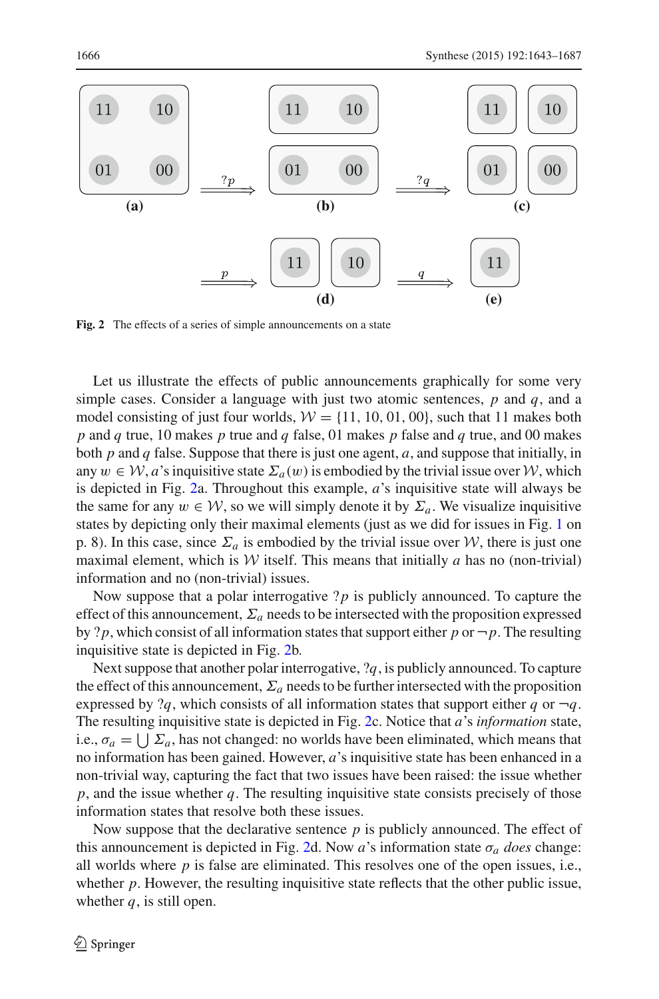

<span id="page-24-0"></span>**Fig. 2** The effects of a series of simple announcements on a state

Let us illustrate the effects of public announcements graphically for some very simple cases. Consider a language with just two atomic sentences, *p* and *q*, and a model consisting of just four worlds,  $W = \{11, 10, 01, 00\}$ , such that 11 makes both *p* and *q* true, 10 makes *p* true and *q* false, 01 makes *p* false and *q* true, and 00 makes both *p* and *q* false. Suppose that there is just one agent, *a*, and suppose that initially, in any  $w \in \mathcal{W}$ , *a*'s inquisitive state  $\Sigma_a(w)$  is embodied by the trivial issue over  $\mathcal{W}$ , which is depicted in Fig. [2a](#page-24-0). Throughout this example, *a*'s inquisitive state will always be the same for any  $w \in W$ , so we will simply denote it by  $\Sigma_a$ . We visualize inquisitive states by depicting only their maximal elements (just as we did for issues in Fig. [1](#page-8-0) on p. 8). In this case, since  $\Sigma_a$  is embodied by the trivial issue over *W*, there is just one maximal element, which is *W* itself. This means that initially *a* has no (non-trivial) information and no (non-trivial) issues.

Now suppose that a polar interrogative ?*p* is publicly announced. To capture the effect of this announcement,  $\Sigma_a$  needs to be intersected with the proposition expressed by ?*p*, which consist of all information states that support either *p* or  $\neg p$ . The resulting inquisitive state is depicted in Fig. [2b](#page-24-0).

Next suppose that another polar interrogative, ?*q*, is publicly announced. To capture the effect of this announcement,  $\Sigma_a$  needs to be further intersected with the proposition expressed by  $?q$ , which consists of all information states that support either  $q$  or  $\neg q$ . The resulting inquisitive state is depicted in Fig. [2c](#page-24-0). Notice that *a*'s *information* state, i.e.,  $\sigma_a = \bigcup \Sigma_a$ , has not changed: no worlds have been eliminated, which means that no information has been gained. However, *a*'s inquisitive state has been enhanced in a non-trivial way, capturing the fact that two issues have been raised: the issue whether *p*, and the issue whether *q*. The resulting inquisitive state consists precisely of those information states that resolve both these issues.

Now suppose that the declarative sentence *p* is publicly announced. The effect of this announcement is depicted in Fig. [2d](#page-24-0). Now *a*'s information state  $\sigma_a$  *does* change: all worlds where  $p$  is false are eliminated. This resolves one of the open issues, i.e., whether *p*. However, the resulting inquisitive state reflects that the other public issue, whether  $q$ , is still open.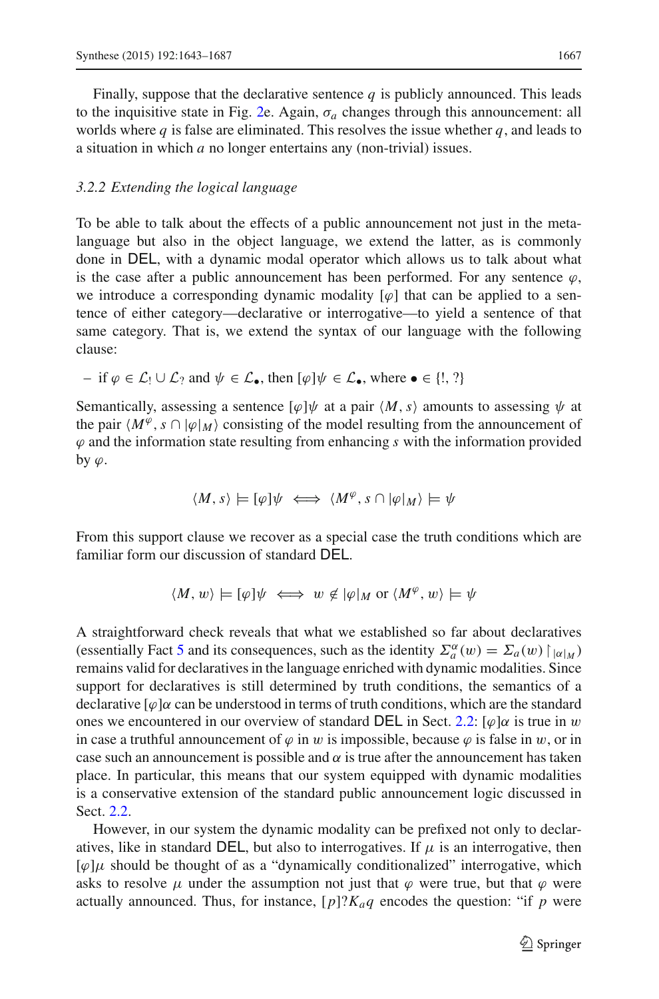Finally, suppose that the declarative sentence  $q$  is publicly announced. This leads to the inquisitive state in Fig. [2e](#page-24-0). Again,  $\sigma_a$  changes through this announcement: all worlds where  $q$  is false are eliminated. This resolves the issue whether  $q$ , and leads to a situation in which *a* no longer entertains any (non-trivial) issues.

#### *3.2.2 Extending the logical language*

To be able to talk about the effects of a public announcement not just in the metalanguage but also in the object language, we extend the latter, as is commonly done in DEL, with a dynamic modal operator which allows us to talk about what is the case after a public announcement has been performed. For any sentence  $\varphi$ , we introduce a corresponding dynamic modality  $\lbrack \varphi \rbrack$  that can be applied to a sentence of either category—declarative or interrogative—to yield a sentence of that same category. That is, we extend the syntax of our language with the following clause:

- if 
$$
\varphi \in \mathcal{L}_! \cup \mathcal{L}_?
$$
 and  $\psi \in \mathcal{L}_\bullet$ , then  $[\varphi]\psi \in \mathcal{L}_\bullet$ , where  $\bullet \in \{!, ?\}$ 

Semantically, assessing a sentence  $[\varphi]\psi$  at a pair  $\langle M, s \rangle$  amounts to assessing  $\psi$  at the pair  $\langle M^\varphi, s \cap |\varphi|_M \rangle$  consisting of the model resulting from the announcement of  $\varphi$  and the information state resulting from enhancing *s* with the information provided by  $\varphi$ .

$$
\langle M, s \rangle \models [\varphi] \psi \iff \langle M^{\varphi}, s \cap |\varphi|_{M} \rangle \models \psi
$$

From this support clause we recover as a special case the truth conditions which are familiar form our discussion of standard DEL.

$$
\langle M, \, w \rangle \models [\varphi] \psi \iff w \not\in [\varphi]_M \text{ or } \langle M^\varphi, \, w \rangle \models \psi
$$

A straightforward check reveals that what we established so far about declaratives (essentially Fact [5](#page-13-0) and its consequences, such as the identity  $\Sigma_a^{\alpha}(w) = \Sigma_a(w) \mid_{|\alpha|_M}$ ) remains valid for declaratives in the language enriched with dynamic modalities. Since support for declaratives is still determined by truth conditions, the semantics of a declarative  $\lceil \varphi \rceil \alpha$  can be understood in terms of truth conditions, which are the standard ones we encountered in our overview of standard DEL in Sect. [2.2:](#page-5-0)  $[\varphi]$ α is true in w in case a truthful announcement of  $\varphi$  in w is impossible, because  $\varphi$  is false in w, or in case such an announcement is possible and  $\alpha$  is true after the announcement has taken place. In particular, this means that our system equipped with dynamic modalities is a conservative extension of the standard public announcement logic discussed in Sect. [2.2.](#page-5-0)

However, in our system the dynamic modality can be prefixed not only to declaratives, like in standard DEL, but also to interrogatives. If  $\mu$  is an interrogative, then  $[\varphi]$ μ should be thought of as a "dynamically conditionalized" interrogative, which asks to resolve  $\mu$  under the assumption not just that  $\varphi$  were true, but that  $\varphi$  were actually announced. Thus, for instance,  $[p]^2 K_a q$  encodes the question: "if p were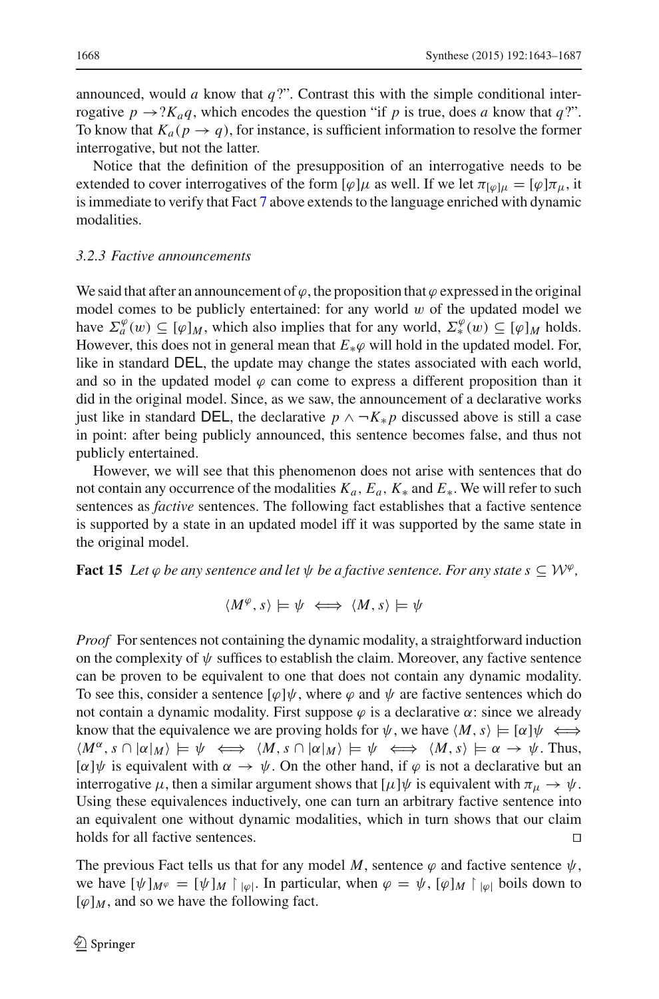announced, would *a* know that *q*?". Contrast this with the simple conditional interrogative  $p \rightarrow ?K_aq$ , which encodes the question "if *p* is true, does *a* know that *q*?". To know that  $K_a(p \to q)$ , for instance, is sufficient information to resolve the former interrogative, but not the latter.

Notice that the definition of the presupposition of an interrogative needs to be extended to cover interrogatives of the form  $[\varphi] \mu$  as well. If we let  $\pi_{[\varphi] \mu} = [\varphi] \pi_{\mu}$ , it is immediate to verify that Fact [7](#page-15-2) above extends to the language enriched with dynamic modalities.

#### *3.2.3 Factive announcements*

We said that after an announcement of  $\varphi$ , the proposition that  $\varphi$  expressed in the original model comes to be publicly entertained: for any world  $w$  of the updated model we have  $\Sigma_a^{\varphi}(w) \subseteq [\varphi]_M$ , which also implies that for any world,  $\Sigma_*^{\varphi}(w) \subseteq [\varphi]_M$  holds. However, this does not in general mean that  $E_*\varphi$  will hold in the updated model. For, like in standard DEL, the update may change the states associated with each world, and so in the updated model  $\varphi$  can come to express a different proposition than it did in the original model. Since, as we saw, the announcement of a declarative works just like in standard DEL, the declarative  $p \wedge \neg K_* p$  discussed above is still a case in point: after being publicly announced, this sentence becomes false, and thus not publicly entertained.

However, we will see that this phenomenon does not arise with sentences that do not contain any occurrence of the modalities *Ka*, *Ea*, *K*<sup>∗</sup> and *E*∗. We will refer to such sentences as *factive* sentences. The following fact establishes that a factive sentence is supported by a state in an updated model iff it was supported by the same state in the original model.

**Fact 15** *Let*  $\varphi$  *be any sentence and let*  $\psi$  *be a factive sentence. For any state s*  $\subseteq$   $\mathcal{W}^{\varphi}$ *,* 

$$
\langle M^\varphi, s \rangle \models \psi \iff \langle M, s \rangle \models \psi
$$

*Proof* For sentences not containing the dynamic modality, a straightforward induction on the complexity of  $\psi$  suffices to establish the claim. Moreover, any factive sentence can be proven to be equivalent to one that does not contain any dynamic modality. To see this, consider a sentence  $\lbrack \varphi \rbrack \psi$ , where  $\varphi$  and  $\psi$  are factive sentences which do not contain a dynamic modality. First suppose  $\varphi$  is a declarative  $\alpha$ : since we already know that the equivalence we are proving holds for  $\psi$ , we have  $\langle M, s \rangle \models [\alpha] \psi \iff$  $\langle M^{\alpha}, s \cap |\alpha|_M \rangle \models \psi \iff \langle M, s \cap |\alpha|_M \rangle \models \psi \iff \langle M, s \rangle \models \alpha \rightarrow \psi.$  Thus,  $[\alpha] \psi$  is equivalent with  $\alpha \to \psi$ . On the other hand, if  $\varphi$  is not a declarative but an interrogative  $\mu$ , then a similar argument shows that  $[\mu]\psi$  is equivalent with  $\pi_\mu \to \psi$ . Using these equivalences inductively, one can turn an arbitrary factive sentence into an equivalent one without dynamic modalities, which in turn shows that our claim holds for all factive sentences.

<span id="page-26-0"></span>The previous Fact tells us that for any model M, sentence  $\varphi$  and factive sentence  $\psi$ , we have  $[\psi]_{M\varphi} = [\psi]_M \upharpoonright_{[\varphi]}$ . In particular, when  $\varphi = \psi$ ,  $[\varphi]_M \upharpoonright_{[\varphi]}$  boils down to  $[\varphi]_M$ , and so we have the following fact.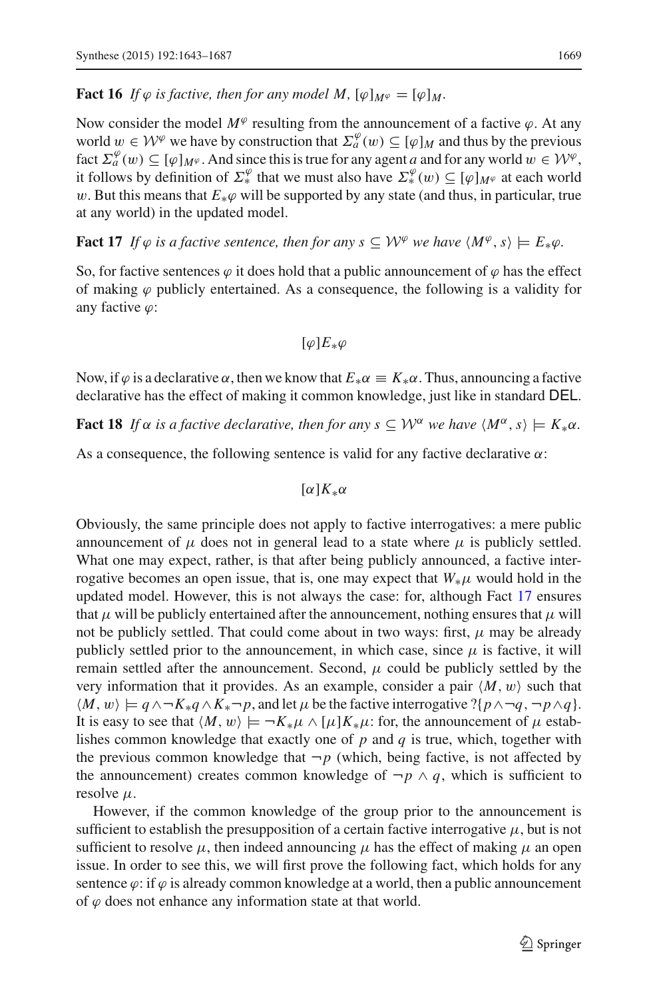**Fact 16** *If*  $\varphi$  *is factive, then for any model M,*  $[\varphi]_{M^{\varphi}} = [\varphi]_{M}$ *.* 

Now consider the model  $M^{\varphi}$  resulting from the announcement of a factive  $\varphi$ . At any world  $w \in W^{\varphi}$  we have by construction that  $\Sigma_a^{\varphi}(w) \subseteq [\varphi]_M$  and thus by the previous fact  $\Sigma_a^{\varphi}(w) \subseteq [\varphi]_{M^{\varphi}}$ . And since this is true for any agent *a* and for any world  $w \in \mathcal{W}^{\varphi}$ , it follows by definition of  $\Sigma^{\varphi}_*$  that we must also have  $\Sigma^{\varphi}_*(w) \subseteq [\varphi]_{M^{\varphi}}$  at each world w. But this means that  $E_*\varphi$  will be supported by any state (and thus, in particular, true at any world) in the updated model.

<span id="page-27-0"></span>**Fact 17** *If*  $\varphi$  *is a factive sentence, then for any*  $s \subseteq W^{\varphi}$  *we have*  $\langle M^{\varphi}, s \rangle \models E_* \varphi$ *.* 

So, for factive sentences  $\varphi$  it does hold that a public announcement of  $\varphi$  has the effect of making  $\varphi$  publicly entertained. As a consequence, the following is a validity for any factive  $\varphi$ :

$$
[\varphi]E_*\varphi
$$

Now, if  $\varphi$  is a declarative  $\alpha$ , then we know that  $E_*\alpha \equiv K_*\alpha$ . Thus, announcing a factive declarative has the effect of making it common knowledge, just like in standard DEL.

**Fact 18** *If*  $\alpha$  *is a factive declarative, then for any*  $s \subseteq \mathcal{W}^{\alpha}$  *we have*  $\langle M^{\alpha}, s \rangle \models K_{*} \alpha$ *.* 

As a consequence, the following sentence is valid for any factive declarative  $\alpha$ :

#### [α]*K*∗α

Obviously, the same principle does not apply to factive interrogatives: a mere public announcement of  $\mu$  does not in general lead to a state where  $\mu$  is publicly settled. What one may expect, rather, is that after being publicly announced, a factive interrogative becomes an open issue, that is, one may expect that  $W_*\mu$  would hold in the updated model. However, this is not always the case: for, although Fact [17](#page-27-0) ensures that  $\mu$  will be publicly entertained after the announcement, nothing ensures that  $\mu$  will not be publicly settled. That could come about in two ways: first,  $\mu$  may be already publicly settled prior to the announcement, in which case, since  $\mu$  is factive, it will remain settled after the announcement. Second,  $\mu$  could be publicly settled by the very information that it provides. As an example, consider a pair  $\langle M, w \rangle$  such that  $\langle M, w \rangle \models q \land \neg K_* q \land K_* \neg p$ , and let  $\mu$  be the factive interrogative ? $\{p \land \neg q, \neg p \land q\}.$ It is easy to see that  $\langle M, w \rangle \models \neg K_* \mu \wedge [\mu] K_* \mu$ : for, the announcement of  $\mu$  establishes common knowledge that exactly one of *p* and *q* is true, which, together with the previous common knowledge that  $\neg p$  (which, being factive, is not affected by the announcement) creates common knowledge of  $\neg p \land q$ , which is sufficient to resolve  $\mu$ .

<span id="page-27-1"></span>However, if the common knowledge of the group prior to the announcement is sufficient to establish the presupposition of a certain factive interrogative  $\mu$ , but is not sufficient to resolve  $\mu$ , then indeed announcing  $\mu$  has the effect of making  $\mu$  an open issue. In order to see this, we will first prove the following fact, which holds for any sentence  $\varphi$ : if  $\varphi$  is already common knowledge at a world, then a public announcement of  $\varphi$  does not enhance any information state at that world.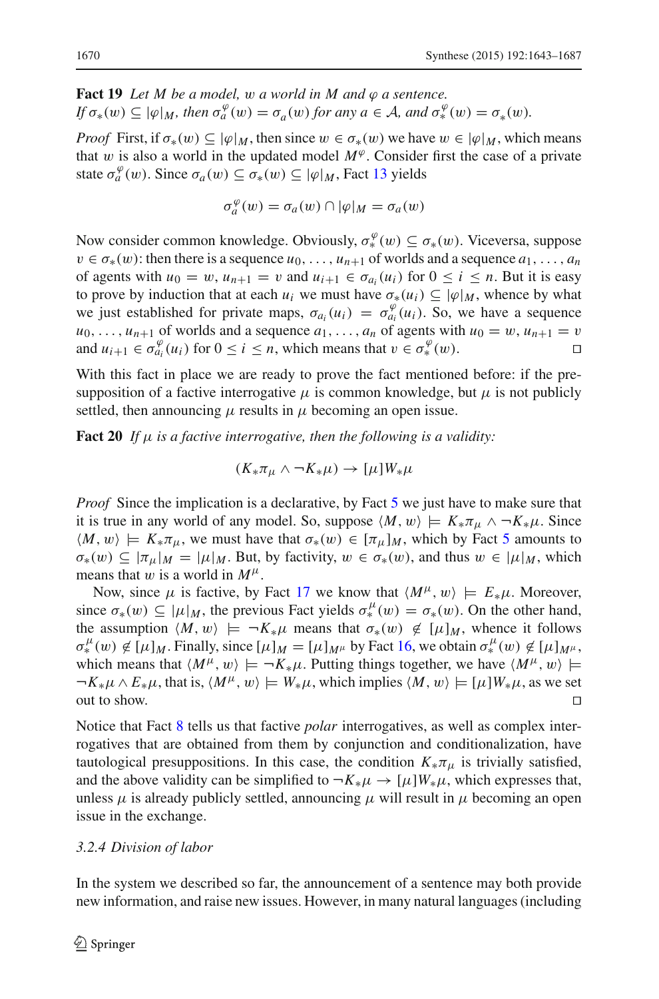**Fact 19** *Let M be a model, w a world in M and*  $\varphi$  *a sentence. If*  $\sigma_*(w) \subseteq |\varphi|_M$ , then  $\sigma_a^{\varphi}(w) = \sigma_a(w)$  for any  $a \in A$ , and  $\sigma_*^{\varphi}(w) = \sigma_*(w)$ .

*Proof* First, if  $\sigma_*(w) \subseteq |\varphi|_M$ , then since  $w \in \sigma_*(w)$  we have  $w \in |\varphi|_M$ , which means that w is also a world in the updated model  $M^{\varphi}$ . Consider first the case of a private state  $\sigma_a^{\varphi}(w)$ . Since  $\sigma_a(w) \subseteq \sigma_*^*(w) \subseteq |\varphi|_M$ , Fact [13](#page-22-2) yields

$$
\sigma_a^{\varphi}(w) = \sigma_a(w) \cap |\varphi|_M = \sigma_a(w)
$$

Now consider common knowledge. Obviously,  $\sigma^{\varphi}_*(w) \subseteq \sigma_*(w)$ . Viceversa, suppose  $v \in \sigma_*(w)$ : then there is a sequence  $u_0, \ldots, u_{n+1}$  of worlds and a sequence  $a_1, \ldots, a_n$ of agents with  $u_0 = w$ ,  $u_{n+1} = v$  and  $u_{i+1} \in \sigma_{a_i}(u_i)$  for  $0 \le i \le n$ . But it is easy to prove by induction that at each  $u_i$  we must have  $\sigma_*(u_i) \subseteq |\varphi|_M$ , whence by what we just established for private maps,  $\sigma_{a_i}(u_i) = \sigma_{a_i}^{\varphi}(u_i)$ . So, we have a sequence  $u_0, \ldots, u_{n+1}$  of worlds and a sequence  $a_1, \ldots, a_n$  of agents with  $u_0 = w$ ,  $u_{n+1} = v$  and  $u_{i+1} \in \sigma_x^{\varphi}(u_i)$  for  $0 \le i \le n$ , which means that  $v \in \sigma_x^{\varphi}(w)$ . and  $u_{i+1} \in \sigma_{a_i}^{\varphi}(u_i)$  for  $0 \le i \le n$ , which means that  $v \in \sigma_*^{\varphi}(w)$ .

With this fact in place we are ready to prove the fact mentioned before: if the presupposition of a factive interrogative  $\mu$  is common knowledge, but  $\mu$  is not publicly settled, then announcing  $\mu$  results in  $\mu$  becoming an open issue.

<span id="page-28-1"></span>**Fact 20** *If* μ *is a factive interrogative, then the following is a validity:*

$$
(K_{*}\pi_{\mu} \wedge \neg K_{*}\mu) \rightarrow [\mu]W_{*}\mu
$$

*Proof* Since the implication is a declarative, by Fact [5](#page-13-0) we just have to make sure that it is true in any world of any model. So, suppose  $\langle M, w \rangle \models K_* \pi_\mu \land \neg K_* \mu$ . Since  $\langle M, w \rangle \models K_* \pi_\mu$ , we must have that  $\sigma_*(w) \in [\pi_\mu]_M$ , which by Fact [5](#page-13-0) amounts to  $\sigma_*(w) \subseteq |\pi_\mu|_M = |\mu|_M$ . But, by factivity,  $w \in \sigma_*(w)$ , and thus  $w \in |\mu|_M$ , which means that w is a world in  $M^{\mu}$ .

Now, since  $\mu$  is factive, by Fact [17](#page-27-0) we know that  $\langle M^{\mu}, w \rangle \models E_* \mu$ . Moreover, since  $\sigma_*(w) \subseteq |\mu|_M$ , the previous Fact yields  $\sigma_*^{\mu}(w) = \sigma_*(w)$ . On the other hand, the assumption  $\langle M, w \rangle \models \neg K_* \mu$  means that  $\sigma_*(w) \notin [\mu]_M$ , whence it follows  $\sigma_*^{\mu}(w) \notin [\mu]_M$ . Finally, since  $[\mu]_M = [\mu]_{M^{\mu}}$  by Fact [16,](#page-26-0) we obtain  $\sigma_*^{\mu}(w) \notin [\mu]_{M^{\mu}}$ , which means that  $\langle M^{\mu}, w \rangle \models \neg K_{*} \mu$ . Putting things together, we have  $\langle M^{\mu}, w \rangle \models$  $\neg K_*\mu \wedge E_*\mu$ , that is,  $\langle M^\mu, w \rangle \models W_*\mu$ , which implies  $\langle M, w \rangle \models [\mu]W_*\mu$ , as we set out to show.  $\Box$ 

Notice that Fact [8](#page-15-3) tells us that factive *polar* interrogatives, as well as complex interrogatives that are obtained from them by conjunction and conditionalization, have tautological presuppositions. In this case, the condition  $K_*\pi_{\mu}$  is trivially satisfied, and the above validity can be simplified to  $\neg K_*\mu \to [\mu]W_*\mu$ , which expresses that, unless  $\mu$  is already publicly settled, announcing  $\mu$  will result in  $\mu$  becoming an open issue in the exchange.

#### <span id="page-28-0"></span>*3.2.4 Division of labor*

In the system we described so far, the announcement of a sentence may both provide new information, and raise new issues. However, in many natural languages (including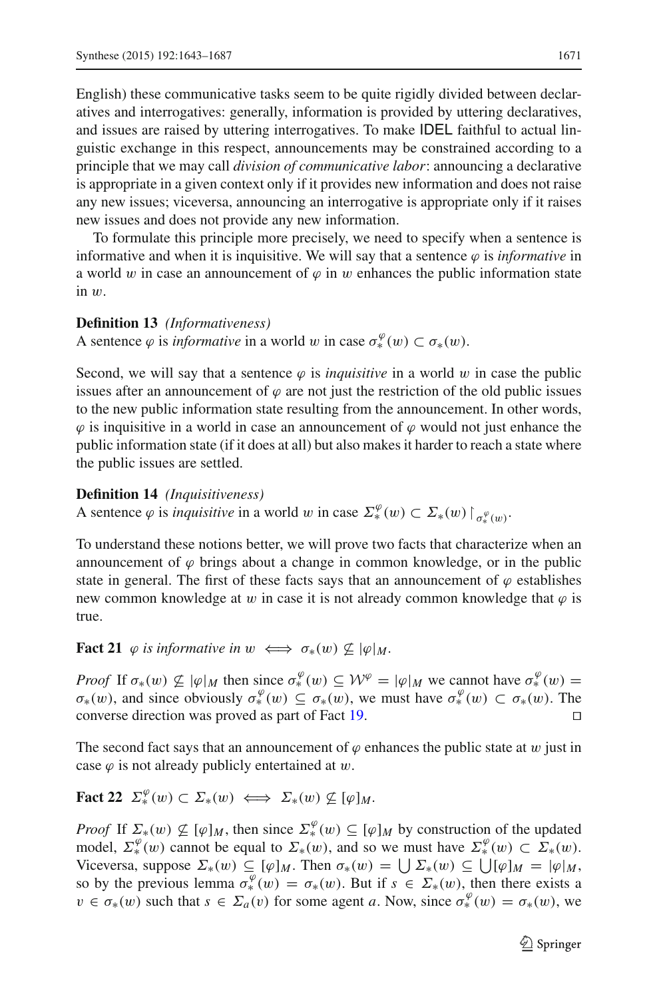English) these communicative tasks seem to be quite rigidly divided between declaratives and interrogatives: generally, information is provided by uttering declaratives, and issues are raised by uttering interrogatives. To make IDEL faithful to actual linguistic exchange in this respect, announcements may be constrained according to a principle that we may call *division of communicative labor*: announcing a declarative is appropriate in a given context only if it provides new information and does not raise any new issues; viceversa, announcing an interrogative is appropriate only if it raises new issues and does not provide any new information.

To formulate this principle more precisely, we need to specify when a sentence is informative and when it is inquisitive. We will say that a sentence  $\varphi$  is *informative* in a world w in case an announcement of  $\varphi$  in w enhances the public information state in w.

#### **Definition 13** *(Informativeness)*

A sentence  $\varphi$  is *informative* in a world w in case  $\sigma_*^{\varphi}(w) \subset \sigma_*(w)$ .

Second, we will say that a sentence  $\varphi$  is *inquisitive* in a world w in case the public issues after an announcement of  $\varphi$  are not just the restriction of the old public issues to the new public information state resulting from the announcement. In other words,  $\varphi$  is inquisitive in a world in case an announcement of  $\varphi$  would not just enhance the public information state (if it does at all) but also makes it harder to reach a state where the public issues are settled.

#### **Definition 14** *(Inquisitiveness)*

A sentence  $\varphi$  is *inquisitive* in a world w in case  $\Sigma_*^{\varphi}(w) \subset \Sigma_*(w) \restriction_{\sigma_*^{\varphi}(w)}$ .

To understand these notions better, we will prove two facts that characterize when an announcement of  $\varphi$  brings about a change in common knowledge, or in the public state in general. The first of these facts says that an announcement of  $\varphi$  establishes new common knowledge at w in case it is not already common knowledge that  $\varphi$  is true.

<span id="page-29-0"></span>**Fact 21**  $\varphi$  *is informative in*  $w \iff \sigma_*(w) \not\subseteq |\varphi|_M$ *.* 

*Proof* If  $\sigma_*(w) \not\subseteq |\varphi|_M$  then since  $\sigma_*^{\varphi}(w) \subseteq \mathcal{W}^{\varphi} = |\varphi|_M$  we cannot have  $\sigma_*^{\varphi}(w) =$  $\sigma_*(w)$ , and since obviously  $\sigma_*^{\varphi}(w) \subseteq \sigma_*(w)$ , we must have  $\sigma_*^{\varphi}(w) \subset \sigma_*(w)$ . The converse direction was proved as part of Fact [19.](#page-27-1)

<span id="page-29-1"></span>The second fact says that an announcement of  $\varphi$  enhances the public state at w just in case  $\varphi$  is not already publicly entertained at w.

**Fact 22**  $\Sigma^{\varphi}_*(w) \subset \Sigma^*(w) \iff \Sigma^*(w) \not\subseteq [\varphi]_M$ .

*Proof* If  $\Sigma_*(w) \nsubseteq [\varphi]_M$ , then since  $\Sigma_*^{\varphi}(w) \subseteq [\varphi]_M$  by construction of the updated model,  $\Sigma^{\varphi}_*(w)$  cannot be equal to  $\Sigma^*(w)$ , and so we must have  $\Sigma^{\varphi}_*(w) \subset \Sigma^*(w)$ . Viceversa, suppose  $\Sigma_*(w) \subseteq [\varphi]_M$ . Then  $\sigma_*(w) = \bigcup \Sigma_*(w) \subseteq \bigcup [\varphi]_M = |\varphi|_M$ , so by the previous lemma  $\sigma_*^{\varphi}(w) = \sigma_*(w)$ . But if  $s \in \Sigma_*(w)$ , then there exists a  $v \in \sigma_*(w)$  such that  $s \in \Sigma_a(v)$  for some agent *a*. Now, since  $\sigma_*^{\varphi}(w) = \sigma_*(w)$ , we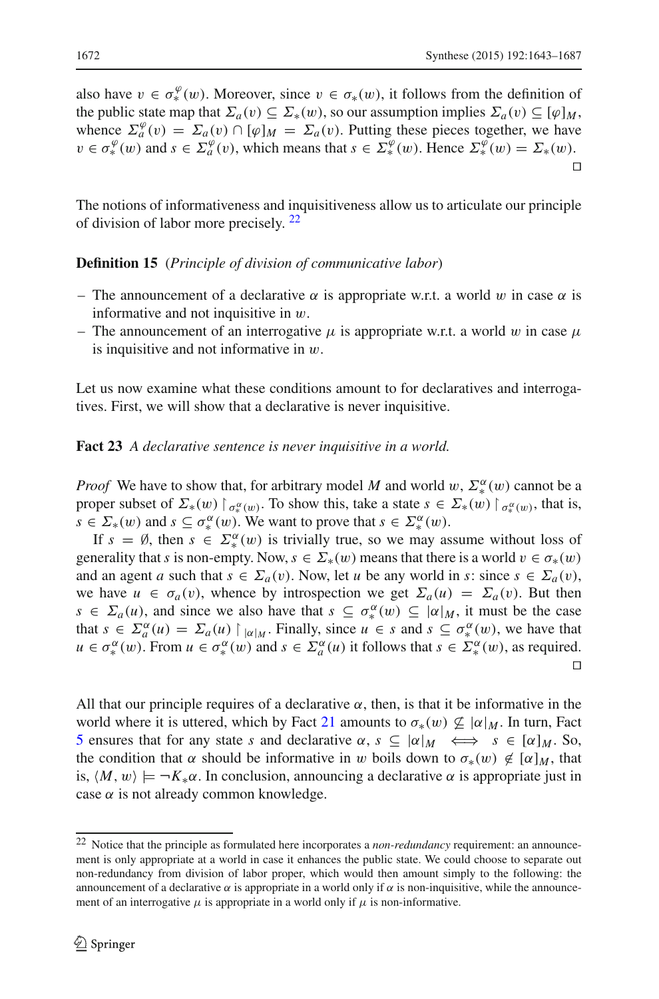also have  $v \in \sigma_*^{\varphi}(w)$ . Moreover, since  $v \in \sigma_*(w)$ , it follows from the definition of the public state map that  $\Sigma_a(v) \subseteq \Sigma_*(w)$ , so our assumption implies  $\Sigma_a(v) \subseteq [\varphi]_M$ , whence  $\Sigma_a^{\varphi}(v) = \Sigma_a(v) \cap [\varphi]_M = \Sigma_a(v)$ . Putting these pieces together, we have  $v \in \sigma_*^{\varphi}(w)$  and  $s \in \Sigma_a^{\varphi}(v)$ , which means that  $s \in \Sigma_*^{\varphi}(w)$ . Hence  $\Sigma_*^{\varphi}(w) = \Sigma_*^{\varphi}(w)$ .  $\Box$ 

The notions of informativeness and inquisitiveness allow us to articulate our principle of division of labor more precisely. [22](#page-30-0)

## **Definition 15** (*Principle of division of communicative labor*)

- The announcement of a declarative  $\alpha$  is appropriate w.r.t. a world w in case  $\alpha$  is informative and not inquisitive in  $w$ .
- The announcement of an interrogative  $\mu$  is appropriate w.r.t. a world w in case  $\mu$ is inquisitive and not informative in  $w$ .

Let us now examine what these conditions amount to for declaratives and interrogatives. First, we will show that a declarative is never inquisitive.

## **Fact 23** *A declarative sentence is never inquisitive in a world.*

*Proof* We have to show that, for arbitrary model *M* and world w,  $\Sigma_*^{\alpha}(w)$  cannot be a proper subset of  $\Sigma_*(w) \restriction_{\sigma^{\alpha}_*(w)}$ . To show this, take a state  $s \in \Sigma_*(w) \restriction_{\sigma^{\alpha}_*(w)}$ , that is,  $s \in \Sigma_*(w)$  and  $s \subseteq \sigma_*^{\alpha}(w)$ . We want to prove that  $s \in \Sigma_*^{\alpha}(w)$ .

If  $s = \emptyset$ , then  $s \in \Sigma_*^{\alpha}(w)$  is trivially true, so we may assume without loss of generality that *s* is non-empty. Now,  $s \in \Sigma_*(w)$  means that there is a world  $v \in \sigma_*(w)$ and an agent *a* such that  $s \in \Sigma_a(v)$ . Now, let *u* be any world in *s*: since  $s \in \Sigma_a(v)$ , we have  $u \in \sigma_a(v)$ , whence by introspection we get  $\Sigma_a(u) = \Sigma_a(v)$ . But then  $s \in \Sigma_a(u)$ , and since we also have that  $s \subseteq \sigma_*^{\alpha}(w) \subseteq |\alpha|_M$ , it must be the case that  $s \in \Sigma_a^{\alpha}(u) = \Sigma_a(u) \mid_{\alpha \mid M}$ . Finally, since  $u \in s$  and  $s \subseteq \sigma_*^{\alpha}(w)$ , we have that  $u \in \sigma_*^{\alpha}(w)$ . From  $u \in \sigma_*^{\alpha}(w)$  and  $s \in \Sigma_a^{\alpha}(u)$  it follows that  $s \in \Sigma_*^{\alpha}(w)$ , as required.  $\Box$ 

All that our principle requires of a declarative  $\alpha$ , then, is that it be informative in the world where it is uttered, which by Fact [21](#page-29-0) amounts to  $\sigma_*(w) \nsubseteq |\alpha|_M$ . In turn, Fact [5](#page-13-0) ensures that for any state *s* and declarative  $\alpha$ ,  $s \subseteq |\alpha|_M \iff s \in [\alpha]_M$ . So, the condition that  $\alpha$  should be informative in w boils down to  $\sigma_*(w) \notin [\alpha]_M$ , that is,  $\langle M, w \rangle \models \neg K_* \alpha$ . In conclusion, announcing a declarative  $\alpha$  is appropriate just in case  $\alpha$  is not already common knowledge.

<span id="page-30-0"></span><sup>22</sup> Notice that the principle as formulated here incorporates a *non-redundancy* requirement: an announcement is only appropriate at a world in case it enhances the public state. We could choose to separate out non-redundancy from division of labor proper, which would then amount simply to the following: the announcement of a declarative  $\alpha$  is appropriate in a world only if  $\alpha$  is non-inquisitive, while the announcement of an interrogative  $\mu$  is appropriate in a world only if  $\mu$  is non-informative.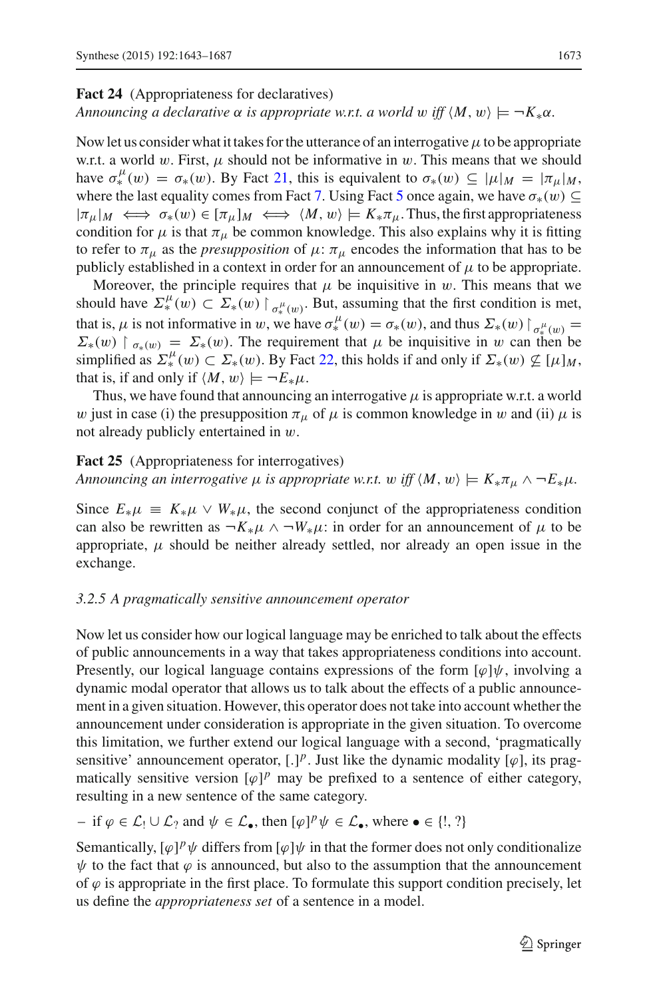#### **Fact 24** (Appropriateness for declaratives)

## $A$ nnouncing a declarative  $\alpha$  is appropriate w.r.t. a world  $w$  iff  $\langle M, w \rangle \models \neg K_* \alpha$ .

Now let us consider what it takes for the utterance of an interrogative  $\mu$  to be appropriate w.r.t. a world w. First,  $\mu$  should not be informative in w. This means that we should have  $\sigma_*^{\mu}(w) = \sigma_*(w)$ . By Fact [21,](#page-29-0) this is equivalent to  $\sigma_*(w) \subseteq |\mu|_M = |\pi_{\mu}|_M$ , where the last equality comes from Fact [7.](#page-15-2) Using Fact [5](#page-13-0) once again, we have  $\sigma_*(w) \subseteq$  $|\pi_\mu|_M \iff \sigma_*(w) \in [\pi_\mu]_M \iff \langle M, w \rangle \models K_* \pi_\mu$ . Thus, the first appropriateness condition for  $\mu$  is that  $\pi_{\mu}$  be common knowledge. This also explains why it is fitting to refer to  $\pi_{\mu}$  as the *presupposition* of  $\mu$ :  $\pi_{\mu}$  encodes the information that has to be publicly established in a context in order for an announcement of  $\mu$  to be appropriate.

Moreover, the principle requires that  $\mu$  be inquisitive in w. This means that we should have  $\Sigma^{\mu}_*(w) \subset \Sigma^*(w) \mid_{\sigma^{\mu}_*(w)}$ . But, assuming that the first condition is met, that is,  $\mu$  is not informative in w, we have  $\sigma^{\mu}_*(w) = \sigma_*(w)$ , and thus  $\Sigma^*(w) \upharpoonright_{\sigma^{\mu}_*(w)} = \sum_{\sigma^*} \phi^*_{\sigma^*}(w)$  $\Sigma_*(w)$   $\uparrow \sigma_*(w) = \Sigma_*(w)$ . The requirement that  $\mu$  be inquisitive in w can then be simplified as  $\Sigma^{\mu}_*(w) \subset \Sigma^*(w)$ . By Fact [22,](#page-29-1) this holds if and only if  $\Sigma^*(w) \not\subseteq [\mu]_M$ , that is, if and only if  $\langle M, w \rangle \models \neg E_* \mu$ .

Thus, we have found that announcing an interrogative  $\mu$  is appropriate w.r.t. a world w just in case (i) the presupposition  $\pi_{\mu}$  of  $\mu$  is common knowledge in w and (ii)  $\mu$  is not already publicly entertained in  $w$ .

## **Fact 25** (Appropriateness for interrogatives)

*Announcing an interrogative*  $\mu$  *is appropriate w.r.t.*  $w$  *iff*  $\langle M, w \rangle \models K_* \pi_{\mu} \wedge \neg E_* \mu$ .

Since  $E_*\mu \equiv K_*\mu \vee W_*\mu$ , the second conjunct of the appropriateness condition can also be rewritten as  $\neg K_*\mu \wedge \neg W_*\mu$ : in order for an announcement of  $\mu$  to be appropriate,  $\mu$  should be neither already settled, nor already an open issue in the exchange.

#### *3.2.5 A pragmatically sensitive announcement operator*

Now let us consider how our logical language may be enriched to talk about the effects of public announcements in a way that takes appropriateness conditions into account. Presently, our logical language contains expressions of the form  $[\varphi]\psi$ , involving a dynamic modal operator that allows us to talk about the effects of a public announcement in a given situation. However, this operator does not take into account whether the announcement under consideration is appropriate in the given situation. To overcome this limitation, we further extend our logical language with a second, 'pragmatically sensitive' announcement operator,  $[.]^p$ . Just like the dynamic modality [ $\varphi$ ], its pragmatically sensitive version  $[\varphi]^p$  may be prefixed to a sentence of either category, resulting in a new sentence of the same category.

– if  $\varphi \in \mathcal{L}_1 \cup \mathcal{L}_2$  and  $\psi \in \mathcal{L}_\bullet$ , then  $[\varphi]^p \psi \in \mathcal{L}_\bullet$ , where  $\bullet \in \{!, ?\}$ 

Semantically,  $[\varphi]^{p} \psi$  differs from  $[\varphi] \psi$  in that the former does not only conditionalize  $\psi$  to the fact that  $\varphi$  is announced, but also to the assumption that the announcement of  $\varphi$  is appropriate in the first place. To formulate this support condition precisely, let us define the *appropriateness set* of a sentence in a model.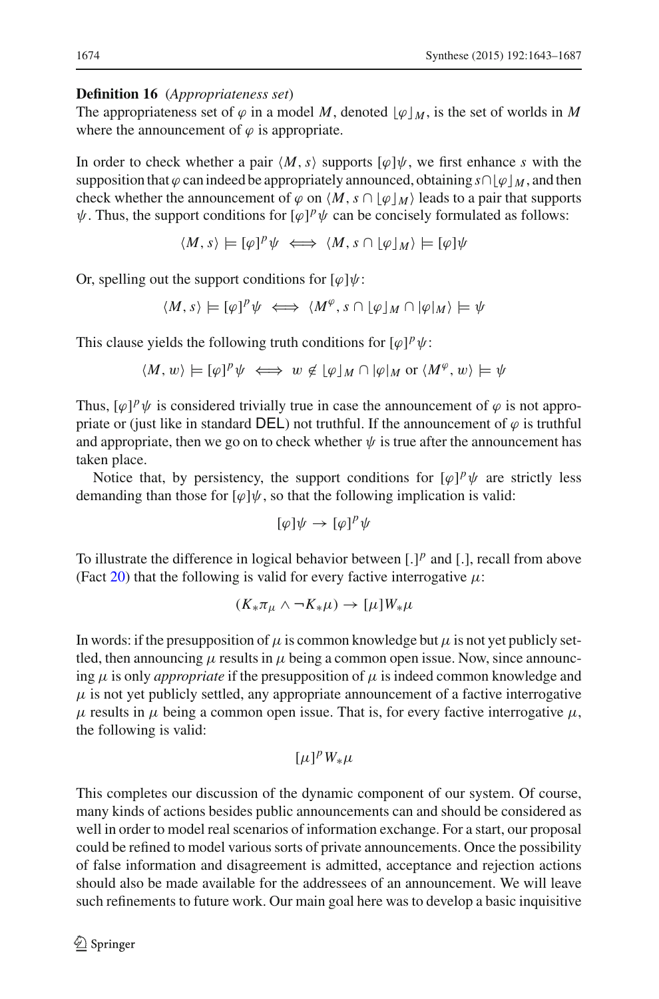## **Definition 16** (*Appropriateness set*)

The appropriateness set of  $\varphi$  in a model *M*, denoted  $|\varphi|_M$ , is the set of worlds in *M* where the announcement of  $\varphi$  is appropriate.

In order to check whether a pair  $\langle M, s \rangle$  supports  $[\varphi] \psi$ , we first enhance *s* with the supposition that  $\varphi$  can indeed be appropriately announced, obtaining  $s \cap \varphi \mid M$ , and then check whether the announcement of  $\varphi$  on  $\langle M, s \cap [\varphi]_M \rangle$  leads to a pair that supports  $\psi$ . Thus, the support conditions for  $\lbrack \varphi \rbrack^p \psi$  can be concisely formulated as follows:

$$
\langle M, s \rangle \models [\varphi]^p \psi \iff \langle M, s \cap [\varphi]_M \rangle \models [\varphi] \psi
$$

Or, spelling out the support conditions for  $\lbrack \varphi \rbrack \psi$ :

 $\langle M, s \rangle \models [\varphi]^p \psi \iff \langle M^{\varphi}, s \cap [\varphi]_M \cap [\varphi]_M \rangle \models \psi$ 

This clause yields the following truth conditions for  $\lbrack \varphi \rbrack^p \psi$ :

$$
\langle M, w \rangle \models [\varphi]^p \psi \iff w \notin [\varphi]_M \cap [\varphi]_M \text{ or } \langle M^\varphi, w \rangle \models \psi
$$

Thus,  $[\varphi]^{p} \psi$  is considered trivially true in case the announcement of  $\varphi$  is not appropriate or (just like in standard DEL) not truthful. If the announcement of  $\varphi$  is truthful and appropriate, then we go on to check whether  $\psi$  is true after the announcement has taken place.

Notice that, by persistency, the support conditions for  $\lbrack \varphi \rbrack^p \psi$  are strictly less demanding than those for  $\lceil \varphi \rceil \psi$ , so that the following implication is valid:

$$
[\varphi]\psi\to[\varphi]^p\psi
$$

To illustrate the difference in logical behavior between  $[.]^p$  and  $[.]$ , recall from above (Fact [20\)](#page-28-1) that the following is valid for every factive interrogative  $\mu$ :

$$
(K_{*}\pi_{\mu} \wedge \neg K_{*}\mu) \rightarrow [\mu]W_{*}\mu
$$

In words: if the presupposition of  $\mu$  is common knowledge but  $\mu$  is not yet publicly settled, then announcing  $\mu$  results in  $\mu$  being a common open issue. Now, since announcing  $\mu$  is only *appropriate* if the presupposition of  $\mu$  is indeed common knowledge and  $\mu$  is not yet publicly settled, any appropriate announcement of a factive interrogative  $\mu$  results in  $\mu$  being a common open issue. That is, for every factive interrogative  $\mu$ , the following is valid:

$$
[\mu]^p W_* \mu
$$

This completes our discussion of the dynamic component of our system. Of course, many kinds of actions besides public announcements can and should be considered as well in order to model real scenarios of information exchange. For a start, our proposal could be refined to model various sorts of private announcements. Once the possibility of false information and disagreement is admitted, acceptance and rejection actions should also be made available for the addressees of an announcement. We will leave such refinements to future work. Our main goal here was to develop a basic inquisitive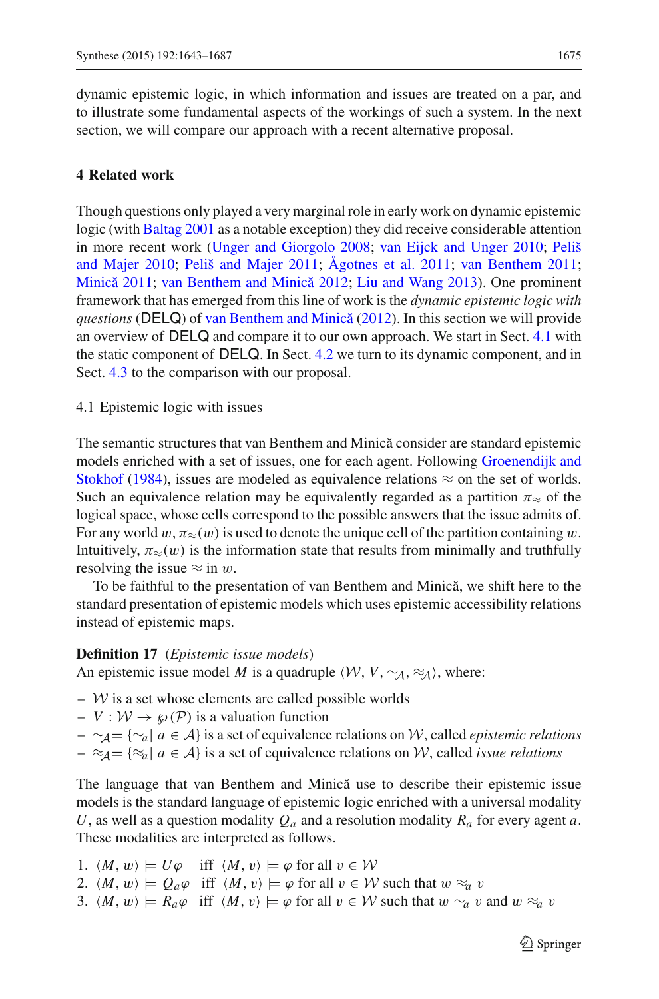dynamic epistemic logic, in which information and issues are treated on a par, and to illustrate some fundamental aspects of the workings of such a system. In the next section, we will compare our approach with a recent alternative proposal.

## <span id="page-33-0"></span>**4 Related work**

Though questions only played a very marginal role in early work on dynamic epistemic logic (with [Baltag 2001](#page-43-4) as a notable exception) they did receive considerable attention in more r[ecent](#page-44-12) [work](#page-44-12) [\(Unger and Giorgolo 2008](#page-45-4)[;](#page-44-12) [van Eijck and Unger 2010](#page-45-5); Peliš and Majer [2010;](#page-44-12) Peliš and Majer 2011; [Ågotnes et al. 2011;](#page-43-5) [van Benthem 2011](#page-45-1); Minică 2011; van Benthem and Minică 2012; [Liu and Wang 2013\)](#page-44-15). One prominent framework that has emerged from this line of work is the *dynamic epistemic logic with questions* (DELQ) of van Benthem and Minică [\(2012](#page-45-2)). In this section we will provide an overview of DELQ and compare it to our own approach. We start in Sect. [4.1](#page-33-1) with the static component of DELQ. In Sect. [4.2](#page-34-0) we turn to its dynamic component, and in Sect. [4.3](#page-35-0) to the comparison with our proposal.

<span id="page-33-1"></span>4.1 Epistemic logic with issues

The semantic structures that van Benthem and Minică consider are standard epistemic models [enriched](#page-44-11) [with](#page-44-11) [a](#page-44-11) [set](#page-44-11) [of](#page-44-11) [issues,](#page-44-11) [one](#page-44-11) [for](#page-44-11) [each](#page-44-11) [agent.](#page-44-11) [Following](#page-44-11) Groenendijk and Stokhof [\(1984](#page-44-11)), issues are modeled as equivalence relations  $\approx$  on the set of worlds. Such an equivalence relation may be equivalently regarded as a partition  $\pi_{\approx}$  of the logical space, whose cells correspond to the possible answers that the issue admits of. For any world  $w, \pi_{\approx}(w)$  is used to denote the unique cell of the partition containing w. Intuitively,  $\pi_{\approx}(w)$  is the information state that results from minimally and truthfully resolving the issue  $\approx$  in w.

To be faithful to the presentation of van Benthem and Minică, we shift here to the standard presentation of epistemic models which uses epistemic accessibility relations instead of epistemic maps.

**Definition 17** (*Epistemic issue models*)

An epistemic issue model *M* is a quadruple  $\langle W, V, \sim_A, \approx_A \rangle$ , where:

- $-$  *W* is a set whose elements are called possible worlds
- $-V : W \rightarrow \wp(P)$  is a valuation function
- ∼*A*= {∼*a*| *a* ∈ *A*} is a set of equivalence relations on *W*, called *epistemic relations* – ≈*A*= {≈*a*| *a* ∈ *A*} is a set of equivalence relations on *W*, called *issue relations*

The language that van Benthem and Minică use to describe their epistemic issue models is the standard language of epistemic logic enriched with a universal modality *U*, as well as a question modality  $Q_a$  and a resolution modality  $R_a$  for every agent *a*. These modalities are interpreted as follows.

1.  $\langle M, w \rangle \models U\varphi$  iff  $\langle M, v \rangle \models \varphi$  for all  $v \in W$ 2.  $\langle M, w \rangle \models Q_a \varphi$  iff  $\langle M, v \rangle \models \varphi$  for all  $v \in \mathcal{W}$  such that  $w \approx_a v$ 3.  $\langle M, w \rangle \models R_a \varphi$  iff  $\langle M, v \rangle \models \varphi$  for all  $v \in W$  such that  $w \sim_a v$  and  $w \approx_a v$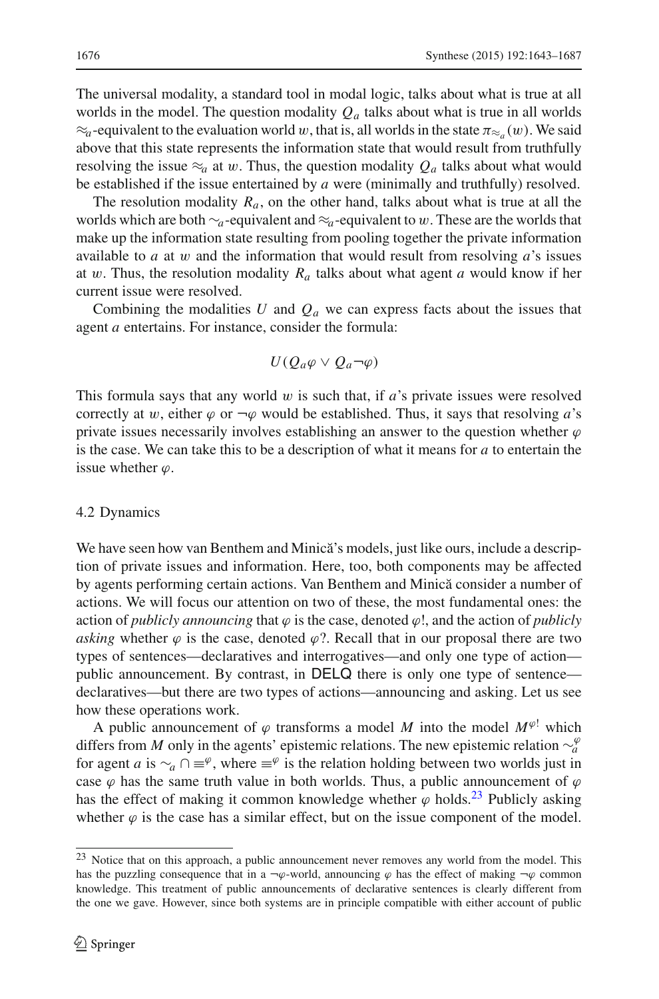The universal modality, a standard tool in modal logic, talks about what is true at all worlds in the model. The question modality  $Q_a$  talks about what is true in all worlds  $\approx_a$ -equivalent to the evaluation world w, that is, all worlds in the state  $\pi_{\approx_a}(w)$ . We said above that this state represents the information state that would result from truthfully resolving the issue  $\approx_a$  at w. Thus, the question modality  $Q_a$  talks about what would be established if the issue entertained by *a* were (minimally and truthfully) resolved.

The resolution modality  $R_a$ , on the other hand, talks about what is true at all the worlds which are both ∼*a*-equivalent and ≈*a*-equivalent to w. These are the worlds that make up the information state resulting from pooling together the private information available to *a* at w and the information that would result from resolving *a*'s issues at w. Thus, the resolution modality *Ra* talks about what agent *a* would know if her current issue were resolved.

Combining the modalities U and  $Q_a$  we can express facts about the issues that agent *a* entertains. For instance, consider the formula:

$$
U(Q_a\varphi\vee Q_a\neg\varphi)
$$

This formula says that any world w is such that, if *a*'s private issues were resolved correctly at w, either  $\varphi$  or  $\neg \varphi$  would be established. Thus, it says that resolving *a*'s private issues necessarily involves establishing an answer to the question whether  $\varphi$ is the case. We can take this to be a description of what it means for *a* to entertain the issue whether  $\varphi$ .

#### <span id="page-34-0"></span>4.2 Dynamics

We have seen how van Benthem and Minică's models, just like ours, include a description of private issues and information. Here, too, both components may be affected by agents performing certain actions. Van Benthem and Minică consider a number of actions. We will focus our attention on two of these, the most fundamental ones: the action of *publicly announcing* that  $\varphi$  is the case, denoted  $\varphi$ !, and the action of *publicly asking* whether  $\varphi$  is the case, denoted  $\varphi$ ?. Recall that in our proposal there are two types of sentences—declaratives and interrogatives—and only one type of action public announcement. By contrast, in DELQ there is only one type of sentence declaratives—but there are two types of actions—announcing and asking. Let us see how these operations work.

A public announcement of  $\varphi$  transforms a model M into the model  $M^{\varphi}$ ! which differs from *M* only in the agents' epistemic relations. The new epistemic relation  $\sim_a^{\varphi}$ for agent *a* is  $\sim_a \cap \equiv^{\varphi}$ , where  $\equiv^{\varphi}$  is the relation holding between two worlds just in case  $\varphi$  has the same truth value in both worlds. Thus, a public announcement of  $\varphi$ has the effect of making it common knowledge whether  $\varphi$  holds.<sup>23</sup> Publicly asking whether  $\varphi$  is the case has a similar effect, but on the issue component of the model.

<span id="page-34-1"></span><sup>&</sup>lt;sup>23</sup> Notice that on this approach, a public announcement never removes any world from the model. This has the puzzling consequence that in a  $\neg \varphi$ -world, announcing  $\varphi$  has the effect of making  $\neg \varphi$  common knowledge. This treatment of public announcements of declarative sentences is clearly different from the one we gave. However, since both systems are in principle compatible with either account of public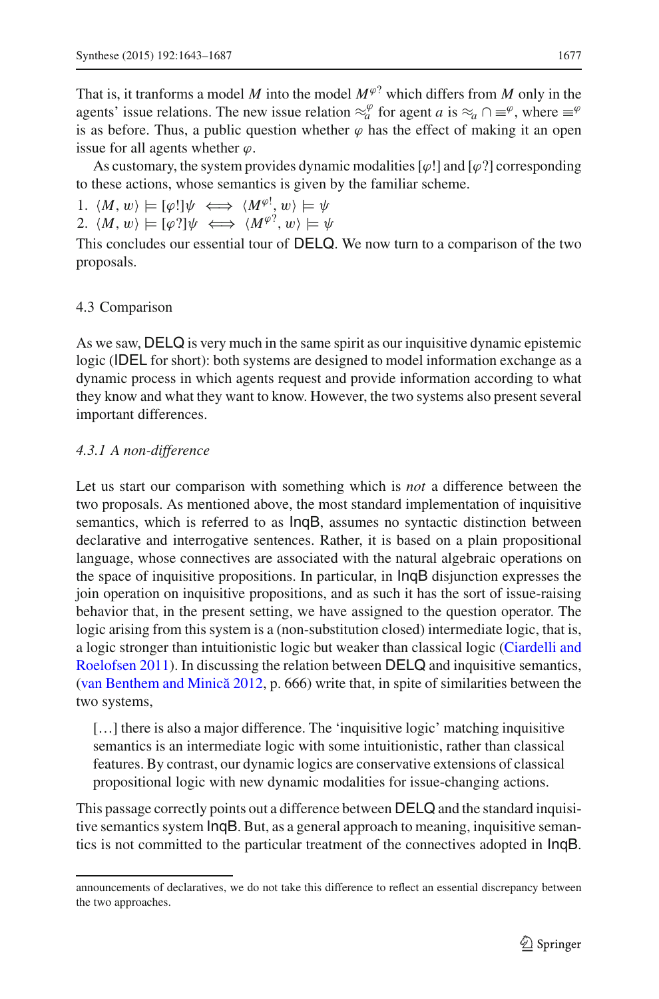That is, it tranforms a model *M* into the model  $M^{\varphi}$ ? which differs from *M* only in the agents' issue relations. The new issue relation  $\approx_a^{\varphi}$  for agent *a* is  $\approx_a \cap \equiv^{\varphi}$ , where  $\equiv^{\varphi}$ is as before. Thus, a public question whether  $\varphi$  has the effect of making it an open issue for all agents whether  $\varphi$ .

As customary, the system provides dynamic modalities [ $\varphi$ !] and [ $\varphi$ ?] corresponding to these actions, whose semantics is given by the familiar scheme.

1. 
$$
\langle M, w \rangle \models [\varphi!] \psi \iff \langle M^{\varphi!}, w \rangle \models \psi
$$
  
2.  $\langle M, w \rangle \models [\varphi?] \psi \iff \langle M^{\varphi?}, w \rangle \models \psi$ 

This concludes our essential tour of DELQ. We now turn to a comparison of the two proposals.

## <span id="page-35-0"></span>4.3 Comparison

As we saw, DELQ is very much in the same spirit as our inquisitive dynamic epistemic logic (IDEL for short): both systems are designed to model information exchange as a dynamic process in which agents request and provide information according to what they know and what they want to know. However, the two systems also present several important differences.

## *4.3.1 A non-difference*

Let us start our comparison with something which is *not* a difference between the two proposals. As mentioned above, the most standard implementation of inquisitive semantics, which is referred to as InqB, assumes no syntactic distinction between declarative and interrogative sentences. Rather, it is based on a plain propositional language, whose connectives are associated with the natural algebraic operations on the space of inquisitive propositions. In particular, in InqB disjunction expresses the join operation on inquisitive propositions, and as such it has the sort of issue-raising behavior that, in the present setting, we have assigned to the question operator. The logic arising from this system is a (non-substitution closed) intermediate logic, that is, a logic str[onger](#page-43-2) [than](#page-43-2) [intuitionistic](#page-43-2) [logic](#page-43-2) [but](#page-43-2) [weaker](#page-43-2) [than](#page-43-2) [classical](#page-43-2) [logic](#page-43-2) [\(](#page-43-2)Ciardelli and Roelofsen [2011](#page-43-2)). In discussing the relation between DELQ and inquisitive semantics, (van Benthem and Minică  $2012$ , p. 666) write that, in spite of similarities between the two systems,

[...] there is also a major difference. The 'inquisitive logic' matching inquisitive semantics is an intermediate logic with some intuitionistic, rather than classical features. By contrast, our dynamic logics are conservative extensions of classical propositional logic with new dynamic modalities for issue-changing actions.

This passage correctly points out a difference between DELQ and the standard inquisitive semantics system InqB. But, as a general approach to meaning, inquisitive semantics is not committed to the particular treatment of the connectives adopted in InqB.

announcements of declaratives, we do not take this difference to reflect an essential discrepancy between the two approaches.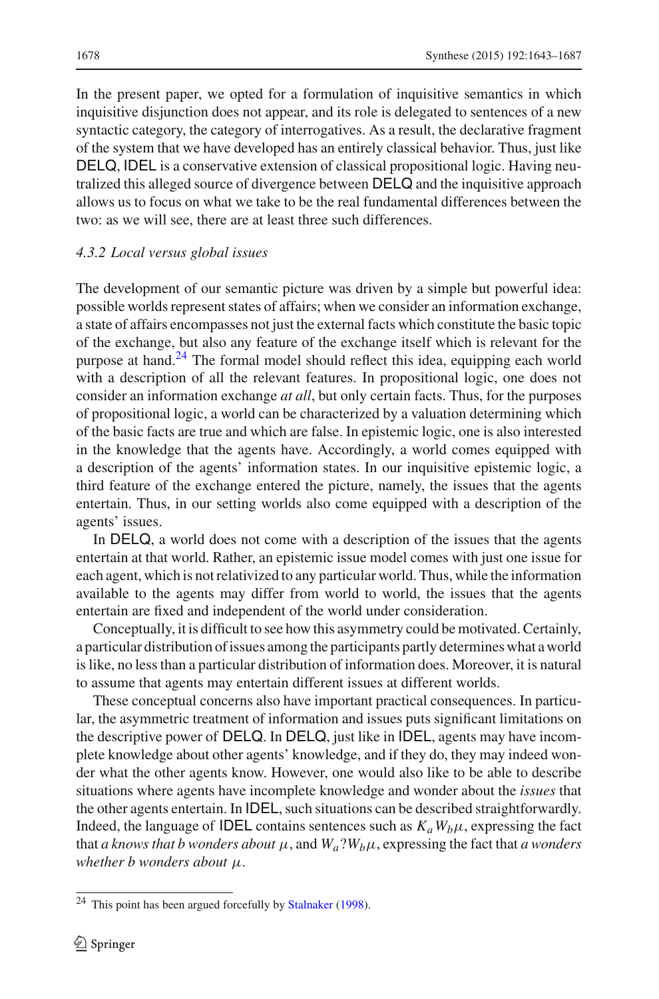In the present paper, we opted for a formulation of inquisitive semantics in which inquisitive disjunction does not appear, and its role is delegated to sentences of a new syntactic category, the category of interrogatives. As a result, the declarative fragment of the system that we have developed has an entirely classical behavior. Thus, just like DELQ, IDEL is a conservative extension of classical propositional logic. Having neutralized this alleged source of divergence between DELQ and the inquisitive approach allows us to focus on what we take to be the real fundamental differences between the two: as we will see, there are at least three such differences.

#### *4.3.2 Local versus global issues*

The development of our semantic picture was driven by a simple but powerful idea: possible worlds represent states of affairs; when we consider an information exchange, a state of affairs encompasses not just the external facts which constitute the basic topic of the exchange, but also any feature of the exchange itself which is relevant for the purpose at hand.<sup>[24](#page-36-0)</sup> The formal model should reflect this idea, equipping each world with a description of all the relevant features. In propositional logic, one does not consider an information exchange *at all*, but only certain facts. Thus, for the purposes of propositional logic, a world can be characterized by a valuation determining which of the basic facts are true and which are false. In epistemic logic, one is also interested in the knowledge that the agents have. Accordingly, a world comes equipped with a description of the agents' information states. In our inquisitive epistemic logic, a third feature of the exchange entered the picture, namely, the issues that the agents entertain. Thus, in our setting worlds also come equipped with a description of the agents' issues.

In DELQ, a world does not come with a description of the issues that the agents entertain at that world. Rather, an epistemic issue model comes with just one issue for each agent, which is not relativized to any particular world. Thus, while the information available to the agents may differ from world to world, the issues that the agents entertain are fixed and independent of the world under consideration.

Conceptually, it is difficult to see how this asymmetry could be motivated. Certainly, a particular distribution of issues among the participants partly determines what a world is like, no less than a particular distribution of information does. Moreover, it is natural to assume that agents may entertain different issues at different worlds.

These conceptual concerns also have important practical consequences. In particular, the asymmetric treatment of information and issues puts significant limitations on the descriptive power of DELQ. In DELQ, just like in IDEL, agents may have incomplete knowledge about other agents' knowledge, and if they do, they may indeed wonder what the other agents know. However, one would also like to be able to describe situations where agents have incomplete knowledge and wonder about the *issues* that the other agents entertain. In IDEL, such situations can be described straightforwardly. Indeed, the language of **IDEL** contains sentences such as  $K_a W_b \mu$ , expressing the fact that *a knows that b wonders about*  $\mu$ , and  $W_a$ ? $W_b\mu$ , expressing the fact that *a wonders whether b wonders about* μ.

<span id="page-36-0"></span><sup>&</sup>lt;sup>24</sup> This point has been argued forcefully by [Stalnaker](#page-44-16) [\(1998\)](#page-44-16).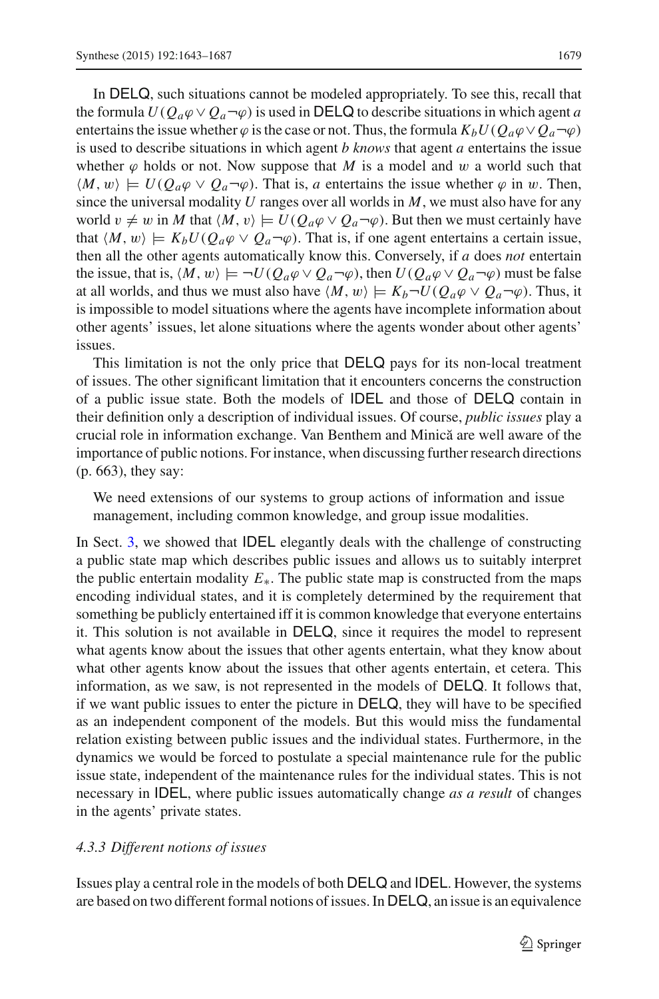In DELQ, such situations cannot be modeled appropriately. To see this, recall that the formula  $U(Q_a\varphi \vee Q_a\neg \varphi)$  is used in **DELQ** to describe situations in which agent *a* entertains the issue whether  $\varphi$  is the case or not. Thus, the formula  $K_bU(Q_a\varphi \vee Q_a\neg \varphi)$ is used to describe situations in which agent *b knows* that agent *a* entertains the issue whether  $\varphi$  holds or not. Now suppose that *M* is a model and w a world such that  $\langle M, w \rangle \models U(Q_a \varphi \lor Q_a \neg \varphi)$ . That is, *a* entertains the issue whether  $\varphi$  in w. Then, since the universal modality *U* ranges over all worlds in *M*, we must also have for any world  $v \neq w$  in *M* that  $\langle M, v \rangle \models U(Q_a \varphi \lor Q_a \neg \varphi)$ . But then we must certainly have that  $\langle M, w \rangle \models K_b U(Q_a \varphi \lor Q_a \neg \varphi)$ . That is, if one agent entertains a certain issue, then all the other agents automatically know this. Conversely, if *a* does *not* entertain the issue, that is,  $\langle M, w \rangle \models \neg U(Q_a \varphi \lor Q_a \neg \varphi)$ , then  $U(Q_a \varphi \lor Q_a \neg \varphi)$  must be false at all worlds, and thus we must also have  $\langle M, w \rangle \models K_b \neg U(Q_a \varphi \lor Q_a \neg \varphi)$ . Thus, it is impossible to model situations where the agents have incomplete information about other agents' issues, let alone situations where the agents wonder about other agents' issues.

This limitation is not the only price that DELQ pays for its non-local treatment of issues. The other significant limitation that it encounters concerns the construction of a public issue state. Both the models of IDEL and those of DELQ contain in their definition only a description of individual issues. Of course, *public issues* play a crucial role in information exchange. Van Benthem and Minică are well aware of the importance of public notions. For instance, when discussing further research directions (p. 663), they say:

We need extensions of our systems to group actions of information and issue management, including common knowledge, and group issue modalities.

In Sect. [3,](#page-6-0) we showed that IDEL elegantly deals with the challenge of constructing a public state map which describes public issues and allows us to suitably interpret the public entertain modality  $E_{*}$ . The public state map is constructed from the maps encoding individual states, and it is completely determined by the requirement that something be publicly entertained iff it is common knowledge that everyone entertains it. This solution is not available in DELQ, since it requires the model to represent what agents know about the issues that other agents entertain, what they know about what other agents know about the issues that other agents entertain, et cetera. This information, as we saw, is not represented in the models of DELQ. It follows that, if we want public issues to enter the picture in DELQ, they will have to be specified as an independent component of the models. But this would miss the fundamental relation existing between public issues and the individual states. Furthermore, in the dynamics we would be forced to postulate a special maintenance rule for the public issue state, independent of the maintenance rules for the individual states. This is not necessary in IDEL, where public issues automatically change *as a result* of changes in the agents' private states.

## *4.3.3 Different notions of issues*

Issues play a central role in the models of both DELQ and IDEL. However, the systems are based on two different formal notions of issues. In DELQ, an issue is an equivalence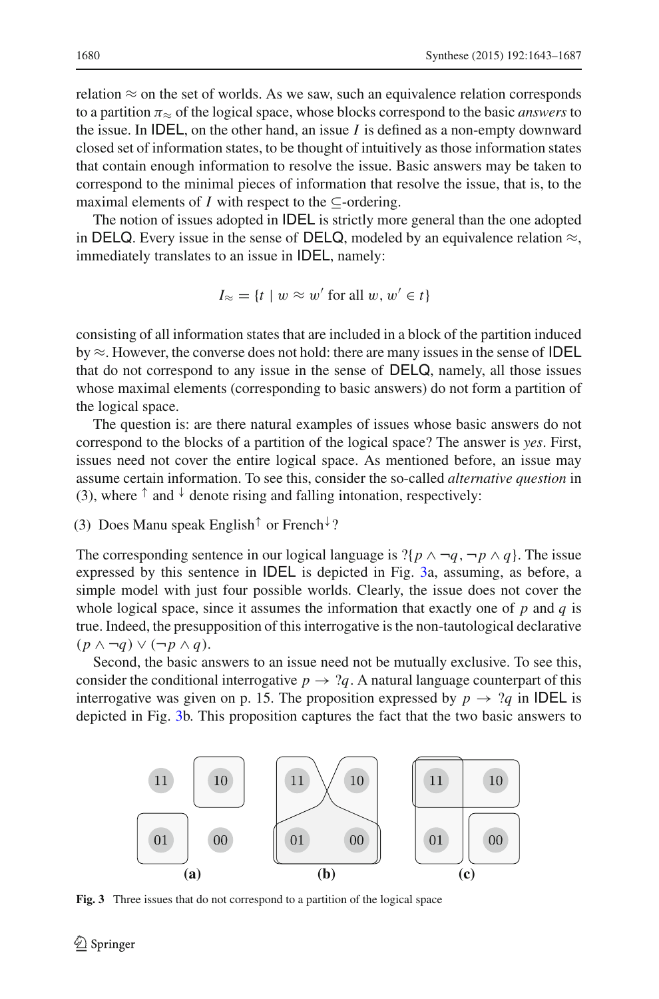relation  $\approx$  on the set of worlds. As we saw, such an equivalence relation corresponds to a partition π<sup>≈</sup> of the logical space, whose blocks correspond to the basic *answers* to the issue. In IDEL, on the other hand, an issue *I* is defined as a non-empty downward closed set of information states, to be thought of intuitively as those information states that contain enough information to resolve the issue. Basic answers may be taken to correspond to the minimal pieces of information that resolve the issue, that is, to the maximal elements of *I* with respect to the  $\subset$ -ordering.

The notion of issues adopted in IDEL is strictly more general than the one adopted in DELQ. Every issue in the sense of DELQ, modeled by an equivalence relation  $\approx$ , immediately translates to an issue in IDEL, namely:

$$
I_{\approx} = \{ t \mid w \approx w' \text{ for all } w, w' \in t \}
$$

consisting of all information states that are included in a block of the partition induced by  $\approx$ . However, the converse does not hold: there are many issues in the sense of IDEL that do not correspond to any issue in the sense of DELQ, namely, all those issues whose maximal elements (corresponding to basic answers) do not form a partition of the logical space.

The question is: are there natural examples of issues whose basic answers do not correspond to the blocks of a partition of the logical space? The answer is *yes*. First, issues need not cover the entire logical space. As mentioned before, an issue may assume certain information. To see this, consider the so-called *alternative question* in (3), where  $\uparrow$  and  $\downarrow$  denote rising and falling intonation, respectively:

#### (3) Does Manu speak English<sup>↑</sup> or French<sup> $\downarrow$ </sup>?

The corresponding sentence in our logical language is  $?{p \land \neg q, \neg p \land q}$ . The issue expressed by this sentence in IDEL is depicted in Fig. [3a](#page-38-0), assuming, as before, a simple model with just four possible worlds. Clearly, the issue does not cover the whole logical space, since it assumes the information that exactly one of *p* and *q* is true. Indeed, the presupposition of this interrogative is the non-tautological declarative (*p* ∧ ¬*q*) ∨ (¬*p* ∧ *q*).

Second, the basic answers to an issue need not be mutually exclusive. To see this, consider the conditional interrogative  $p \rightarrow ?q$ . A natural language counterpart of this interrogative was given on p. 15. The proposition expressed by  $p \rightarrow ?q$  in IDEL is depicted in Fig. [3b](#page-38-0). This proposition captures the fact that the two basic answers to



<span id="page-38-0"></span>**Fig. 3** Three issues that do not correspond to a partition of the logical space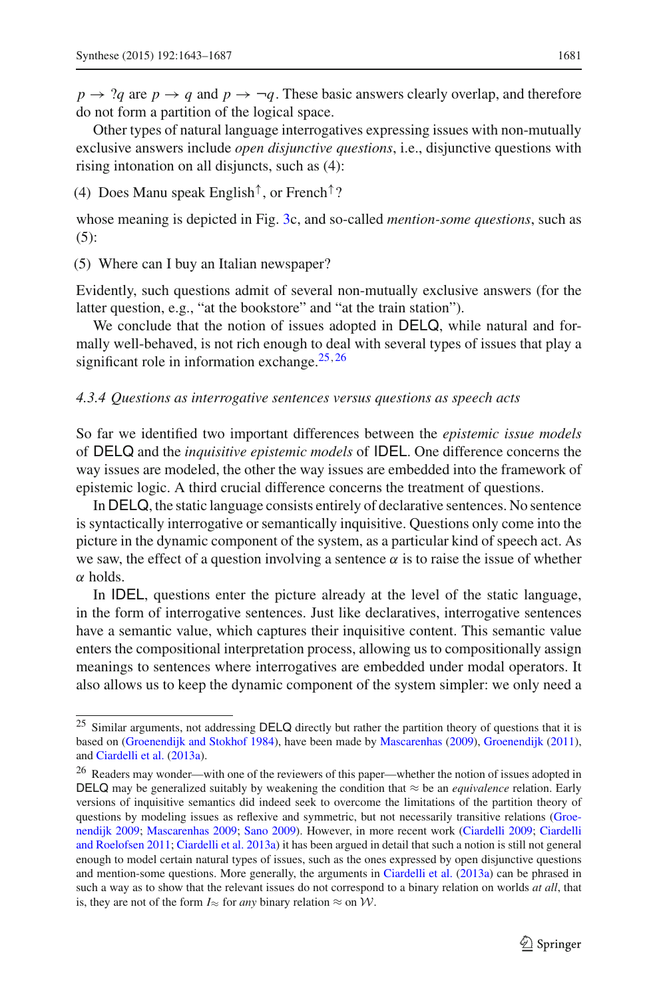$p \rightarrow ?q$  are  $p \rightarrow q$  and  $p \rightarrow \neg q$ . These basic answers clearly overlap, and therefore do not form a partition of the logical space.

Other types of natural language interrogatives expressing issues with non-mutually exclusive answers include *open disjunctive questions*, i.e., disjunctive questions with rising intonation on all disjuncts, such as (4):

(4) Does Manu speak English<sup> $\uparrow$ </sup>, or French<sup> $\uparrow$ </sup>?

whose meaning is depicted in Fig. [3c](#page-38-0), and so-called *mention-some questions*, such as (5):

(5) Where can I buy an Italian newspaper?

Evidently, such questions admit of several non-mutually exclusive answers (for the latter question, e.g., "at the bookstore" and "at the train station").

We conclude that the notion of issues adopted in DELQ, while natural and formally well-behaved, is not rich enough to deal with several types of issues that play a significant role in information exchange. $25,26$  $25,26$ 

#### *4.3.4 Questions as interrogative sentences versus questions as speech acts*

So far we identified two important differences between the *epistemic issue models* of DELQ and the *inquisitive epistemic models* of IDEL. One difference concerns the way issues are modeled, the other the way issues are embedded into the framework of epistemic logic. A third crucial difference concerns the treatment of questions.

In DELQ, the static language consists entirely of declarative sentences. No sentence is syntactically interrogative or semantically inquisitive. Questions only come into the picture in the dynamic component of the system, as a particular kind of speech act. As we saw, the effect of a question involving a sentence  $\alpha$  is to raise the issue of whether  $\alpha$  holds.

In IDEL, questions enter the picture already at the level of the static language, in the form of interrogative sentences. Just like declaratives, interrogative sentences have a semantic value, which captures their inquisitive content. This semantic value enters the compositional interpretation process, allowing us to compositionally assign meanings to sentences where interrogatives are embedded under modal operators. It also allows us to keep the dynamic component of the system simpler: we only need a

<span id="page-39-0"></span><sup>&</sup>lt;sup>25</sup> Similar arguments, not addressing DELQ directly but rather the partition theory of questions that it is based on [\(Groenendijk and Stokhof 1984\)](#page-44-11), have been made by [Mascarenhas](#page-44-8) [\(2009\)](#page-44-8), [Groenendijk](#page-44-10) [\(2011](#page-44-10)), and [Ciardelli et al.](#page-44-2) [\(2013a\)](#page-44-2).

<span id="page-39-1"></span><sup>&</sup>lt;sup>26</sup> Readers may wonder—with one of the reviewers of this paper—whether the notion of issues adopted in DELQ may be generalized suitably by weakening the condition that  $\approx$  be an *equivalence* relation. Early versions of inquisitive semantics did indeed seek to overcome the limitations of the partition theory of questio[ns](#page-44-7) [by](#page-44-7) [modeling](#page-44-7) [issues](#page-44-7) [as](#page-44-7) [reflexive](#page-44-7) [and](#page-44-7) [symmetric,](#page-44-7) [but](#page-44-7) [not](#page-44-7) [necessarily](#page-44-7) [transitive](#page-44-7) [relations](#page-44-7) [\(](#page-44-7)Groenendijk [2009](#page-44-7); [Mascarenhas 2009](#page-44-8); [Sano 2009](#page-44-17)[\).](#page-43-2) [However,](#page-43-2) [in](#page-43-2) [more](#page-43-2) [recent](#page-43-2) [work](#page-43-2) [\(Ciardelli 2009](#page-43-0)[;](#page-43-2) Ciardelli and Roelofsen [2011](#page-43-2); [Ciardelli et al. 2013a](#page-44-2)) it has been argued in detail that such a notion is still not general enough to model certain natural types of issues, such as the ones expressed by open disjunctive questions and mention-some questions. More generally, the arguments in [Ciardelli et al.](#page-44-2) [\(2013a\)](#page-44-2) can be phrased in such a way as to show that the relevant issues do not correspond to a binary relation on worlds *at all*, that is, they are not of the form  $I_{\infty}$  for *any* binary relation  $\approx$  on *W*.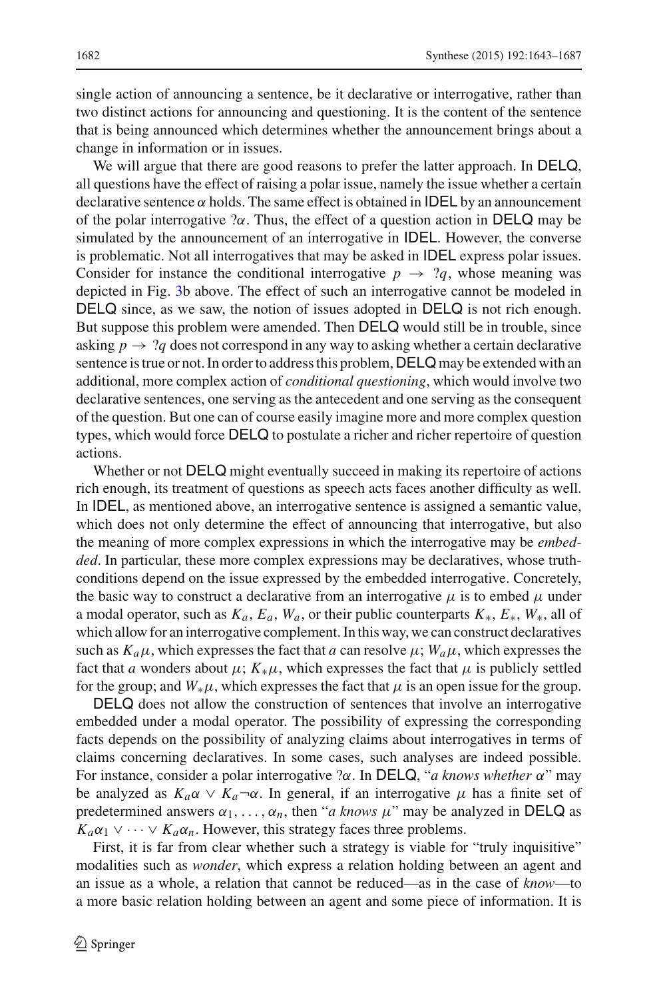single action of announcing a sentence, be it declarative or interrogative, rather than two distinct actions for announcing and questioning. It is the content of the sentence that is being announced which determines whether the announcement brings about a change in information or in issues.

We will argue that there are good reasons to prefer the latter approach. In **DELQ**, all questions have the effect of raising a polar issue, namely the issue whether a certain declarative sentence  $\alpha$  holds. The same effect is obtained in **IDEL** by an announcement of the polar interrogative  $2\alpha$ . Thus, the effect of a question action in DELQ may be simulated by the announcement of an interrogative in IDEL. However, the converse is problematic. Not all interrogatives that may be asked in IDEL express polar issues. Consider for instance the conditional interrogative  $p \rightarrow ?q$ , whose meaning was depicted in Fig. [3b](#page-38-0) above. The effect of such an interrogative cannot be modeled in DELQ since, as we saw, the notion of issues adopted in DELQ is not rich enough. But suppose this problem were amended. Then DELQ would still be in trouble, since asking  $p \rightarrow ?q$  does not correspond in any way to asking whether a certain declarative sentence is true or not. In order to address this problem, DELQ may be extended with an additional, more complex action of *conditional questioning*, which would involve two declarative sentences, one serving as the antecedent and one serving as the consequent of the question. But one can of course easily imagine more and more complex question types, which would force DELQ to postulate a richer and richer repertoire of question actions.

Whether or not DELQ might eventually succeed in making its repertoire of actions rich enough, its treatment of questions as speech acts faces another difficulty as well. In IDEL, as mentioned above, an interrogative sentence is assigned a semantic value, which does not only determine the effect of announcing that interrogative, but also the meaning of more complex expressions in which the interrogative may be *embedded*. In particular, these more complex expressions may be declaratives, whose truthconditions depend on the issue expressed by the embedded interrogative. Concretely, the basic way to construct a declarative from an interrogative  $\mu$  is to embed  $\mu$  under a modal operator, such as *Ka*, *Ea*, *Wa*, or their public counterparts *K*∗, *E*∗, *W*∗, all of which allow for an interrogative complement. In this way, we can construct declaratives such as  $K_a\mu$ , which expresses the fact that *a* can resolve  $\mu$ ;  $W_a\mu$ , which expresses the fact that *a* wonders about  $\mu$ ;  $K_*\mu$ , which expresses the fact that  $\mu$  is publicly settled for the group; and  $W_*\mu$ , which expresses the fact that  $\mu$  is an open issue for the group.

DELQ does not allow the construction of sentences that involve an interrogative embedded under a modal operator. The possibility of expressing the corresponding facts depends on the possibility of analyzing claims about interrogatives in terms of claims concerning declaratives. In some cases, such analyses are indeed possible. For instance, consider a polar interrogative ?α. In DELQ, "*a knows whether* α" may be analyzed as  $K_a \alpha \vee K_a \alpha \alpha$ . In general, if an interrogative  $\mu$  has a finite set of predetermined answers  $\alpha_1, \ldots, \alpha_n$ , then "*a knows*  $\mu$ " may be analyzed in **DELQ** as  $K_a\alpha_1 \vee \cdots \vee K_a\alpha_n$ . However, this strategy faces three problems.

First, it is far from clear whether such a strategy is viable for "truly inquisitive" modalities such as *wonder*, which express a relation holding between an agent and an issue as a whole, a relation that cannot be reduced—as in the case of *know*—to a more basic relation holding between an agent and some piece of information. It is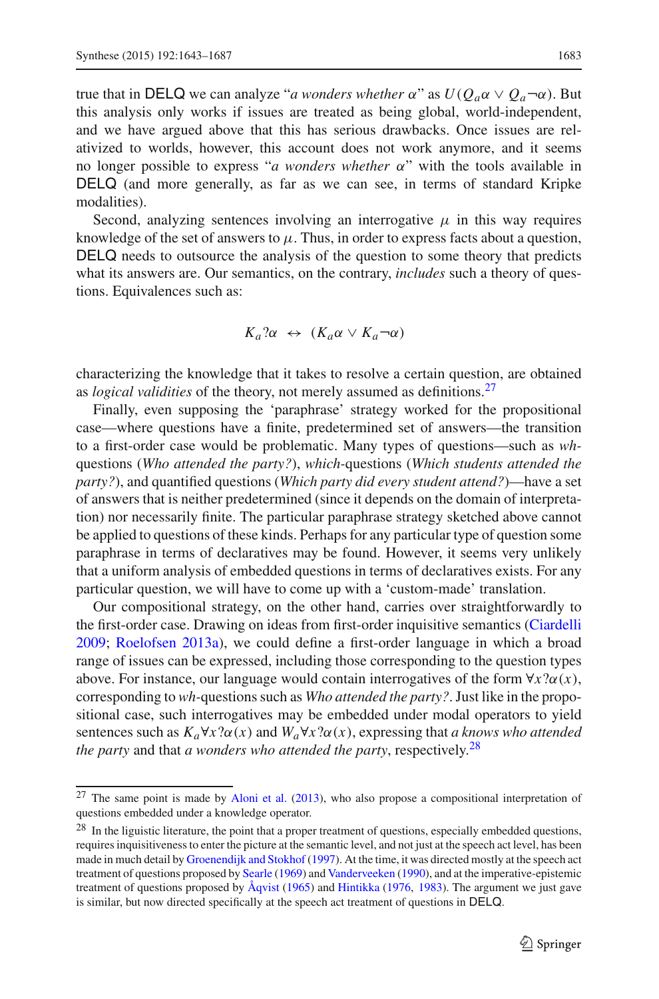true that in **DELQ** we can analyze "*a wonders whether*  $\alpha$ " as  $U(Q_a \alpha \vee Q_a \neg \alpha)$ . But this analysis only works if issues are treated as being global, world-independent, and we have argued above that this has serious drawbacks. Once issues are relativized to worlds, however, this account does not work anymore, and it seems no longer possible to express "*a wonders whether* α" with the tools available in DELQ (and more generally, as far as we can see, in terms of standard Kripke modalities).

Second, analyzing sentences involving an interrogative  $\mu$  in this way requires knowledge of the set of answers to  $\mu$ . Thus, in order to express facts about a question, DELQ needs to outsource the analysis of the question to some theory that predicts what its answers are. Our semantics, on the contrary, *includes* such a theory of questions. Equivalences such as:

$$
K_a?\alpha \leftrightarrow (K_a\alpha \vee K_a\neg \alpha)
$$

characterizing the knowledge that it takes to resolve a certain question, are obtained as *logical validities* of the theory, not merely assumed as definitions.[27](#page-41-0)

Finally, even supposing the 'paraphrase' strategy worked for the propositional case—where questions have a finite, predetermined set of answers—the transition to a first-order case would be problematic. Many types of questions—such as *wh*questions (*Who attended the party?*), *which-*questions (*Which students attended the party?*), and quantified questions (*Which party did every student attend?*)—have a set of answers that is neither predetermined (since it depends on the domain of interpretation) nor necessarily finite. The particular paraphrase strategy sketched above cannot be applied to questions of these kinds. Perhaps for any particular type of question some paraphrase in terms of declaratives may be found. However, it seems very unlikely that a uniform analysis of embedded questions in terms of declaratives exists. For any particular question, we will have to come up with a 'custom-made' translation.

Our compositional strategy, on the other hand, carries over straightforwardly to the first-order case. Drawing on ideas from first-order inquisitive semantics [\(Ciardelli](#page-43-0) [2009;](#page-43-0) [Roelofsen 2013a\)](#page-44-6), we could define a first-order language in which a broad range of issues can be expressed, including those corresponding to the question types above. For instance, our language would contain interrogatives of the form  $\forall x? \alpha(x)$ , corresponding to *wh-*questions such as *Who attended the party?*. Just like in the propositional case, such interrogatives may be embedded under modal operators to yield sentences such as  $K_a \forall x? \alpha(x)$  and  $W_a \forall x? \alpha(x)$ , expressing that *a knows who attended the party* and that *a wonders who attended the party*, respectively.[28](#page-41-1)

<span id="page-41-0"></span><sup>&</sup>lt;sup>27</sup> The same point is made by [Aloni et al.](#page-43-6) [\(2013](#page-43-6)), who also propose a compositional interpretation of questions embedded under a knowledge operator.

<span id="page-41-1"></span><sup>&</sup>lt;sup>28</sup> In the liguistic literature, the point that a proper treatment of questions, especially embedded questions, requires inquisitiveness to enter the picture at the semantic level, and not just at the speech act level, has been made in much detail by [Groenendijk and Stokhof](#page-44-18) [\(1997\)](#page-44-18). At the time, it was directed mostly at the speech act treatment of questions proposed by [Searle](#page-44-19) [\(1969\)](#page-44-19) and [Vanderveeken](#page-45-6) [\(1990\)](#page-45-6), and at the imperative-epistemic treatment of questions proposed by [Åqvist](#page-43-7) [\(1965](#page-43-7)) and [Hintikka](#page-44-20) [\(1976](#page-44-20), [1983](#page-44-21)). The argument we just gave is similar, but now directed specifically at the speech act treatment of questions in DELQ.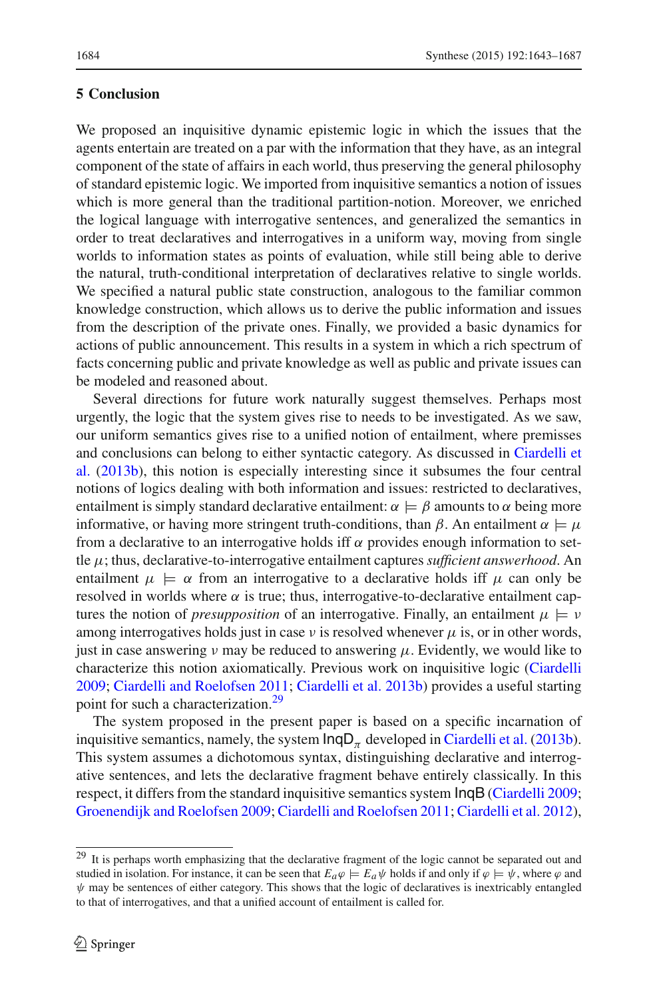#### <span id="page-42-0"></span>**5 Conclusion**

We proposed an inquisitive dynamic epistemic logic in which the issues that the agents entertain are treated on a par with the information that they have, as an integral component of the state of affairs in each world, thus preserving the general philosophy of standard epistemic logic. We imported from inquisitive semantics a notion of issues which is more general than the traditional partition-notion. Moreover, we enriched the logical language with interrogative sentences, and generalized the semantics in order to treat declaratives and interrogatives in a uniform way, moving from single worlds to information states as points of evaluation, while still being able to derive the natural, truth-conditional interpretation of declaratives relative to single worlds. We specified a natural public state construction, analogous to the familiar common knowledge construction, which allows us to derive the public information and issues from the description of the private ones. Finally, we provided a basic dynamics for actions of public announcement. This results in a system in which a rich spectrum of facts concerning public and private knowledge as well as public and private issues can be modeled and reasoned about.

Several directions for future work naturally suggest themselves. Perhaps most urgently, the logic that the system gives rise to needs to be investigated. As we saw, our uniform semantics gives rise to a unified notion of entailment, where premisses a[nd](#page-44-9) [conclusions](#page-44-9) [can](#page-44-9) [belong](#page-44-9) [to](#page-44-9) [either](#page-44-9) [syntactic](#page-44-9) [category.](#page-44-9) [As](#page-44-9) [discussed](#page-44-9) [in](#page-44-9) Ciardelli et al. [\(2013b](#page-44-9)), this notion is especially interesting since it subsumes the four central notions of logics dealing with both information and issues: restricted to declaratives, entailment is simply standard declarative entailment:  $\alpha \models \beta$  amounts to  $\alpha$  being more informative, or having more stringent truth-conditions, than  $\beta$ . An entailment  $\alpha \models \mu$ from a declarative to an interrogative holds iff  $\alpha$  provides enough information to settle μ; thus, declarative-to-interrogative entailment captures *sufficient answerhood*. An entailment  $\mu \models \alpha$  from an interrogative to a declarative holds iff  $\mu$  can only be resolved in worlds where  $\alpha$  is true; thus, interrogative-to-declarative entailment captures the notion of *presupposition* of an interrogative. Finally, an entailment  $\mu \models \nu$ among interrogatives holds just in case  $\nu$  is resolved whenever  $\mu$  is, or in other words, just in case answering  $\nu$  may be reduced to answering  $\mu$ . Evidently, we would like to characterize this notion axiomatically. Previous work on inquisitive logic [\(Ciardelli](#page-43-0) [2009;](#page-43-0) [Ciardelli and Roelofsen 2011;](#page-43-2) [Ciardelli et al. 2013b](#page-44-9)) provides a useful starting point for such a characterization.<sup>[29](#page-42-1)</sup>

The system proposed in the present paper is based on a specific incarnation of inquisitive semantics, namely, the system  $\text{InqD}_{\pi}$  developed in [Ciardelli et al.](#page-44-9) [\(2013b](#page-44-9)). This system assumes a dichotomous syntax, distinguishing declarative and interrogative sentences, and lets the declarative fragment behave entirely classically. In this respect, it differs from the standard inquisitive semantics system InqB [\(Ciardelli 2009](#page-43-0); [Groenendijk and Roelofsen 2009;](#page-44-0) [Ciardelli and Roelofsen 2011](#page-43-2); [Ciardelli et al. 2012](#page-44-1)),

<span id="page-42-1"></span><sup>&</sup>lt;sup>29</sup> It is perhaps worth emphasizing that the declarative fragment of the logic cannot be separated out and studied in isolation. For instance, it can be seen that  $E_a\varphi \models E_a\psi$  holds if and only if  $\varphi \models \psi$ , where  $\varphi$  and  $\psi$  may be sentences of either category. This shows that the logic of declaratives is inextricably entangled to that of interrogatives, and that a unified account of entailment is called for.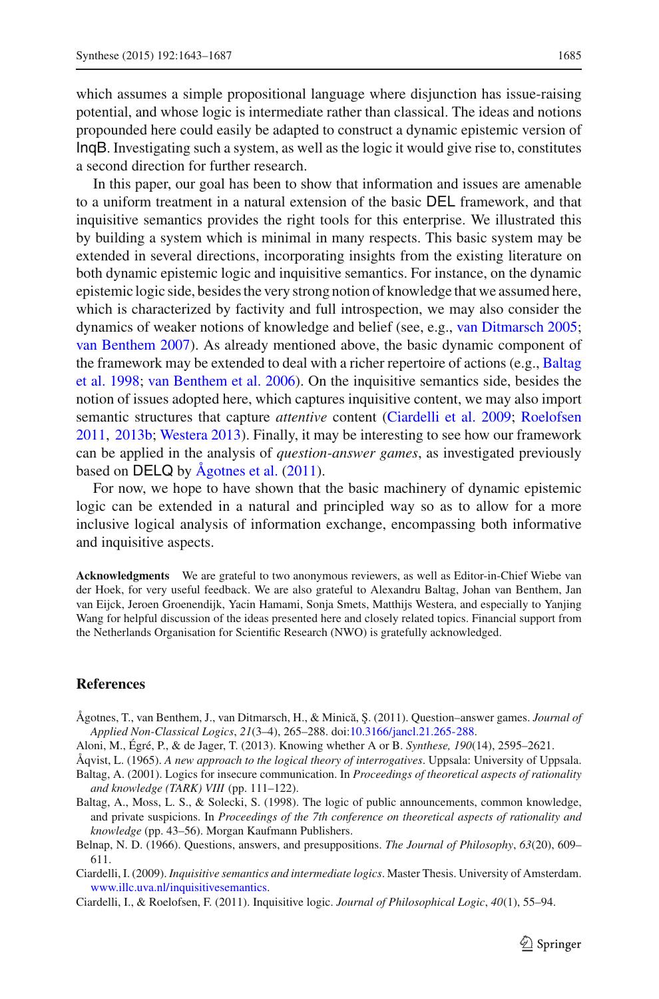which assumes a simple propositional language where disjunction has issue-raising potential, and whose logic is intermediate rather than classical. The ideas and notions propounded here could easily be adapted to construct a dynamic epistemic version of InqB. Investigating such a system, as well as the logic it would give rise to, constitutes a second direction for further research.

In this paper, our goal has been to show that information and issues are amenable to a uniform treatment in a natural extension of the basic DEL framework, and that inquisitive semantics provides the right tools for this enterprise. We illustrated this by building a system which is minimal in many respects. This basic system may be extended in several directions, incorporating insights from the existing literature on both dynamic epistemic logic and inquisitive semantics. For instance, on the dynamic epistemic logic side, besides the very strong notion of knowledge that we assumed here, which is characterized by factivity and full introspection, we may also consider the dynamics of weaker notions of knowledge and belief (see, e.g., [van Ditmarsch 2005](#page-45-7); [van Benthem 2007\)](#page-45-8). As already mentioned above, the basic dynamic component of the f[ramework](#page-43-1) [may](#page-43-1) [be](#page-43-1) [extended](#page-43-1) [to](#page-43-1) [deal](#page-43-1) [with](#page-43-1) [a](#page-43-1) [richer](#page-43-1) [repertoire](#page-43-1) [of](#page-43-1) [actions](#page-43-1) [\(e.g.,](#page-43-1) Baltag et al. [1998](#page-43-1); [van Benthem et al. 2006](#page-45-9)). On the inquisitive semantics side, besides the notion of issues adopted here, which captures inquisitive content, we may also import semantic structures that capture *attentive* content [\(Ciardelli et al. 2009](#page-44-22); [Roelofsen](#page-44-23) [2011,](#page-44-23) [2013b;](#page-44-24) [Westera 2013\)](#page-45-10). Finally, it may be interesting to see how our framework can be applied in the analysis of *question-answer games*, as investigated previously based on **DELQ** by <u>Ågotnes</u> et al. [\(2011](#page-43-5)).

For now, we hope to have shown that the basic machinery of dynamic epistemic logic can be extended in a natural and principled way so as to allow for a more inclusive logical analysis of information exchange, encompassing both informative and inquisitive aspects.

**Acknowledgments** We are grateful to two anonymous reviewers, as well as Editor-in-Chief Wiebe van der Hoek, for very useful feedback. We are also grateful to Alexandru Baltag, Johan van Benthem, Jan van Eijck, Jeroen Groenendijk, Yacin Hamami, Sonja Smets, Matthijs Westera, and especially to Yanjing Wang for helpful discussion of the ideas presented here and closely related topics. Financial support from the Netherlands Organisation for Scientific Research (NWO) is gratefully acknowledged.

#### **References**

- <span id="page-43-5"></span>Ågotnes, T., van Benthem, J., van Ditmarsch, H., & Minică, Ş. (2011). Question–answer games. *Journal of Applied Non-Classical Logics*, *21*(3–4), 265–288. doi[:10.3166/jancl.21.265-288.](http://dx.doi.org/10.3166/jancl.21.265-288)
- <span id="page-43-6"></span>Aloni, M., Égré, P., & de Jager, T. (2013). Knowing whether A or B. *Synthese, 190*(14), 2595–2621.
- <span id="page-43-7"></span><span id="page-43-4"></span>Åqvist, L. (1965). *A new approach to the logical theory of interrogatives*. Uppsala: University of Uppsala. Baltag, A. (2001). Logics for insecure communication. In *Proceedings of theoretical aspects of rationality*
- *and knowledge (TARK) VIII* (pp. 111–122).
- <span id="page-43-1"></span>Baltag, A., Moss, L. S., & Solecki, S. (1998). The logic of public announcements, common knowledge, and private suspicions. In *Proceedings of the 7th conference on theoretical aspects of rationality and knowledge* (pp. 43–56). Morgan Kaufmann Publishers.
- <span id="page-43-3"></span>Belnap, N. D. (1966). Questions, answers, and presuppositions. *The Journal of Philosophy*, *63*(20), 609– 611.

<span id="page-43-0"></span>Ciardelli, I. (2009). *Inquisitive semantics and intermediate logics*. Master Thesis. University of Amsterdam. [www.illc.uva.nl/inquisitivesemantics.](www.illc.uva.nl/inquisitivesemantics)

<span id="page-43-2"></span>Ciardelli, I., & Roelofsen, F. (2011). Inquisitive logic. *Journal of Philosophical Logic*, *40*(1), 55–94.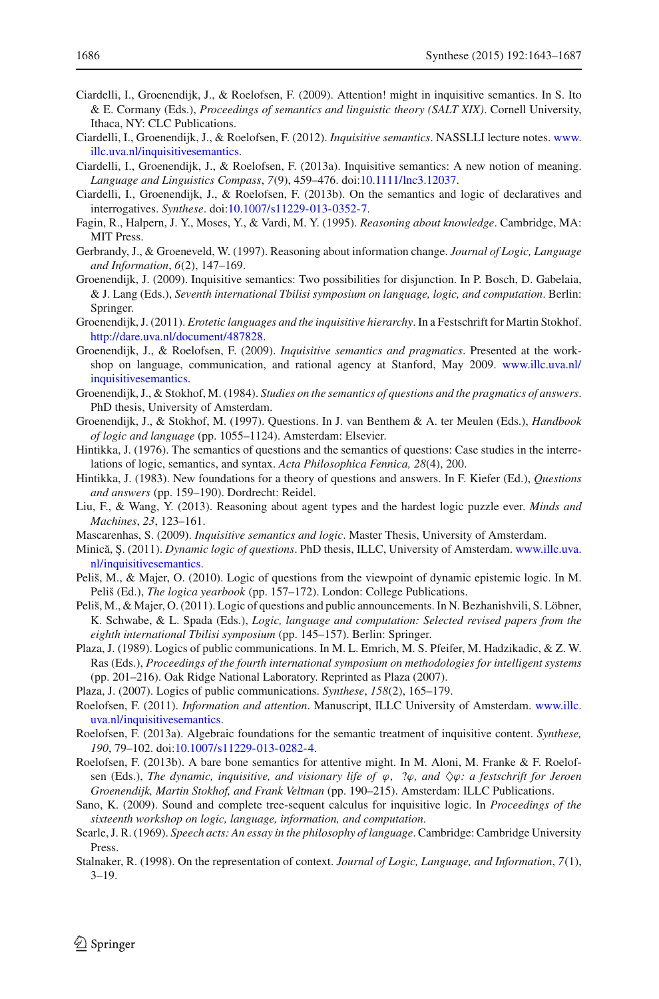- <span id="page-44-22"></span>Ciardelli, I., Groenendijk, J., & Roelofsen, F. (2009). Attention! might in inquisitive semantics. In S. Ito & E. Cormany (Eds.), *Proceedings of semantics and linguistic theory (SALT XIX)*. Cornell University, Ithaca, NY: CLC Publications.
- <span id="page-44-1"></span>Ciardelli, I., Groenendijk, J., & Roelofsen, F. (2012). *Inquisitive semantics*. NASSLLI lecture notes. [www.](www.illc.uva.nl/inquisitivesemantics) [illc.uva.nl/inquisitivesemantics.](www.illc.uva.nl/inquisitivesemantics)
- <span id="page-44-2"></span>Ciardelli, I., Groenendijk, J., & Roelofsen, F. (2013a). Inquisitive semantics: A new notion of meaning. *Language and Linguistics Compass*, *7*(9), 459–476. doi[:10.1111/lnc3.12037.](http://dx.doi.org/10.1111/lnc3.12037)
- <span id="page-44-9"></span>Ciardelli, I., Groenendijk, J., & Roelofsen, F. (2013b). On the semantics and logic of declaratives and interrogatives. *Synthese*. doi[:10.1007/s11229-013-0352-7.](http://dx.doi.org/10.1007/s11229-013-0352-7)
- <span id="page-44-3"></span>Fagin, R., Halpern, J. Y., Moses, Y., & Vardi, M. Y. (1995). *Reasoning about knowledge*. Cambridge, MA: MIT Press.
- <span id="page-44-5"></span>Gerbrandy, J., & Groeneveld, W. (1997). Reasoning about information change. *Journal of Logic, Language and Information*, *6*(2), 147–169.
- <span id="page-44-7"></span>Groenendijk, J. (2009). Inquisitive semantics: Two possibilities for disjunction. In P. Bosch, D. Gabelaia, & J. Lang (Eds.), *Seventh international Tbilisi symposium on language, logic, and computation*. Berlin: Springer.
- <span id="page-44-10"></span>Groenendijk, J. (2011). *Erotetic languages and the inquisitive hierarchy*. In a Festschrift for Martin Stokhof. [http://dare.uva.nl/document/487828.](http://dare.uva.nl/document/487828)
- <span id="page-44-0"></span>Groenendijk, J., & Roelofsen, F. (2009). *Inquisitive semantics and pragmatics*. Presented at the workshop on language, communication, and rational agency at Stanford, May 2009. [www.illc.uva.nl/](www.illc.uva.nl/inquisitivesemantics) [inquisitivesemantics.](www.illc.uva.nl/inquisitivesemantics)
- <span id="page-44-11"></span>Groenendijk, J., & Stokhof, M. (1984). *Studies on the semantics of questions and the pragmatics of answers*. PhD thesis, University of Amsterdam.
- <span id="page-44-18"></span>Groenendijk, J., & Stokhof, M. (1997). Questions. In J. van Benthem & A. ter Meulen (Eds.), *Handbook of logic and language* (pp. 1055–1124). Amsterdam: Elsevier.
- <span id="page-44-20"></span>Hintikka, J. (1976). The semantics of questions and the semantics of questions: Case studies in the interrelations of logic, semantics, and syntax. *Acta Philosophica Fennica, 28*(4), 200.
- <span id="page-44-21"></span>Hintikka, J. (1983). New foundations for a theory of questions and answers. In F. Kiefer (Ed.), *Questions and answers* (pp. 159–190). Dordrecht: Reidel.
- <span id="page-44-15"></span>Liu, F., & Wang, Y. (2013). Reasoning about agent types and the hardest logic puzzle ever. *Minds and Machines*, *23*, 123–161.
- <span id="page-44-8"></span>Mascarenhas, S. (2009). *Inquisitive semantics and logic*. Master Thesis, University of Amsterdam.
- <span id="page-44-14"></span>Minică, Ş. (2011). *Dynamic logic of questions*. PhD thesis, ILLC, University of Amsterdam. [www.illc.uva.](www.illc.uva.nl/inquisitivesemantics) [nl/inquisitivesemantics.](www.illc.uva.nl/inquisitivesemantics)
- <span id="page-44-12"></span>Peliš, M., & Majer, O. (2010). Logic of questions from the viewpoint of dynamic epistemic logic. In M. Peli˘s (Ed.), *The logica yearbook* (pp. 157–172). London: College Publications.
- <span id="page-44-13"></span>Peliš, M., & Majer, O. (2011). Logic of questions and public announcements. In N. Bezhanishvili, S. Löbner, K. Schwabe, & L. Spada (Eds.), *Logic, language and computation: Selected revised papers from the eighth international Tbilisi symposium* (pp. 145–157). Berlin: Springer.
- <span id="page-44-4"></span>Plaza, J. (1989). Logics of public communications. In M. L. Emrich, M. S. Pfeifer, M. Hadzikadic, & Z. W. Ras (Eds.), *Proceedings of the fourth international symposium on methodologies for intelligent systems* (pp. 201–216). Oak Ridge National Laboratory. Reprinted as Plaza (2007).
- Plaza, J. (2007). Logics of public communications. *Synthese*, *158*(2), 165–179.
- <span id="page-44-23"></span>Roelofsen, F. (2011). *Information and attention*. Manuscript, ILLC University of Amsterdam. [www.illc.](www.illc.uva.nl/inquisitivesemantics) [uva.nl/inquisitivesemantics.](www.illc.uva.nl/inquisitivesemantics)
- <span id="page-44-6"></span>Roelofsen, F. (2013a). Algebraic foundations for the semantic treatment of inquisitive content. *Synthese, 190*, 79–102. doi[:10.1007/s11229-013-0282-4.](http://dx.doi.org/10.1007/s11229-013-0282-4)
- <span id="page-44-24"></span>Roelofsen, F. (2013b). A bare bone semantics for attentive might. In M. Aloni, M. Franke & F. Roelofsen (Eds.), *The dynamic, inquisitive, and visionary life of* ϕ, ?ϕ*, and* ♦ϕ*: a festschrift for Jeroen Groenendijk, Martin Stokhof, and Frank Veltman* (pp. 190–215). Amsterdam: ILLC Publications.
- <span id="page-44-17"></span>Sano, K. (2009). Sound and complete tree-sequent calculus for inquisitive logic. In *Proceedings of the sixteenth workshop on logic, language, information, and computation*.
- <span id="page-44-19"></span>Searle, J. R. (1969). *Speech acts: An essay in the philosophy of language*. Cambridge: Cambridge University Press.
- <span id="page-44-16"></span>Stalnaker, R. (1998). On the representation of context. *Journal of Logic, Language, and Information*, *7*(1), 3–19.